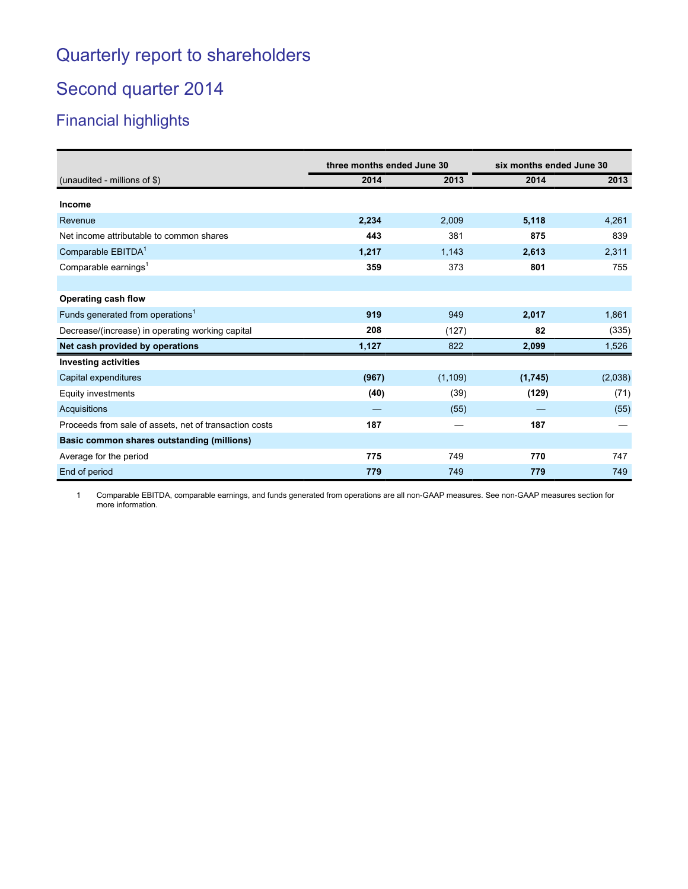# Quarterly report to shareholders

# Second quarter 2014

# Financial highlights

|                                                        | three months ended June 30 |          | six months ended June 30 |         |
|--------------------------------------------------------|----------------------------|----------|--------------------------|---------|
| (unaudited - millions of \$)                           | 2014                       | 2013     | 2014                     | 2013    |
| <b>Income</b>                                          |                            |          |                          |         |
| Revenue                                                | 2,234                      | 2,009    | 5,118                    | 4,261   |
| Net income attributable to common shares               | 443                        | 381      | 875                      | 839     |
| Comparable EBITDA <sup>1</sup>                         | 1,217                      | 1,143    | 2,613                    | 2,311   |
| Comparable earnings <sup>1</sup>                       | 359                        | 373      | 801                      | 755     |
|                                                        |                            |          |                          |         |
| Operating cash flow                                    |                            |          |                          |         |
| Funds generated from operations <sup>1</sup>           | 919                        | 949      | 2,017                    | 1,861   |
| Decrease/(increase) in operating working capital       | 208                        | (127)    | 82                       | (335)   |
| Net cash provided by operations                        | 1,127                      | 822      | 2,099                    | 1,526   |
| <b>Investing activities</b>                            |                            |          |                          |         |
| Capital expenditures                                   | (967)                      | (1, 109) | (1,745)                  | (2,038) |
| <b>Equity investments</b>                              | (40)                       | (39)     | (129)                    | (71)    |
| Acquisitions                                           |                            | (55)     |                          | (55)    |
| Proceeds from sale of assets, net of transaction costs | 187                        |          | 187                      |         |
| Basic common shares outstanding (millions)             |                            |          |                          |         |
| Average for the period                                 | 775                        | 749      | 770                      | 747     |
| End of period                                          | 779                        | 749      | 779                      | 749     |

1 Comparable EBITDA, comparable earnings, and funds generated from operations are all non-GAAP measures. See non-GAAP measures section for more information.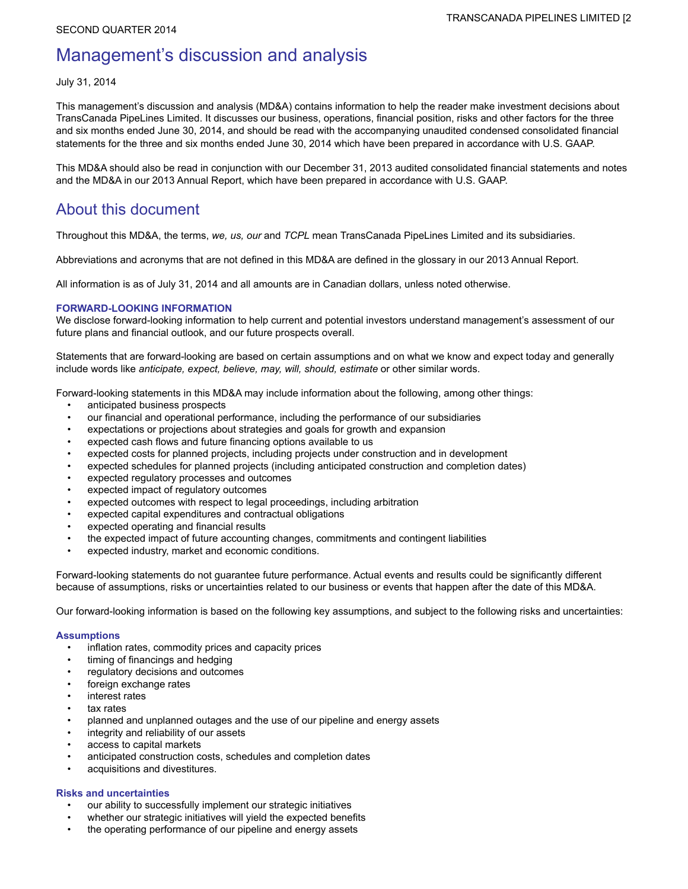# Management's discussion and analysis

July 31, 2014

This management's discussion and analysis (MD&A) contains information to help the reader make investment decisions about TransCanada PipeLines Limited. It discusses our business, operations, financial position, risks and other factors for the three and six months ended June 30, 2014, and should be read with the accompanying unaudited condensed consolidated financial statements for the three and six months ended June 30, 2014 which have been prepared in accordance with U.S. GAAP.

This MD&A should also be read in conjunction with our December 31, 2013 audited consolidated financial statements and notes and the MD&A in our 2013 Annual Report, which have been prepared in accordance with U.S. GAAP.

# About this document

Throughout this MD&A, the terms, *we, us, our* and *TCPL* mean TransCanada PipeLines Limited and its subsidiaries.

Abbreviations and acronyms that are not defined in this MD&A are defined in the glossary in our 2013 Annual Report.

All information is as of July 31, 2014 and all amounts are in Canadian dollars, unless noted otherwise.

## **FORWARD-LOOKING INFORMATION**

We disclose forward-looking information to help current and potential investors understand management's assessment of our future plans and financial outlook, and our future prospects overall.

Statements that are forward-looking are based on certain assumptions and on what we know and expect today and generally include words like *anticipate, expect, believe, may, will, should, estimate* or other similar words.

Forward-looking statements in this MD&A may include information about the following, among other things:

- anticipated business prospects
- our financial and operational performance, including the performance of our subsidiaries
- expectations or projections about strategies and goals for growth and expansion
- expected cash flows and future financing options available to us
- expected costs for planned projects, including projects under construction and in development
- expected schedules for planned projects (including anticipated construction and completion dates)
- expected regulatory processes and outcomes
- expected impact of regulatory outcomes
- expected outcomes with respect to legal proceedings, including arbitration
- expected capital expenditures and contractual obligations
- expected operating and financial results
- the expected impact of future accounting changes, commitments and contingent liabilities
- expected industry, market and economic conditions.

Forward-looking statements do not guarantee future performance. Actual events and results could be significantly different because of assumptions, risks or uncertainties related to our business or events that happen after the date of this MD&A.

Our forward-looking information is based on the following key assumptions, and subject to the following risks and uncertainties:

#### **Assumptions**

- inflation rates, commodity prices and capacity prices
- timing of financings and hedging
- regulatory decisions and outcomes
- foreign exchange rates
- interest rates
- tax rates
- planned and unplanned outages and the use of our pipeline and energy assets
- integrity and reliability of our assets
- access to capital markets
- anticipated construction costs, schedules and completion dates
- acquisitions and divestitures.

### **Risks and uncertainties**

- our ability to successfully implement our strategic initiatives
- whether our strategic initiatives will yield the expected benefits
- the operating performance of our pipeline and energy assets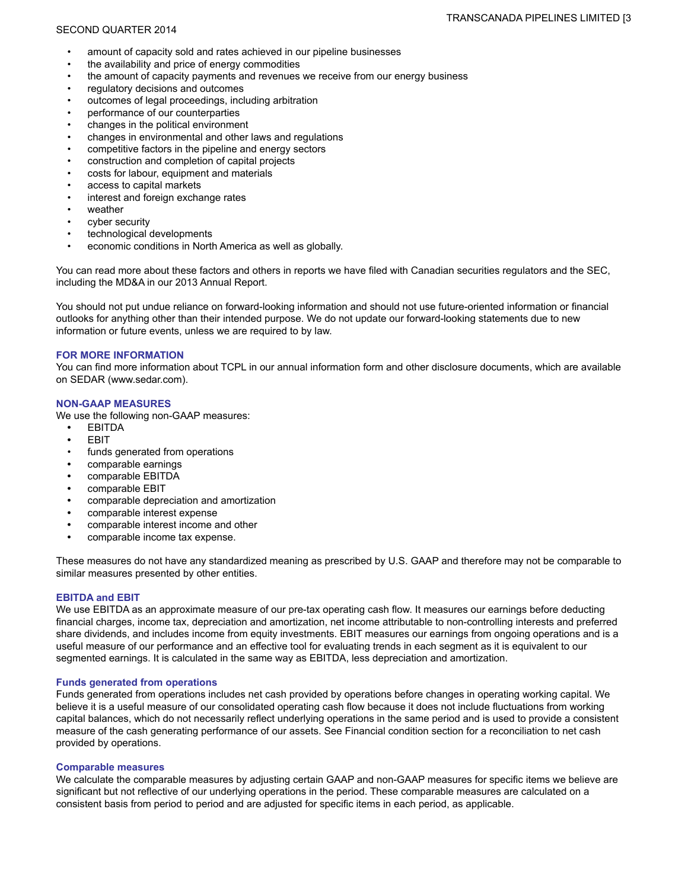- amount of capacity sold and rates achieved in our pipeline businesses
- the availability and price of energy commodities
- the amount of capacity payments and revenues we receive from our energy business
- regulatory decisions and outcomes
- outcomes of legal proceedings, including arbitration
- performance of our counterparties
- changes in the political environment
- changes in environmental and other laws and regulations
- competitive factors in the pipeline and energy sectors
- construction and completion of capital projects
- costs for labour, equipment and materials
- access to capital markets
- interest and foreign exchange rates
- weather
- cyber security
- technological developments
- economic conditions in North America as well as globally.

You can read more about these factors and others in reports we have filed with Canadian securities regulators and the SEC, including the MD&A in our 2013 Annual Report.

You should not put undue reliance on forward-looking information and should not use future-oriented information or financial outlooks for anything other than their intended purpose. We do not update our forward-looking statements due to new information or future events, unless we are required to by law.

#### **FOR MORE INFORMATION**

You can find more information about TCPL in our annual information form and other disclosure documents, which are available on SEDAR (www.sedar.com).

#### **NON-GAAP MEASURES**

We use the following non-GAAP measures:

- EBITDA
- EBIT
- funds generated from operations
- comparable earnings
- comparable EBITDA
- comparable EBIT
- comparable depreciation and amortization
- comparable interest expense
- comparable interest income and other
- comparable income tax expense.

These measures do not have any standardized meaning as prescribed by U.S. GAAP and therefore may not be comparable to similar measures presented by other entities.

## **EBITDA and EBIT**

We use EBITDA as an approximate measure of our pre-tax operating cash flow. It measures our earnings before deducting financial charges, income tax, depreciation and amortization, net income attributable to non-controlling interests and preferred share dividends, and includes income from equity investments. EBIT measures our earnings from ongoing operations and is a useful measure of our performance and an effective tool for evaluating trends in each segment as it is equivalent to our segmented earnings. It is calculated in the same way as EBITDA, less depreciation and amortization.

### **Funds generated from operations**

Funds generated from operations includes net cash provided by operations before changes in operating working capital. We believe it is a useful measure of our consolidated operating cash flow because it does not include fluctuations from working capital balances, which do not necessarily reflect underlying operations in the same period and is used to provide a consistent measure of the cash generating performance of our assets. See Financial condition section for a reconciliation to net cash provided by operations.

#### **Comparable measures**

We calculate the comparable measures by adjusting certain GAAP and non-GAAP measures for specific items we believe are significant but not reflective of our underlying operations in the period. These comparable measures are calculated on a consistent basis from period to period and are adjusted for specific items in each period, as applicable.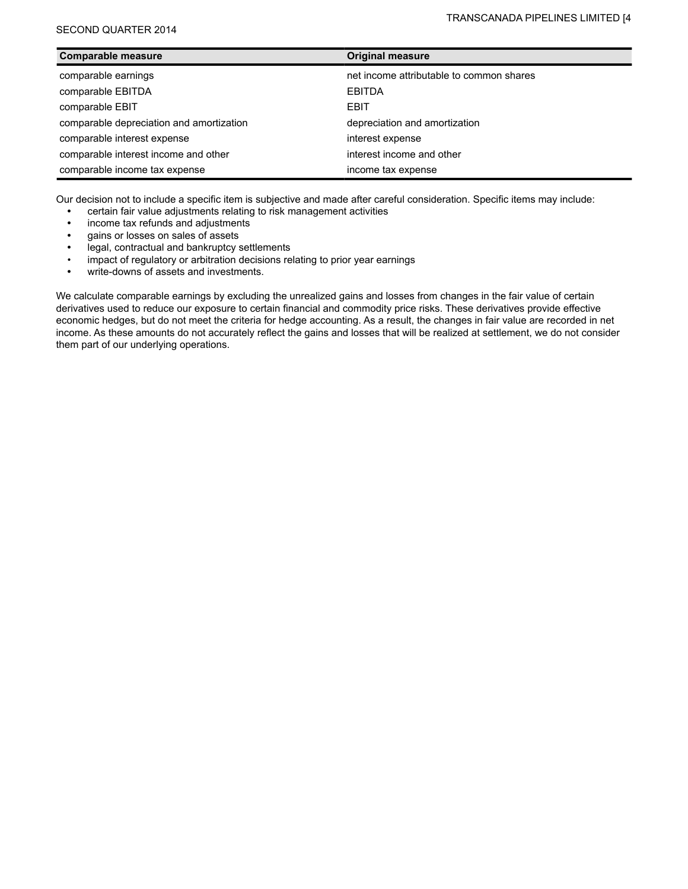| <b>Comparable measure</b>                | <b>Original measure</b>                  |
|------------------------------------------|------------------------------------------|
| comparable earnings                      | net income attributable to common shares |
| comparable EBITDA                        | <b>EBITDA</b>                            |
| comparable EBIT                          | <b>EBIT</b>                              |
| comparable depreciation and amortization | depreciation and amortization            |
| comparable interest expense              | interest expense                         |
| comparable interest income and other     | interest income and other                |
| comparable income tax expense            | income tax expense                       |

Our decision not to include a specific item is subjective and made after careful consideration. Specific items may include:

- certain fair value adjustments relating to risk management activities
- income tax refunds and adjustments
- gains or losses on sales of assets
- legal, contractual and bankruptcy settlements
- impact of regulatory or arbitration decisions relating to prior year earnings
- write-downs of assets and investments.

We calculate comparable earnings by excluding the unrealized gains and losses from changes in the fair value of certain derivatives used to reduce our exposure to certain financial and commodity price risks. These derivatives provide effective economic hedges, but do not meet the criteria for hedge accounting. As a result, the changes in fair value are recorded in net income. As these amounts do not accurately reflect the gains and losses that will be realized at settlement, we do not consider them part of our underlying operations.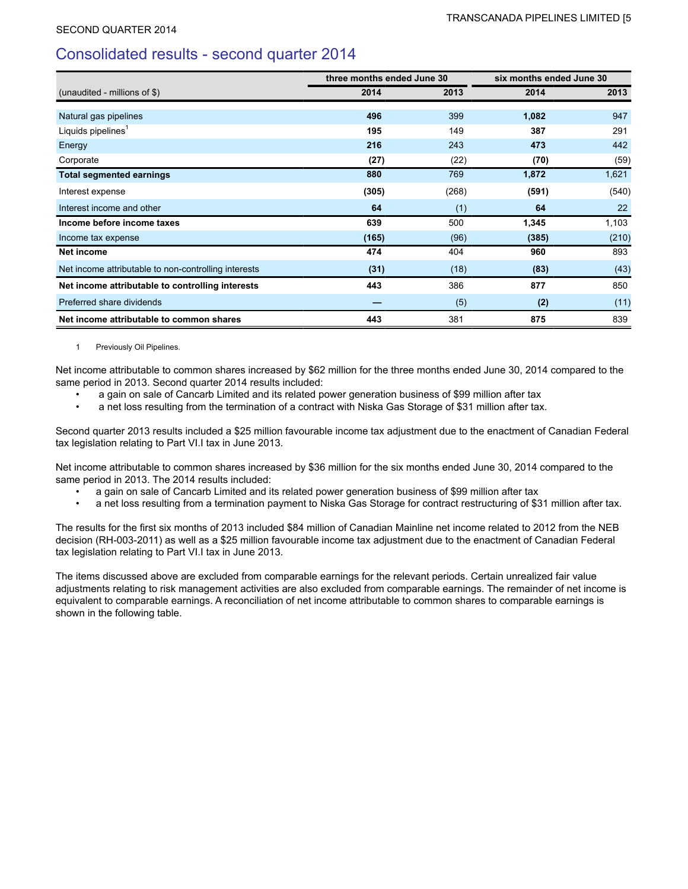# Consolidated results - second quarter 2014

|                                                      | three months ended June 30 |       | six months ended June 30 |       |
|------------------------------------------------------|----------------------------|-------|--------------------------|-------|
| (unaudited - millions of \$)                         | 2014                       | 2013  | 2014                     | 2013  |
|                                                      |                            |       |                          |       |
| Natural gas pipelines                                | 496                        | 399   | 1,082                    | 947   |
| Liquids pipelines <sup>1</sup>                       | 195                        | 149   | 387                      | 291   |
| Energy                                               | 216                        | 243   | 473                      | 442   |
| Corporate                                            | (27)                       | (22)  | (70)                     | (59)  |
| <b>Total segmented earnings</b>                      | 880                        | 769   | 1,872                    | 1,621 |
| Interest expense                                     | (305)                      | (268) | (591)                    | (540) |
| Interest income and other                            | 64                         | (1)   | 64                       | 22    |
| Income before income taxes                           | 639                        | 500   | 1,345                    | 1,103 |
| Income tax expense                                   | (165)                      | (96)  | (385)                    | (210) |
| Net income                                           | 474                        | 404   | 960                      | 893   |
| Net income attributable to non-controlling interests | (31)                       | (18)  | (83)                     | (43)  |
| Net income attributable to controlling interests     | 443                        | 386   | 877                      | 850   |
| Preferred share dividends                            |                            | (5)   | (2)                      | (11)  |
| Net income attributable to common shares             | 443                        | 381   | 875                      | 839   |

1 Previously Oil Pipelines.

Net income attributable to common shares increased by \$62 million for the three months ended June 30, 2014 compared to the same period in 2013. Second quarter 2014 results included:

- a gain on sale of Cancarb Limited and its related power generation business of \$99 million after tax<br>• a net loss resulting from the termination of a contract with Niska Gas Storage of \$31 million after tax
- a net loss resulting from the termination of a contract with Niska Gas Storage of \$31 million after tax.

Second quarter 2013 results included a \$25 million favourable income tax adjustment due to the enactment of Canadian Federal tax legislation relating to Part VI.I tax in June 2013.

Net income attributable to common shares increased by \$36 million for the six months ended June 30, 2014 compared to the same period in 2013. The 2014 results included:

- a gain on sale of Cancarb Limited and its related power generation business of \$99 million after tax
- a net loss resulting from a termination payment to Niska Gas Storage for contract restructuring of \$31 million after tax.

The results for the first six months of 2013 included \$84 million of Canadian Mainline net income related to 2012 from the NEB decision (RH-003-2011) as well as a \$25 million favourable income tax adjustment due to the enactment of Canadian Federal tax legislation relating to Part VI.I tax in June 2013.

The items discussed above are excluded from comparable earnings for the relevant periods. Certain unrealized fair value adjustments relating to risk management activities are also excluded from comparable earnings. The remainder of net income is equivalent to comparable earnings. A reconciliation of net income attributable to common shares to comparable earnings is shown in the following table.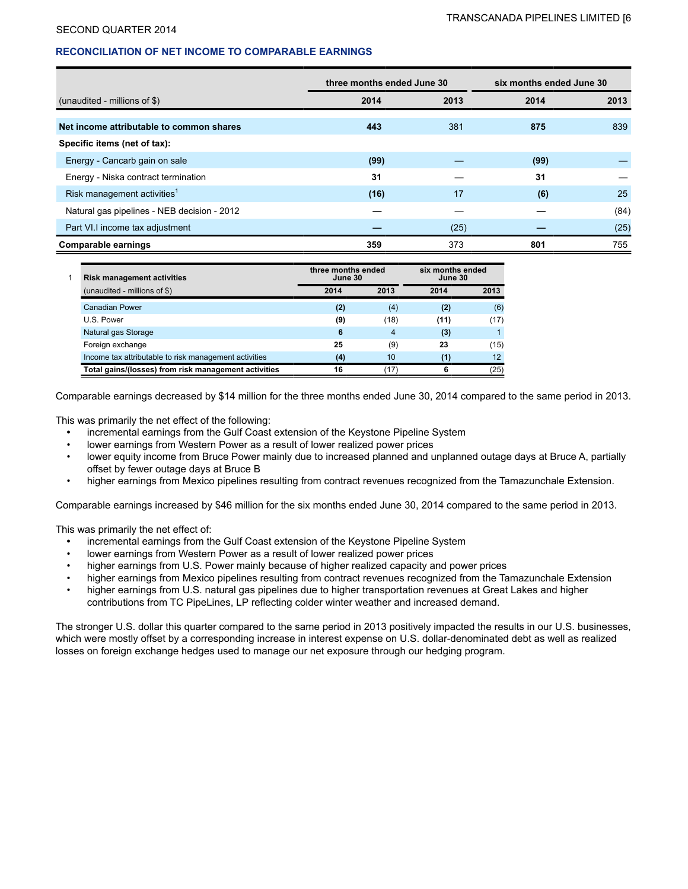## **RECONCILIATION OF NET INCOME TO COMPARABLE EARNINGS**

|                                             | three months ended June 30 |      | six months ended June 30 |      |
|---------------------------------------------|----------------------------|------|--------------------------|------|
| (unaudited - millions of $\$\$ )            | 2014                       | 2013 | 2014                     | 2013 |
| Net income attributable to common shares    | 443                        | 381  | 875                      | 839  |
| Specific items (net of tax):                |                            |      |                          |      |
| Energy - Cancarb gain on sale               | (99)                       |      | (99)                     |      |
| Energy - Niska contract termination         | 31                         |      | 31                       |      |
| Risk management activities <sup>1</sup>     | (16)                       | 17   | (6)                      | 25   |
| Natural gas pipelines - NEB decision - 2012 |                            |      |                          | (84) |
| Part VI.I income tax adjustment             |                            | (25) |                          | (25) |
| Comparable earnings                         | 359                        | 373  | 801                      | 755  |

| <b>Risk management activities</b>                     | three months ended<br>June 30 |      | six months ended<br>June 30 |      |
|-------------------------------------------------------|-------------------------------|------|-----------------------------|------|
| (unaudited - millions of \$)                          | 2014                          | 2013 | 2014                        | 2013 |
| Canadian Power                                        | (2)                           | (4)  | (2)                         | (6)  |
| U.S. Power                                            | (9)                           | (18) | (11)                        | (17  |
| Natural gas Storage                                   | 6                             |      | (3)                         |      |
| Foreign exchange                                      | 25                            | (9)  | 23                          | (15) |
| Income tax attributable to risk management activities | (4)                           | 10   | (1)                         | 12   |
| Total gains/(losses) from risk management activities  | 16                            |      |                             | (25  |

Comparable earnings decreased by \$14 million for the three months ended June 30, 2014 compared to the same period in 2013.

This was primarily the net effect of the following:

- incremental earnings from the Gulf Coast extension of the Keystone Pipeline System
- lower earnings from Western Power as a result of lower realized power prices
- lower equity income from Bruce Power mainly due to increased planned and unplanned outage days at Bruce A, partially offset by fewer outage days at Bruce B
- higher earnings from Mexico pipelines resulting from contract revenues recognized from the Tamazunchale Extension.

Comparable earnings increased by \$46 million for the six months ended June 30, 2014 compared to the same period in 2013.

This was primarily the net effect of:

- incremental earnings from the Gulf Coast extension of the Keystone Pipeline System
- lower earnings from Western Power as a result of lower realized power prices
- higher earnings from U.S. Power mainly because of higher realized capacity and power prices
- higher earnings from Mexico pipelines resulting from contract revenues recognized from the Tamazunchale Extension
- higher earnings from U.S. natural gas pipelines due to higher transportation revenues at Great Lakes and higher contributions from TC PipeLines, LP reflecting colder winter weather and increased demand.

The stronger U.S. dollar this quarter compared to the same period in 2013 positively impacted the results in our U.S. businesses, which were mostly offset by a corresponding increase in interest expense on U.S. dollar-denominated debt as well as realized losses on foreign exchange hedges used to manage our net exposure through our hedging program.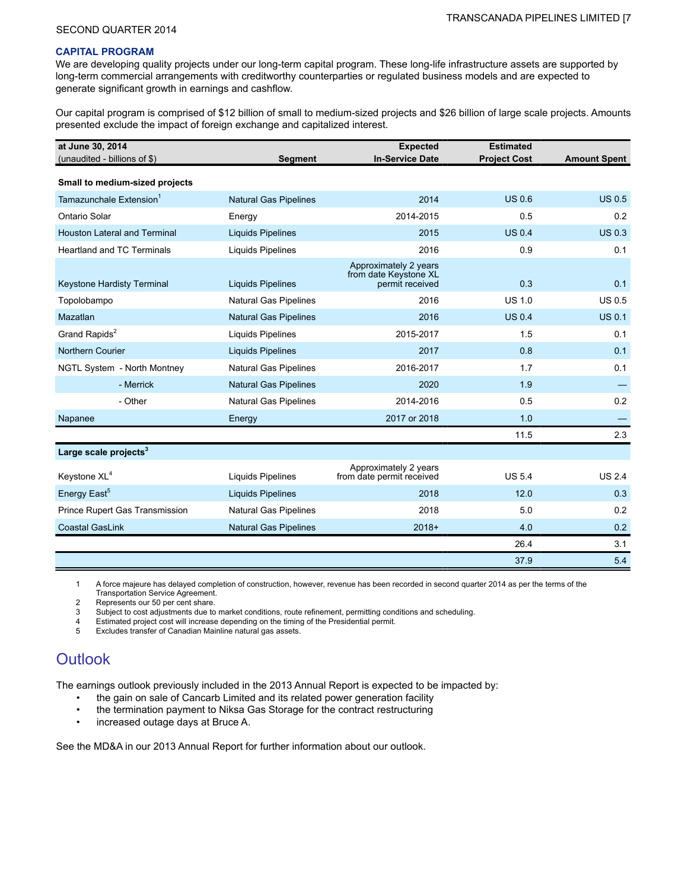#### **CAPITAL PROGRAM**

We are developing quality projects under our long-term capital program. These long-life infrastructure assets are supported by long-term commercial arrangements with creditworthy counterparties or regulated business models and are expected to generate significant growth in earnings and cashflow.

Our capital program is comprised of \$12 billion of small to medium-sized projects and \$26 billion of large scale projects. Amounts presented exclude the impact of foreign exchange and capitalized interest.

| at June 30, 2014                    |                              | <b>Expected</b>                                                   | <b>Estimated</b>    |                     |
|-------------------------------------|------------------------------|-------------------------------------------------------------------|---------------------|---------------------|
| (unaudited - billions of \$)        | <b>Segment</b>               | <b>In-Service Date</b>                                            | <b>Project Cost</b> | <b>Amount Spent</b> |
| Small to medium-sized projects      |                              |                                                                   |                     |                     |
| Tamazunchale Extension <sup>1</sup> | <b>Natural Gas Pipelines</b> | 2014                                                              | <b>US 0.6</b>       | <b>US 0.5</b>       |
| <b>Ontario Solar</b>                | Energy                       | 2014-2015                                                         | 0.5                 | 0.2                 |
| Houston Lateral and Terminal        | <b>Liquids Pipelines</b>     | 2015                                                              | <b>US 0.4</b>       | <b>US 0.3</b>       |
| <b>Heartland and TC Terminals</b>   | <b>Liquids Pipelines</b>     | 2016                                                              | 0.9                 | 0.1                 |
| Keystone Hardisty Terminal          | <b>Liquids Pipelines</b>     | Approximately 2 years<br>from date Keystone XL<br>permit received | 0.3                 | 0.1                 |
| Topolobampo                         | <b>Natural Gas Pipelines</b> | 2016                                                              | <b>US 1.0</b>       | <b>US 0.5</b>       |
| Mazatlan                            | <b>Natural Gas Pipelines</b> | 2016                                                              | <b>US 0.4</b>       | <b>US 0.1</b>       |
| Grand Rapids <sup>2</sup>           | <b>Liquids Pipelines</b>     | 2015-2017                                                         | 1.5                 | 0.1                 |
| Northern Courier                    | <b>Liquids Pipelines</b>     | 2017                                                              | 0.8                 | 0.1                 |
| NGTL System - North Montney         | <b>Natural Gas Pipelines</b> | 2016-2017                                                         | 1.7                 | 0.1                 |
| - Merrick                           | <b>Natural Gas Pipelines</b> | 2020                                                              | 1.9                 |                     |
| - Other                             | <b>Natural Gas Pipelines</b> | 2014-2016                                                         | 0.5                 | 0.2                 |
| Napanee                             | Energy                       | 2017 or 2018                                                      | 1.0                 |                     |
|                                     |                              |                                                                   | 11.5                | 2.3                 |
| Large scale projects <sup>3</sup>   |                              |                                                                   |                     |                     |
| Keystone XL <sup>4</sup>            | <b>Liquids Pipelines</b>     | Approximately 2 years<br>from date permit received                | <b>US 5.4</b>       | <b>US 2.4</b>       |
| Energy East <sup>5</sup>            | <b>Liquids Pipelines</b>     | 2018                                                              | 12.0                | 0.3                 |
| Prince Rupert Gas Transmission      | <b>Natural Gas Pipelines</b> | 2018                                                              | 5.0                 | 0.2                 |
| <b>Coastal GasLink</b>              | <b>Natural Gas Pipelines</b> | $2018+$                                                           | 4.0                 | 0.2                 |
|                                     |                              |                                                                   | 26.4                | 3.1                 |
|                                     |                              |                                                                   | 37.9                | 5.4                 |

1 A force majeure has delayed completion of construction, however, revenue has been recorded in second quarter 2014 as per the terms of the Transportation Service Agreement.

2 Represents our 50 per cent share.

3 Subject to cost adjustments due to market conditions, route refinement, permitting conditions and scheduling.

4 Estimated project cost will increase depending on the timing of the Presidential permit.<br>5 Excludes transfer of Canadian Mainline natural gas assets.

5 Excludes transfer of Canadian Mainline natural gas assets.

## **Outlook**

The earnings outlook previously included in the 2013 Annual Report is expected to be impacted by:

- the gain on sale of Cancarb Limited and its related power generation facility<br>• the termination payment to Niksa Gas Storage for the contract restructuring
- the termination payment to Niksa Gas Storage for the contract restructuring
- increased outage days at Bruce A.

See the MD&A in our 2013 Annual Report for further information about our outlook.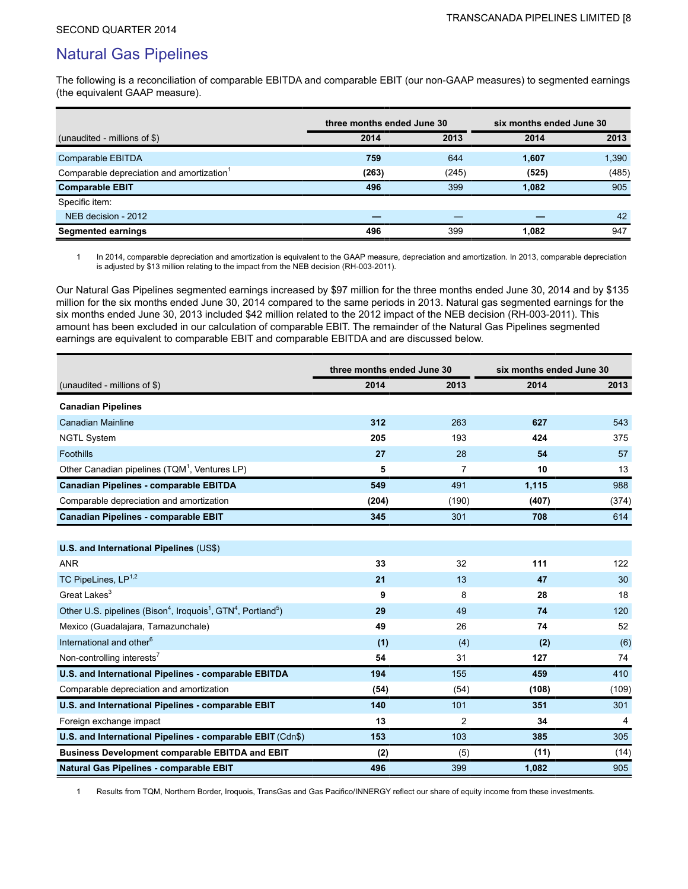# Natural Gas Pipelines

The following is a reconciliation of comparable EBITDA and comparable EBIT (our non-GAAP measures) to segmented earnings (the equivalent GAAP measure).

|                                                       | three months ended June 30 |       | six months ended June 30 |       |
|-------------------------------------------------------|----------------------------|-------|--------------------------|-------|
| (unaudited - millions of \$)                          | 2014                       | 2013  | 2014                     | 2013  |
| Comparable EBITDA                                     | 759                        | 644   | 1,607                    | 1,390 |
| Comparable depreciation and amortization <sup>1</sup> | (263)                      | (245) | (525)                    | (485) |
| <b>Comparable EBIT</b>                                | 496                        | 399   | 1.082                    | 905   |
| Specific item:                                        |                            |       |                          |       |
| NEB decision - 2012                                   |                            |       |                          | 42    |
| <b>Segmented earnings</b>                             | 496                        | 399   | 1.082                    | 947   |

1 In 2014, comparable depreciation and amortization is equivalent to the GAAP measure, depreciation and amortization. In 2013, comparable depreciation is adjusted by \$13 million relating to the impact from the NEB decision (RH-003-2011).

Our Natural Gas Pipelines segmented earnings increased by \$97 million for the three months ended June 30, 2014 and by \$135 million for the six months ended June 30, 2014 compared to the same periods in 2013. Natural gas segmented earnings for the six months ended June 30, 2013 included \$42 million related to the 2012 impact of the NEB decision (RH-003-2011). This amount has been excluded in our calculation of comparable EBIT. The remainder of the Natural Gas Pipelines segmented earnings are equivalent to comparable EBIT and comparable EBITDA and are discussed below.

|                                                                                                               | three months ended June 30 |                | six months ended June 30 |       |  |
|---------------------------------------------------------------------------------------------------------------|----------------------------|----------------|--------------------------|-------|--|
| (unaudited - millions of \$)                                                                                  | 2014                       | 2013           | 2014                     | 2013  |  |
| <b>Canadian Pipelines</b>                                                                                     |                            |                |                          |       |  |
| <b>Canadian Mainline</b>                                                                                      | 312                        | 263            | 627                      | 543   |  |
| <b>NGTL System</b>                                                                                            | 205                        | 193            | 424                      | 375   |  |
| Foothills                                                                                                     | 27                         | 28             | 54                       | 57    |  |
| Other Canadian pipelines (TQM <sup>1</sup> , Ventures LP)                                                     | 5                          | $\overline{7}$ | 10                       | 13    |  |
| Canadian Pipelines - comparable EBITDA                                                                        | 549                        | 491            | 1,115                    | 988   |  |
| Comparable depreciation and amortization                                                                      | (204)                      | (190)          | (407)                    | (374) |  |
| Canadian Pipelines - comparable EBIT                                                                          | 345                        | 301            | 708                      | 614   |  |
|                                                                                                               |                            |                |                          |       |  |
| U.S. and International Pipelines (US\$)                                                                       |                            |                |                          |       |  |
| <b>ANR</b>                                                                                                    | 33                         | 32             | 111                      | 122   |  |
| TC PipeLines, LP <sup>1,2</sup>                                                                               | 21                         | 13             | 47                       | 30    |  |
| Great Lakes <sup>3</sup>                                                                                      | 9                          | 8              | 28                       | 18    |  |
| Other U.S. pipelines (Bison <sup>4</sup> , Iroquois <sup>1</sup> , GTN <sup>4</sup> , Portland <sup>5</sup> ) | 29                         | 49             | 74                       | 120   |  |
| Mexico (Guadalajara, Tamazunchale)                                                                            | 49                         | 26             | 74                       | 52    |  |
| International and other <sup>6</sup>                                                                          | (1)                        | (4)            | (2)                      | (6)   |  |
| Non-controlling interests <sup>7</sup>                                                                        | 54                         | 31             | 127                      | 74    |  |
| U.S. and International Pipelines - comparable EBITDA                                                          | 194                        | 155            | 459                      | 410   |  |
| Comparable depreciation and amortization                                                                      | (54)                       | (54)           | (108)                    | (109) |  |
| U.S. and International Pipelines - comparable EBIT                                                            | 140                        | 101            | 351                      | 301   |  |
| Foreign exchange impact                                                                                       | 13                         | 2              | 34                       | 4     |  |
| U.S. and International Pipelines - comparable EBIT (Cdn\$)                                                    | 153                        | 103            | 385                      | 305   |  |
| <b>Business Development comparable EBITDA and EBIT</b>                                                        | (2)                        | (5)            | (11)                     | (14)  |  |
| Natural Gas Pipelines - comparable EBIT                                                                       | 496                        | 399            | 1,082                    | 905   |  |

1 Results from TQM, Northern Border, Iroquois, TransGas and Gas Pacifico/INNERGY reflect our share of equity income from these investments.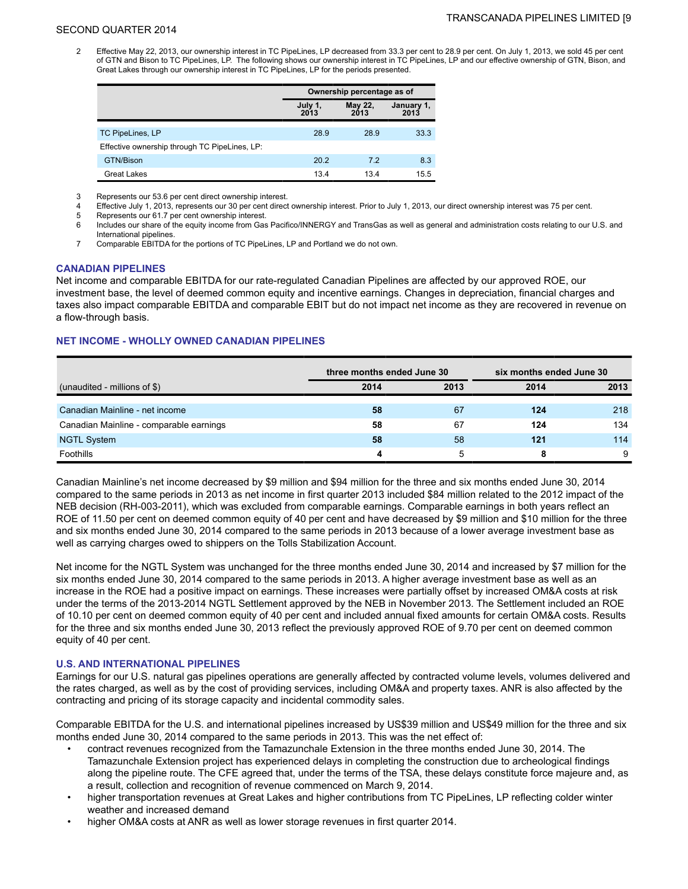2 Effective May 22, 2013, our ownership interest in TC PipeLines, LP decreased from 33.3 per cent to 28.9 per cent. On July 1, 2013, we sold 45 per cent of GTN and Bison to TC PipeLines, LP. The following shows our ownership interest in TC PipeLines, LP and our effective ownership of GTN, Bison, and Great Lakes through our ownership interest in TC PipeLines, LP for the periods presented.

|                                               | Ownership percentage as of |                 |                    |  |  |
|-----------------------------------------------|----------------------------|-----------------|--------------------|--|--|
|                                               | July 1,<br>2013            | May 22,<br>2013 | January 1,<br>2013 |  |  |
| TC PipeLines, LP                              | 28.9                       | 28.9            | 33.3               |  |  |
| Effective ownership through TC PipeLines, LP: |                            |                 |                    |  |  |
| GTN/Bison                                     | 20.2                       | 72              | 8.3                |  |  |
| <b>Great Lakes</b>                            | 13.4                       | 13.4            | 15.5               |  |  |

3 Represents our 53.6 per cent direct ownership interest.

4 Effective July 1, 2013, represents our 30 per cent direct ownership interest. Prior to July 1, 2013, our direct ownership interest was 75 per cent.

5 Represents our 61.7 per cent ownership interest.<br>6 Includes our share of the equity income from Gas

Includes our share of the equity income from Gas Pacifico/INNERGY and TransGas as well as general and administration costs relating to our U.S. and International pipelines.

7 Comparable EBITDA for the portions of TC PipeLines, LP and Portland we do not own.

#### **CANADIAN PIPELINES**

Net income and comparable EBITDA for our rate-regulated Canadian Pipelines are affected by our approved ROE, our investment base, the level of deemed common equity and incentive earnings. Changes in depreciation, financial charges and taxes also impact comparable EBITDA and comparable EBIT but do not impact net income as they are recovered in revenue on a flow-through basis.

## **NET INCOME - WHOLLY OWNED CANADIAN PIPELINES**

|                                         | three months ended June 30 |      | six months ended June 30 |      |  |
|-----------------------------------------|----------------------------|------|--------------------------|------|--|
| (unaudited - millions of $\$\$ )        | 2014                       | 2013 | 2014                     | 2013 |  |
| Canadian Mainline - net income          | 58                         | 67   | 124                      | 218  |  |
| Canadian Mainline - comparable earnings | 58                         | 67   | 124                      | 134  |  |
| <b>NGTL System</b>                      | 58                         | 58   | 121                      | 114  |  |
| Foothills                               | 4                          | 5    | 8                        | 9    |  |

Canadian Mainline's net income decreased by \$9 million and \$94 million for the three and six months ended June 30, 2014 compared to the same periods in 2013 as net income in first quarter 2013 included \$84 million related to the 2012 impact of the NEB decision (RH-003-2011), which was excluded from comparable earnings. Comparable earnings in both years reflect an ROE of 11.50 per cent on deemed common equity of 40 per cent and have decreased by \$9 million and \$10 million for the three and six months ended June 30, 2014 compared to the same periods in 2013 because of a lower average investment base as well as carrying charges owed to shippers on the Tolls Stabilization Account.

Net income for the NGTL System was unchanged for the three months ended June 30, 2014 and increased by \$7 million for the six months ended June 30, 2014 compared to the same periods in 2013. A higher average investment base as well as an increase in the ROE had a positive impact on earnings. These increases were partially offset by increased OM&A costs at risk under the terms of the 2013-2014 NGTL Settlement approved by the NEB in November 2013. The Settlement included an ROE of 10.10 per cent on deemed common equity of 40 per cent and included annual fixed amounts for certain OM&A costs. Results for the three and six months ended June 30, 2013 reflect the previously approved ROE of 9.70 per cent on deemed common equity of 40 per cent.

#### **U.S. AND INTERNATIONAL PIPELINES**

Earnings for our U.S. natural gas pipelines operations are generally affected by contracted volume levels, volumes delivered and the rates charged, as well as by the cost of providing services, including OM&A and property taxes. ANR is also affected by the contracting and pricing of its storage capacity and incidental commodity sales.

Comparable EBITDA for the U.S. and international pipelines increased by US\$39 million and US\$49 million for the three and six months ended June 30, 2014 compared to the same periods in 2013. This was the net effect of:

- contract revenues recognized from the Tamazunchale Extension in the three months ended June 30, 2014. The Tamazunchale Extension project has experienced delays in completing the construction due to archeological findings along the pipeline route. The CFE agreed that, under the terms of the TSA, these delays constitute force majeure and, as a result, collection and recognition of revenue commenced on March 9, 2014.
- higher transportation revenues at Great Lakes and higher contributions from TC PipeLines, LP reflecting colder winter weather and increased demand
- higher OM&A costs at ANR as well as lower storage revenues in first quarter 2014.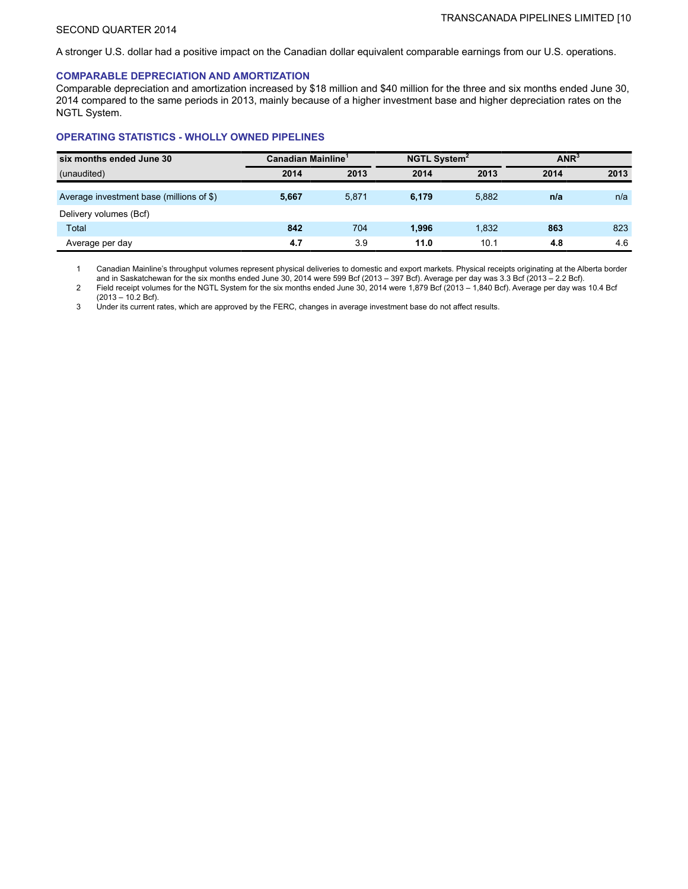A stronger U.S. dollar had a positive impact on the Canadian dollar equivalent comparable earnings from our U.S. operations.

## **COMPARABLE DEPRECIATION AND AMORTIZATION**

Comparable depreciation and amortization increased by \$18 million and \$40 million for the three and six months ended June 30, 2014 compared to the same periods in 2013, mainly because of a higher investment base and higher depreciation rates on the NGTL System.

## **OPERATING STATISTICS - WHOLLY OWNED PIPELINES**

| six months ended June 30                 | <b>Canadian Mainline</b> <sup>1</sup> |       | <b>NGTL System<sup>2</sup></b> |       | ANR <sup>3</sup> |      |
|------------------------------------------|---------------------------------------|-------|--------------------------------|-------|------------------|------|
| (unaudited)                              | 2014                                  | 2013  | 2014                           | 2013  | 2014             | 2013 |
|                                          |                                       |       |                                |       |                  |      |
| Average investment base (millions of \$) | 5.667                                 | 5,871 | 6,179                          | 5.882 | n/a              | n/a  |
| Delivery volumes (Bcf)                   |                                       |       |                                |       |                  |      |
| Total                                    | 842                                   | 704   | 1.996                          | 1.832 | 863              | 823  |
| Average per day                          | 4.7                                   | 3.9   | 11.0                           | 10.1  | 4.8              | 4.6  |

1 Canadian Mainline's throughput volumes represent physical deliveries to domestic and export markets. Physical receipts originating at the Alberta border and in Saskatchewan for the six months ended June 30, 2014 were 599 Bcf (2013 – 397 Bcf). Average per day was 3.3 Bcf (2013 – 2.2 Bcf).

2 Field receipt volumes for the NGTL System for the six months ended June 30, 2014 were 1,879 Bcf (2013 – 1,840 Bcf). Average per day was 10.4 Bcf

(2013 – 10.2 Bcf).

3 Under its current rates, which are approved by the FERC, changes in average investment base do not affect results.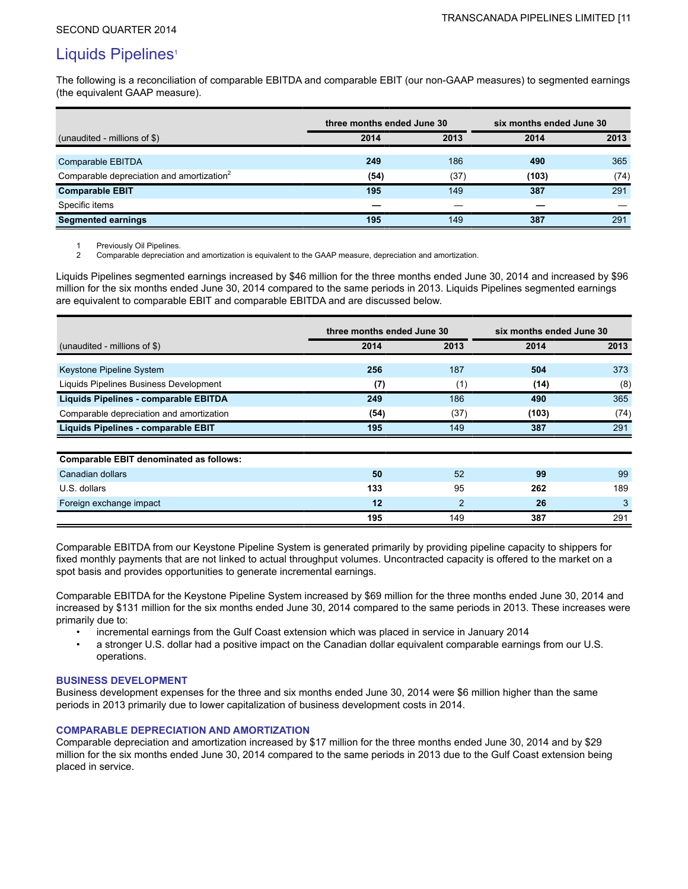# Liquids Pipelines<sup>1</sup>

The following is a reconciliation of comparable EBITDA and comparable EBIT (our non-GAAP measures) to segmented earnings (the equivalent GAAP measure).

|                                                       | three months ended June 30 |      | six months ended June 30 |      |  |
|-------------------------------------------------------|----------------------------|------|--------------------------|------|--|
| (unaudited - millions of \$)                          | 2014                       | 2013 | 2014                     | 2013 |  |
|                                                       |                            |      |                          |      |  |
| Comparable EBITDA                                     | 249                        | 186  | 490                      | 365  |  |
| Comparable depreciation and amortization <sup>2</sup> | (54)                       | (37) | (103)                    | (74) |  |
| <b>Comparable EBIT</b>                                | 195                        | 149  | 387                      | 291  |  |
| Specific items                                        |                            |      |                          |      |  |
| <b>Segmented earnings</b>                             | 195                        | 149  | 387                      | 291  |  |

1 Previously Oil Pipelines.<br>2 Comparable depreciation 2 Comparable depreciation and amortization is equivalent to the GAAP measure, depreciation and amortization.

Liquids Pipelines segmented earnings increased by \$46 million for the three months ended June 30, 2014 and increased by \$96 million for the six months ended June 30, 2014 compared to the same periods in 2013. Liquids Pipelines segmented earnings are equivalent to comparable EBIT and comparable EBITDA and are discussed below.

|                                                | three months ended June 30 |                | six months ended June 30 |      |
|------------------------------------------------|----------------------------|----------------|--------------------------|------|
| (unaudited - millions of \$)                   | 2014                       | 2013           | 2014                     | 2013 |
| Keystone Pipeline System                       | 256                        | 187            | 504                      | 373  |
| Liquids Pipelines Business Development         | (7)                        | (1)            | (14)                     | (8)  |
| Liquids Pipelines - comparable EBITDA          | 249                        | 186            | 490                      | 365  |
| Comparable depreciation and amortization       | (54)                       | (37)           | (103)                    | (74) |
| Liquids Pipelines - comparable EBIT            | 195                        | 149            | 387                      | 291  |
|                                                |                            |                |                          |      |
| <b>Comparable EBIT denominated as follows:</b> |                            |                |                          |      |
| Canadian dollars                               | 50                         | 52             | 99                       | 99   |
| U.S. dollars                                   | 133                        | 95             | 262                      | 189  |
| Foreign exchange impact                        | 12                         | $\overline{2}$ | 26                       | 3    |
|                                                | 195                        | 149            | 387                      | 291  |

Comparable EBITDA from our Keystone Pipeline System is generated primarily by providing pipeline capacity to shippers for fixed monthly payments that are not linked to actual throughput volumes. Uncontracted capacity is offered to the market on a spot basis and provides opportunities to generate incremental earnings.

Comparable EBITDA for the Keystone Pipeline System increased by \$69 million for the three months ended June 30, 2014 and increased by \$131 million for the six months ended June 30, 2014 compared to the same periods in 2013. These increases were primarily due to:

- incremental earnings from the Gulf Coast extension which was placed in service in January 2014
- a stronger U.S. dollar had a positive impact on the Canadian dollar equivalent comparable earnings from our U.S. operations.

## **BUSINESS DEVELOPMENT**

Business development expenses for the three and six months ended June 30, 2014 were \$6 million higher than the same periods in 2013 primarily due to lower capitalization of business development costs in 2014.

## **COMPARABLE DEPRECIATION AND AMORTIZATION**

Comparable depreciation and amortization increased by \$17 million for the three months ended June 30, 2014 and by \$29 million for the six months ended June 30, 2014 compared to the same periods in 2013 due to the Gulf Coast extension being placed in service.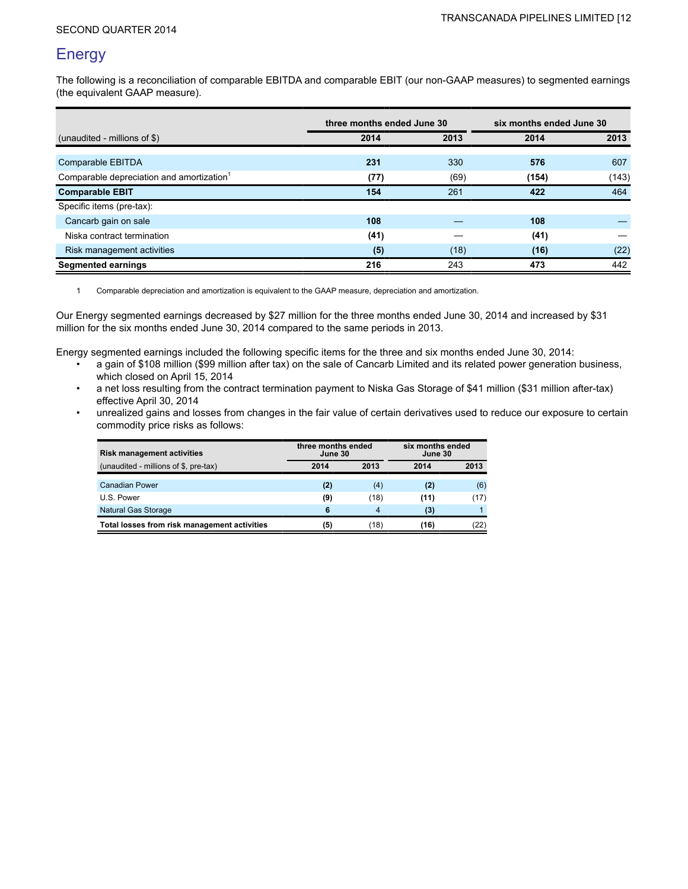# Energy

The following is a reconciliation of comparable EBITDA and comparable EBIT (our non-GAAP measures) to segmented earnings (the equivalent GAAP measure).

|                                                       | three months ended June 30 |      | six months ended June 30 |       |
|-------------------------------------------------------|----------------------------|------|--------------------------|-------|
| (unaudited - millions of \$)                          | 2014                       | 2013 | 2014                     | 2013  |
| Comparable EBITDA                                     | 231                        | 330  | 576                      | 607   |
| Comparable depreciation and amortization <sup>1</sup> | (77)                       | (69) | (154)                    | (143) |
| <b>Comparable EBIT</b>                                | 154                        | 261  | 422                      | 464   |
| Specific items (pre-tax):                             |                            |      |                          |       |
| Cancarb gain on sale                                  | 108                        |      | 108                      |       |
| Niska contract termination                            | (41)                       |      | (41)                     |       |
| Risk management activities                            | (5)                        | (18) | (16)                     | (22)  |
| <b>Segmented earnings</b>                             | 216                        | 243  | 473                      | 442   |

1 Comparable depreciation and amortization is equivalent to the GAAP measure, depreciation and amortization.

Our Energy segmented earnings decreased by \$27 million for the three months ended June 30, 2014 and increased by \$31 million for the six months ended June 30, 2014 compared to the same periods in 2013.

Energy segmented earnings included the following specific items for the three and six months ended June 30, 2014:

- a gain of \$108 million (\$99 million after tax) on the sale of Cancarb Limited and its related power generation business, which closed on April 15, 2014
- a net loss resulting from the contract termination payment to Niska Gas Storage of \$41 million (\$31 million after-tax) effective April 30, 2014
- unrealized gains and losses from changes in the fair value of certain derivatives used to reduce our exposure to certain commodity price risks as follows:

| <b>Risk management activities</b>            | three months ended<br>June 30 |      | six months ended<br>June 30 |      |
|----------------------------------------------|-------------------------------|------|-----------------------------|------|
| (unaudited - millions of \$, pre-tax)        | 2014                          | 2013 | 2014                        | 2013 |
| Canadian Power                               | (2)                           | (4)  | (2)                         | (6)  |
| U.S. Power                                   | (9)                           | (18) | (11)                        | (17) |
| <b>Natural Gas Storage</b>                   | 6                             | 4    | (3)                         |      |
| Total losses from risk management activities | (5)                           | '18) | (16)                        | (22) |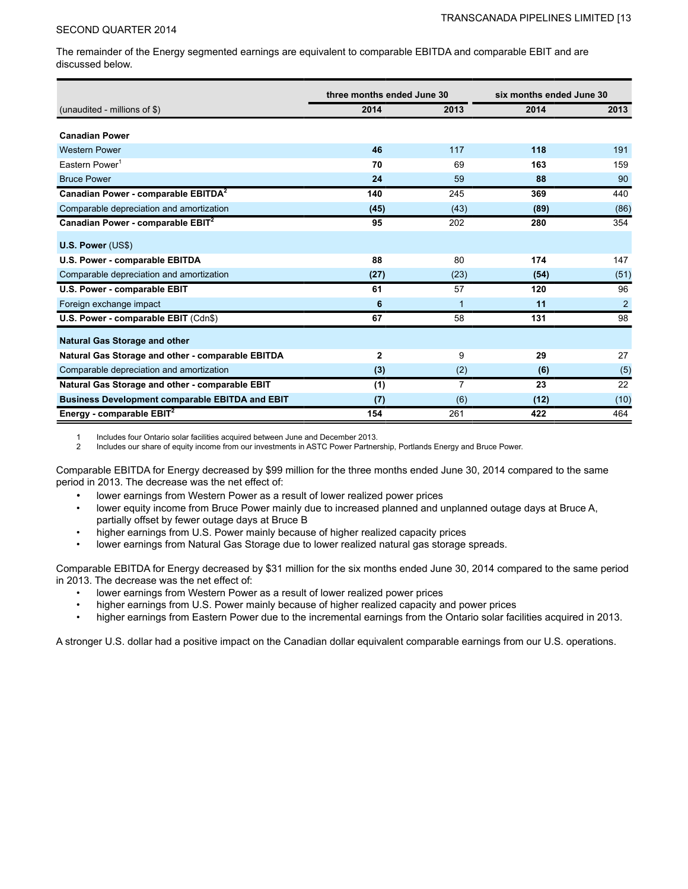The remainder of the Energy segmented earnings are equivalent to comparable EBITDA and comparable EBIT and are discussed below.

|                                                        |      | three months ended June 30<br>six months ended June 30 |      |      |
|--------------------------------------------------------|------|--------------------------------------------------------|------|------|
| (unaudited - millions of \$)                           | 2014 | 2013                                                   | 2014 | 2013 |
|                                                        |      |                                                        |      |      |
| <b>Canadian Power</b>                                  |      |                                                        |      |      |
| <b>Western Power</b>                                   | 46   | 117                                                    | 118  | 191  |
| Eastern Power <sup>1</sup>                             | 70   | 69                                                     | 163  | 159  |
| <b>Bruce Power</b>                                     | 24   | 59                                                     | 88   | 90   |
| Canadian Power - comparable EBITDA <sup>2</sup>        | 140  | 245                                                    | 369  | 440  |
| Comparable depreciation and amortization               | (45) | (43)                                                   | (89) | (86) |
| Canadian Power - comparable EBIT <sup>2</sup>          | 95   | 202                                                    | 280  | 354  |
| U.S. Power (US\$)                                      |      |                                                        |      |      |
| U.S. Power - comparable EBITDA                         | 88   | 80                                                     | 174  | 147  |
| Comparable depreciation and amortization               | (27) | (23)                                                   | (54) | (51) |
| U.S. Power - comparable EBIT                           | 61   | 57                                                     | 120  | 96   |
| Foreign exchange impact                                | 6    | $\mathbf 1$                                            | 11   | 2    |
| U.S. Power - comparable EBIT (Cdn\$)                   | 67   | 58                                                     | 131  | 98   |
| <b>Natural Gas Storage and other</b>                   |      |                                                        |      |      |
| Natural Gas Storage and other - comparable EBITDA      | 2    | 9                                                      | 29   | 27   |
| Comparable depreciation and amortization               | (3)  | (2)                                                    | (6)  | (5)  |
| Natural Gas Storage and other - comparable EBIT        | (1)  | $\overline{7}$                                         | 23   | 22   |
| <b>Business Development comparable EBITDA and EBIT</b> | (7)  | (6)                                                    | (12) | (10) |
| Energy - comparable EBIT <sup>2</sup>                  | 154  | 261                                                    | 422  | 464  |

1 Includes four Ontario solar facilities acquired between June and December 2013.

2 Includes our share of equity income from our investments in ASTC Power Partnership, Portlands Energy and Bruce Power.

Comparable EBITDA for Energy decreased by \$99 million for the three months ended June 30, 2014 compared to the same period in 2013. The decrease was the net effect of:

- lower earnings from Western Power as a result of lower realized power prices
- lower equity income from Bruce Power mainly due to increased planned and unplanned outage days at Bruce A, partially offset by fewer outage days at Bruce B
- higher earnings from U.S. Power mainly because of higher realized capacity prices
- lower earnings from Natural Gas Storage due to lower realized natural gas storage spreads.

Comparable EBITDA for Energy decreased by \$31 million for the six months ended June 30, 2014 compared to the same period in 2013. The decrease was the net effect of:

- lower earnings from Western Power as a result of lower realized power prices
- higher earnings from U.S. Power mainly because of higher realized capacity and power prices
- higher earnings from Eastern Power due to the incremental earnings from the Ontario solar facilities acquired in 2013.

A stronger U.S. dollar had a positive impact on the Canadian dollar equivalent comparable earnings from our U.S. operations.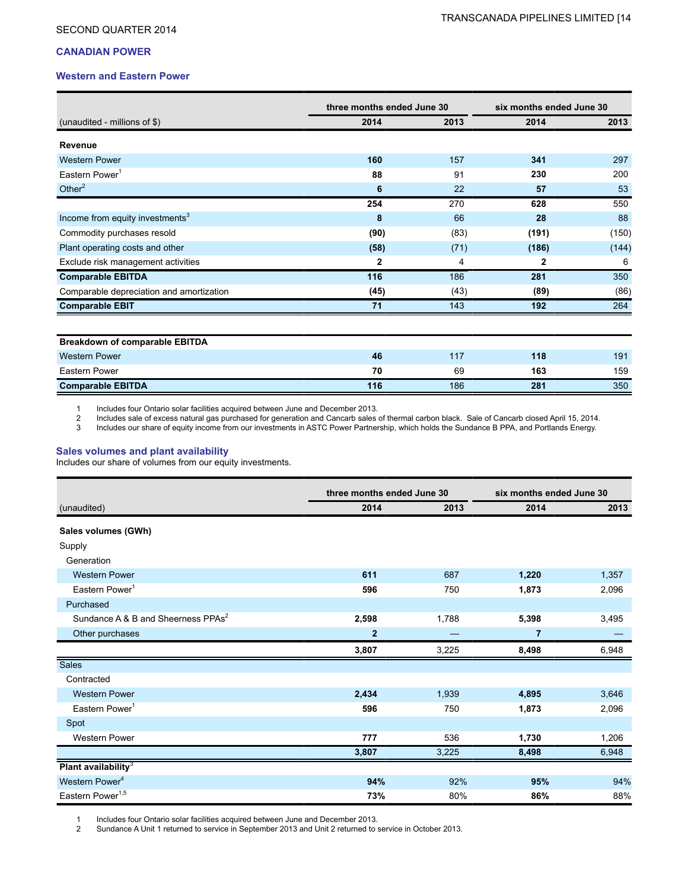#### **CANADIAN POWER**

#### **Western and Eastern Power**

|                                             | three months ended June 30 |      | six months ended June 30 |       |  |
|---------------------------------------------|----------------------------|------|--------------------------|-------|--|
| (unaudited - millions of \$)                | 2014                       | 2013 | 2014                     | 2013  |  |
| Revenue                                     |                            |      |                          |       |  |
| <b>Western Power</b>                        | 160                        | 157  | 341                      | 297   |  |
| Eastern Power <sup>1</sup>                  | 88                         | 91   | 230                      | 200   |  |
| Other $2$                                   | 6                          | 22   | 57                       | 53    |  |
|                                             | 254                        | 270  | 628                      | 550   |  |
| Income from equity investments <sup>3</sup> | 8                          | 66   | 28                       | 88    |  |
| Commodity purchases resold                  | (90)                       | (83) | (191)                    | (150) |  |
| Plant operating costs and other             | (58)                       | (71) | (186)                    | (144) |  |
| Exclude risk management activities          | 2                          | 4    | $\mathbf{2}$             | 6     |  |
| <b>Comparable EBITDA</b>                    | 116                        | 186  | 281                      | 350   |  |
| Comparable depreciation and amortization    | (45)                       | (43) | (89)                     | (86)  |  |
| <b>Comparable EBIT</b>                      | 71                         | 143  | 192                      | 264   |  |
|                                             |                            |      |                          |       |  |
| <b>Breakdown of comparable EBITDA</b>       |                            |      |                          |       |  |
| <b>Western Power</b>                        | 46                         | 117  | 118                      | 191   |  |
| Eastern Power                               | 70                         | 69   | 163                      | 159   |  |
| <b>Comparable EBITDA</b>                    | 116                        | 186  | 281                      | 350   |  |

1 Includes four Ontario solar facilities acquired between June and December 2013.

2 Includes sale of excess natural gas purchased for generation and Cancarb sales of thermal carbon black. Sale of Cancarb closed April 15, 2014.<br>13 Includes our share of equity income from our investments in ASTC Power Par

Includes our share of equity income from our investments in ASTC Power Partnership, which holds the Sundance B PPA, and Portlands Energy.

## **Sales volumes and plant availability**

Includes our share of volumes from our equity investments.

|                                                | three months ended June 30 |       | six months ended June 30 |       |
|------------------------------------------------|----------------------------|-------|--------------------------|-------|
| (unaudited)                                    | 2014                       | 2013  | 2014                     | 2013  |
| Sales volumes (GWh)                            |                            |       |                          |       |
| Supply                                         |                            |       |                          |       |
| Generation                                     |                            |       |                          |       |
| <b>Western Power</b>                           | 611                        | 687   | 1,220                    | 1,357 |
| Eastern Power <sup>1</sup>                     | 596                        | 750   | 1,873                    | 2,096 |
| Purchased                                      |                            |       |                          |       |
| Sundance A & B and Sheerness PPAs <sup>2</sup> | 2,598                      | 1,788 | 5,398                    | 3,495 |
| Other purchases                                | $\mathbf{2}$               |       | $\overline{7}$           |       |
|                                                | 3,807                      | 3,225 | 8,498                    | 6,948 |
| <b>Sales</b>                                   |                            |       |                          |       |
| Contracted                                     |                            |       |                          |       |
| <b>Western Power</b>                           | 2,434                      | 1,939 | 4,895                    | 3,646 |
| Eastern Power <sup>1</sup>                     | 596                        | 750   | 1,873                    | 2,096 |
| Spot                                           |                            |       |                          |       |
| <b>Western Power</b>                           | 777                        | 536   | 1,730                    | 1,206 |
|                                                | 3,807                      | 3,225 | 8,498                    | 6,948 |
| Plant availability <sup>3</sup>                |                            |       |                          |       |
| Western Power <sup>4</sup>                     | 94%                        | 92%   | 95%                      | 94%   |
| Eastern Power <sup>1,5</sup>                   | 73%                        | 80%   | 86%                      | 88%   |

1 Includes four Ontario solar facilities acquired between June and December 2013.

2 Sundance A Unit 1 returned to service in September 2013 and Unit 2 returned to service in October 2013.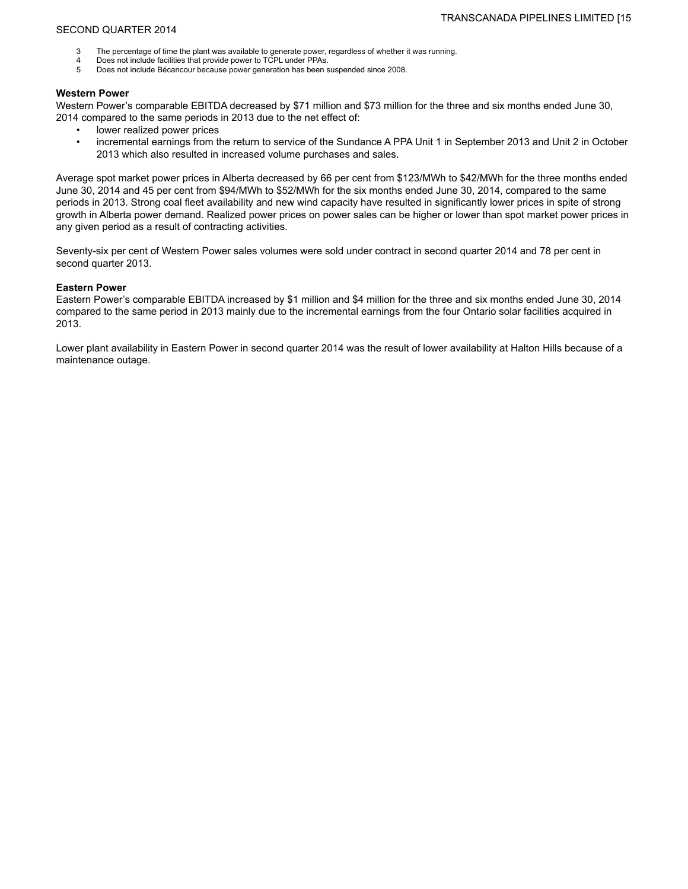- 3 The percentage of time the plant was available to generate power, regardless of whether it was running.
- 4 Does not include facilities that provide power to TCPL under PPAs.
- 5 Does not include Bécancour because power generation has been suspended since 2008.

#### **Western Power**

Western Power's comparable EBITDA decreased by \$71 million and \$73 million for the three and six months ended June 30, 2014 compared to the same periods in 2013 due to the net effect of:

- lower realized power prices
	- incremental earnings from the return to service of the Sundance A PPA Unit 1 in September 2013 and Unit 2 in October 2013 which also resulted in increased volume purchases and sales.

Average spot market power prices in Alberta decreased by 66 per cent from \$123/MWh to \$42/MWh for the three months ended June 30, 2014 and 45 per cent from \$94/MWh to \$52/MWh for the six months ended June 30, 2014, compared to the same periods in 2013. Strong coal fleet availability and new wind capacity have resulted in significantly lower prices in spite of strong growth in Alberta power demand. Realized power prices on power sales can be higher or lower than spot market power prices in any given period as a result of contracting activities.

Seventy-six per cent of Western Power sales volumes were sold under contract in second quarter 2014 and 78 per cent in second quarter 2013.

#### **Eastern Power**

Eastern Power's comparable EBITDA increased by \$1 million and \$4 million for the three and six months ended June 30, 2014 compared to the same period in 2013 mainly due to the incremental earnings from the four Ontario solar facilities acquired in 2013.

Lower plant availability in Eastern Power in second quarter 2014 was the result of lower availability at Halton Hills because of a maintenance outage.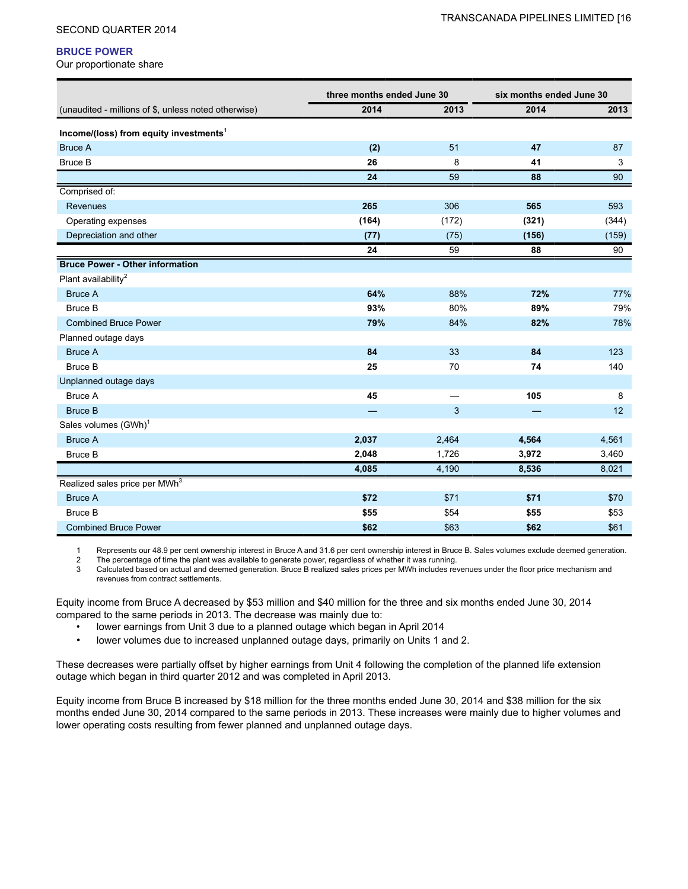#### **BRUCE POWER**

Our proportionate share

|                                                      | three months ended June 30 |       | six months ended June 30 |       |
|------------------------------------------------------|----------------------------|-------|--------------------------|-------|
| (unaudited - millions of \$, unless noted otherwise) | 2014                       | 2013  | 2014                     | 2013  |
| Income/(loss) from equity investments <sup>1</sup>   |                            |       |                          |       |
| <b>Bruce A</b>                                       | (2)                        | 51    | 47                       | 87    |
| <b>Bruce B</b>                                       | 26                         | 8     | 41                       | 3     |
|                                                      | 24                         | 59    | 88                       | 90    |
| Comprised of:                                        |                            |       |                          |       |
| Revenues                                             | 265                        | 306   | 565                      | 593   |
| Operating expenses                                   | (164)                      | (172) | (321)                    | (344) |
| Depreciation and other                               | (77)                       | (75)  | (156)                    | (159) |
|                                                      | 24                         | 59    | 88                       | 90    |
| <b>Bruce Power - Other information</b>               |                            |       |                          |       |
| Plant availability <sup>2</sup>                      |                            |       |                          |       |
| <b>Bruce A</b>                                       | 64%                        | 88%   | 72%                      | 77%   |
| <b>Bruce B</b>                                       | 93%                        | 80%   | 89%                      | 79%   |
| <b>Combined Bruce Power</b>                          | 79%                        | 84%   | 82%                      | 78%   |
| Planned outage days                                  |                            |       |                          |       |
| <b>Bruce A</b>                                       | 84                         | 33    | 84                       | 123   |
| <b>Bruce B</b>                                       | 25                         | 70    | 74                       | 140   |
| Unplanned outage days                                |                            |       |                          |       |
| <b>Bruce A</b>                                       | 45                         |       | 105                      | 8     |
| <b>Bruce B</b>                                       |                            | 3     |                          | 12    |
| Sales volumes (GWh) <sup>1</sup>                     |                            |       |                          |       |
| <b>Bruce A</b>                                       | 2,037                      | 2,464 | 4,564                    | 4,561 |
| <b>Bruce B</b>                                       | 2,048                      | 1,726 | 3,972                    | 3,460 |
|                                                      | 4,085                      | 4,190 | 8,536                    | 8,021 |
| Realized sales price per MWh <sup>3</sup>            |                            |       |                          |       |
| <b>Bruce A</b>                                       | \$72                       | \$71  | \$71                     | \$70  |
| <b>Bruce B</b>                                       | \$55                       | \$54  | \$55                     | \$53  |
| <b>Combined Bruce Power</b>                          | \$62                       | \$63  | \$62                     | \$61  |

1 Represents our 48.9 per cent ownership interest in Bruce A and 31.6 per cent ownership interest in Bruce B. Sales volumes exclude deemed generation.<br>2 The percentage of time the plant was available to generate power, reg

2 The percentage of time the plant was available to generate power, regardless of whether it was running.<br>3 Calculated based on actual and deemed generation. Bruce B realized sales prices per MWh includes rev

Calculated based on actual and deemed generation. Bruce B realized sales prices per MWh includes revenues under the floor price mechanism and revenues from contract settlements.

Equity income from Bruce A decreased by \$53 million and \$40 million for the three and six months ended June 30, 2014 compared to the same periods in 2013. The decrease was mainly due to:

- lower earnings from Unit 3 due to a planned outage which began in April 2014
- lower volumes due to increased unplanned outage days, primarily on Units 1 and 2.

These decreases were partially offset by higher earnings from Unit 4 following the completion of the planned life extension outage which began in third quarter 2012 and was completed in April 2013.

Equity income from Bruce B increased by \$18 million for the three months ended June 30, 2014 and \$38 million for the six months ended June 30, 2014 compared to the same periods in 2013. These increases were mainly due to higher volumes and lower operating costs resulting from fewer planned and unplanned outage days.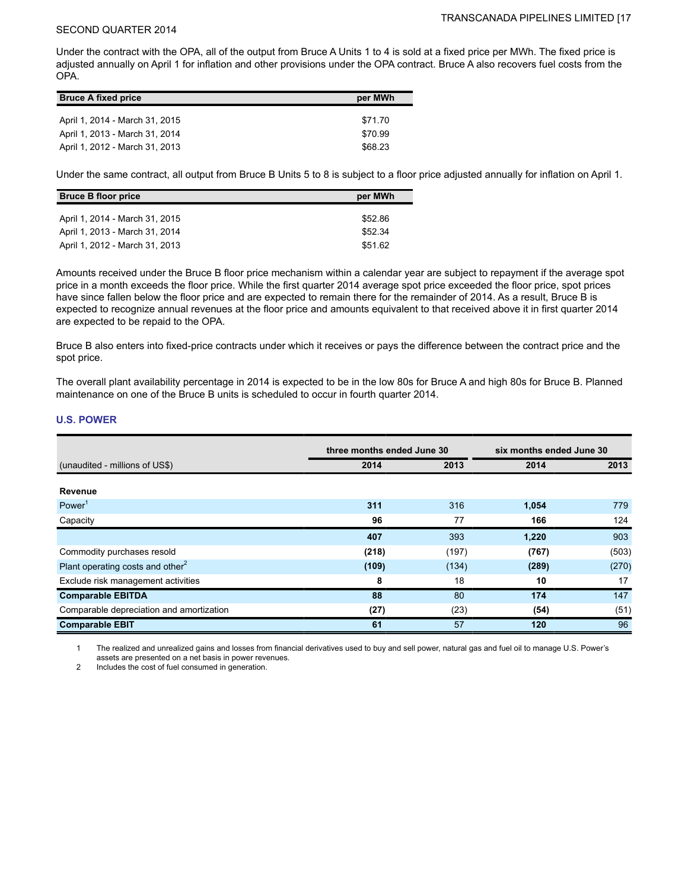Under the contract with the OPA, all of the output from Bruce A Units 1 to 4 is sold at a fixed price per MWh. The fixed price is adjusted annually on April 1 for inflation and other provisions under the OPA contract. Bruce A also recovers fuel costs from the OPA.

| <b>Bruce A fixed price</b>     | per MWh |
|--------------------------------|---------|
| April 1, 2014 - March 31, 2015 | \$71.70 |
| April 1, 2013 - March 31, 2014 | \$70.99 |
| April 1, 2012 - March 31, 2013 | \$68.23 |

Under the same contract, all output from Bruce B Units 5 to 8 is subject to a floor price adjusted annually for inflation on April 1.

| <b>Bruce B floor price</b>     | per MWh |
|--------------------------------|---------|
|                                |         |
| April 1, 2014 - March 31, 2015 | \$52.86 |
| April 1, 2013 - March 31, 2014 | \$52.34 |
| April 1, 2012 - March 31, 2013 | \$51.62 |

Amounts received under the Bruce B floor price mechanism within a calendar year are subject to repayment if the average spot price in a month exceeds the floor price. While the first quarter 2014 average spot price exceeded the floor price, spot prices have since fallen below the floor price and are expected to remain there for the remainder of 2014. As a result, Bruce B is expected to recognize annual revenues at the floor price and amounts equivalent to that received above it in first quarter 2014 are expected to be repaid to the OPA.

Bruce B also enters into fixed-price contracts under which it receives or pays the difference between the contract price and the spot price.

The overall plant availability percentage in 2014 is expected to be in the low 80s for Bruce A and high 80s for Bruce B. Planned maintenance on one of the Bruce B units is scheduled to occur in fourth quarter 2014.

## **U.S. POWER**

|                                              | three months ended June 30 |       | six months ended June 30 |       |
|----------------------------------------------|----------------------------|-------|--------------------------|-------|
| (unaudited - millions of US\$)               | 2014                       | 2013  | 2014                     | 2013  |
| Revenue                                      |                            |       |                          |       |
| Power <sup>1</sup>                           | 311                        | 316   | 1,054                    | 779   |
| Capacity                                     | 96                         | 77    | 166                      | 124   |
|                                              | 407                        | 393   | 1,220                    | 903   |
| Commodity purchases resold                   | (218)                      | (197) | (767)                    | (503) |
| Plant operating costs and other <sup>2</sup> | (109)                      | (134) | (289)                    | (270) |
| Exclude risk management activities           | 8                          | 18    | 10                       | 17    |
| <b>Comparable EBITDA</b>                     | 88                         | 80    | 174                      | 147   |
| Comparable depreciation and amortization     | (27)                       | (23)  | (54)                     | (51)  |
| <b>Comparable EBIT</b>                       | 61                         | 57    | 120                      | 96    |

1 The realized and unrealized gains and losses from financial derivatives used to buy and sell power, natural gas and fuel oil to manage U.S. Power's assets are presented on a net basis in power revenues.

2 Includes the cost of fuel consumed in generation.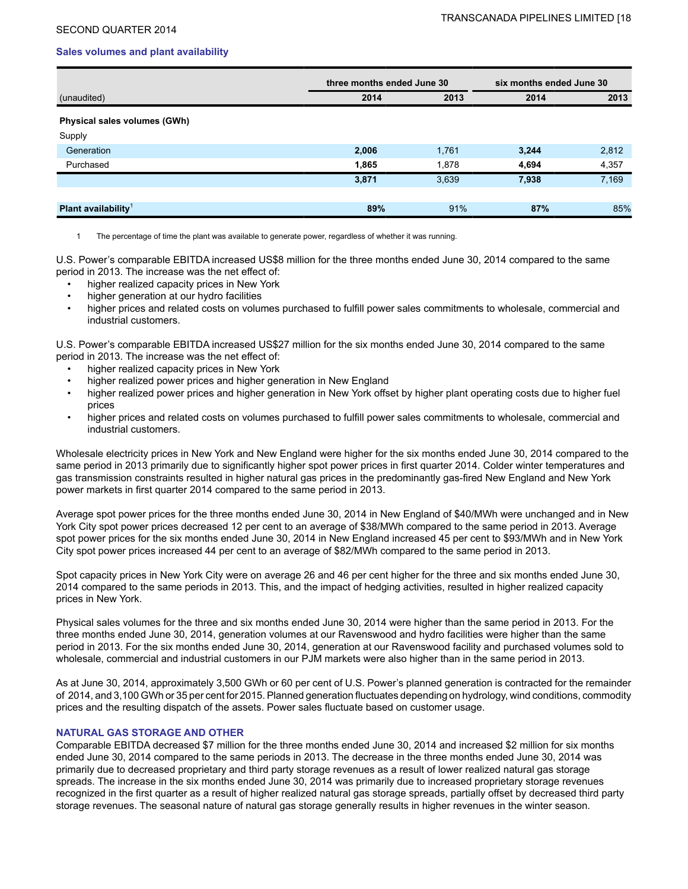## **Sales volumes and plant availability**

|                              |       | three months ended June 30 |       | six months ended June 30 |  |
|------------------------------|-------|----------------------------|-------|--------------------------|--|
| (unaudited)                  | 2014  | 2013                       | 2014  | 2013                     |  |
| Physical sales volumes (GWh) |       |                            |       |                          |  |
| Supply                       |       |                            |       |                          |  |
| Generation                   | 2,006 | 1,761                      | 3,244 | 2,812                    |  |
| Purchased                    | 1,865 | 1,878                      | 4,694 | 4,357                    |  |
|                              | 3,871 | 3,639                      | 7,938 | 7,169                    |  |
|                              |       |                            |       |                          |  |
| Plant availability $^1$      | 89%   | 91%                        | 87%   | 85%                      |  |
|                              |       |                            |       |                          |  |

1 The percentage of time the plant was available to generate power, regardless of whether it was running.

U.S. Power's comparable EBITDA increased US\$8 million for the three months ended June 30, 2014 compared to the same period in 2013. The increase was the net effect of:

- higher realized capacity prices in New York
- higher generation at our hydro facilities
- higher prices and related costs on volumes purchased to fulfill power sales commitments to wholesale, commercial and industrial customers.

U.S. Power's comparable EBITDA increased US\$27 million for the six months ended June 30, 2014 compared to the same period in 2013. The increase was the net effect of:

- higher realized capacity prices in New York
- higher realized power prices and higher generation in New England
- higher realized power prices and higher generation in New York offset by higher plant operating costs due to higher fuel prices
- higher prices and related costs on volumes purchased to fulfill power sales commitments to wholesale, commercial and industrial customers.

Wholesale electricity prices in New York and New England were higher for the six months ended June 30, 2014 compared to the same period in 2013 primarily due to significantly higher spot power prices in first quarter 2014. Colder winter temperatures and gas transmission constraints resulted in higher natural gas prices in the predominantly gas-fired New England and New York power markets in first quarter 2014 compared to the same period in 2013.

Average spot power prices for the three months ended June 30, 2014 in New England of \$40/MWh were unchanged and in New York City spot power prices decreased 12 per cent to an average of \$38/MWh compared to the same period in 2013. Average spot power prices for the six months ended June 30, 2014 in New England increased 45 per cent to \$93/MWh and in New York City spot power prices increased 44 per cent to an average of \$82/MWh compared to the same period in 2013.

Spot capacity prices in New York City were on average 26 and 46 per cent higher for the three and six months ended June 30, 2014 compared to the same periods in 2013. This, and the impact of hedging activities, resulted in higher realized capacity prices in New York.

Physical sales volumes for the three and six months ended June 30, 2014 were higher than the same period in 2013. For the three months ended June 30, 2014, generation volumes at our Ravenswood and hydro facilities were higher than the same period in 2013. For the six months ended June 30, 2014, generation at our Ravenswood facility and purchased volumes sold to wholesale, commercial and industrial customers in our PJM markets were also higher than in the same period in 2013.

As at June 30, 2014, approximately 3,500 GWh or 60 per cent of U.S. Power's planned generation is contracted for the remainder of 2014, and 3,100 GWh or 35 per cent for 2015. Planned generation fluctuates depending on hydrology, wind conditions, commodity prices and the resulting dispatch of the assets. Power sales fluctuate based on customer usage.

## **NATURAL GAS STORAGE AND OTHER**

Comparable EBITDA decreased \$7 million for the three months ended June 30, 2014 and increased \$2 million for six months ended June 30, 2014 compared to the same periods in 2013. The decrease in the three months ended June 30, 2014 was primarily due to decreased proprietary and third party storage revenues as a result of lower realized natural gas storage spreads. The increase in the six months ended June 30, 2014 was primarily due to increased proprietary storage revenues recognized in the first quarter as a result of higher realized natural gas storage spreads, partially offset by decreased third party storage revenues. The seasonal nature of natural gas storage generally results in higher revenues in the winter season.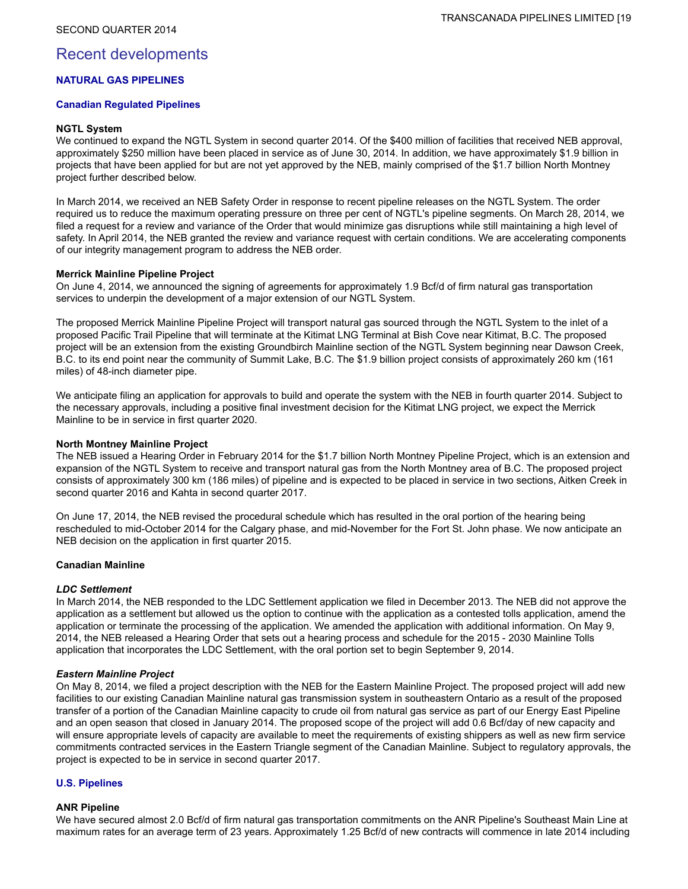## Recent developments

## **NATURAL GAS PIPELINES**

## **Canadian Regulated Pipelines**

## **NGTL System**

We continued to expand the NGTL System in second quarter 2014. Of the \$400 million of facilities that received NEB approval, approximately \$250 million have been placed in service as of June 30, 2014. In addition, we have approximately \$1.9 billion in projects that have been applied for but are not yet approved by the NEB, mainly comprised of the \$1.7 billion North Montney project further described below.

In March 2014, we received an NEB Safety Order in response to recent pipeline releases on the NGTL System. The order required us to reduce the maximum operating pressure on three per cent of NGTL's pipeline segments. On March 28, 2014, we filed a request for a review and variance of the Order that would minimize gas disruptions while still maintaining a high level of safety. In April 2014, the NEB granted the review and variance request with certain conditions. We are accelerating components of our integrity management program to address the NEB order.

#### **Merrick Mainline Pipeline Project**

On June 4, 2014, we announced the signing of agreements for approximately 1.9 Bcf/d of firm natural gas transportation services to underpin the development of a major extension of our NGTL System.

The proposed Merrick Mainline Pipeline Project will transport natural gas sourced through the NGTL System to the inlet of a proposed Pacific Trail Pipeline that will terminate at the Kitimat LNG Terminal at Bish Cove near Kitimat, B.C. The proposed project will be an extension from the existing Groundbirch Mainline section of the NGTL System beginning near Dawson Creek, B.C. to its end point near the community of Summit Lake, B.C. The \$1.9 billion project consists of approximately 260 km (161 miles) of 48-inch diameter pipe.

We anticipate filing an application for approvals to build and operate the system with the NEB in fourth quarter 2014. Subject to the necessary approvals, including a positive final investment decision for the Kitimat LNG project, we expect the Merrick Mainline to be in service in first quarter 2020.

#### **North Montney Mainline Project**

The NEB issued a Hearing Order in February 2014 for the \$1.7 billion North Montney Pipeline Project, which is an extension and expansion of the NGTL System to receive and transport natural gas from the North Montney area of B.C. The proposed project consists of approximately 300 km (186 miles) of pipeline and is expected to be placed in service in two sections, Aitken Creek in second quarter 2016 and Kahta in second quarter 2017.

On June 17, 2014, the NEB revised the procedural schedule which has resulted in the oral portion of the hearing being rescheduled to mid-October 2014 for the Calgary phase, and mid-November for the Fort St. John phase. We now anticipate an NEB decision on the application in first quarter 2015.

#### **Canadian Mainline**

#### *LDC Settlement*

In March 2014, the NEB responded to the LDC Settlement application we filed in December 2013. The NEB did not approve the application as a settlement but allowed us the option to continue with the application as a contested tolls application, amend the application or terminate the processing of the application. We amended the application with additional information. On May 9, 2014, the NEB released a Hearing Order that sets out a hearing process and schedule for the 2015 - 2030 Mainline Tolls application that incorporates the LDC Settlement, with the oral portion set to begin September 9, 2014.

#### *Eastern Mainline Project*

On May 8, 2014, we filed a project description with the NEB for the Eastern Mainline Project. The proposed project will add new facilities to our existing Canadian Mainline natural gas transmission system in southeastern Ontario as a result of the proposed transfer of a portion of the Canadian Mainline capacity to crude oil from natural gas service as part of our Energy East Pipeline and an open season that closed in January 2014. The proposed scope of the project will add 0.6 Bcf/day of new capacity and will ensure appropriate levels of capacity are available to meet the requirements of existing shippers as well as new firm service commitments contracted services in the Eastern Triangle segment of the Canadian Mainline. Subject to regulatory approvals, the project is expected to be in service in second quarter 2017.

## **U.S. Pipelines**

## **ANR Pipeline**

We have secured almost 2.0 Bcf/d of firm natural gas transportation commitments on the ANR Pipeline's Southeast Main Line at maximum rates for an average term of 23 years. Approximately 1.25 Bcf/d of new contracts will commence in late 2014 including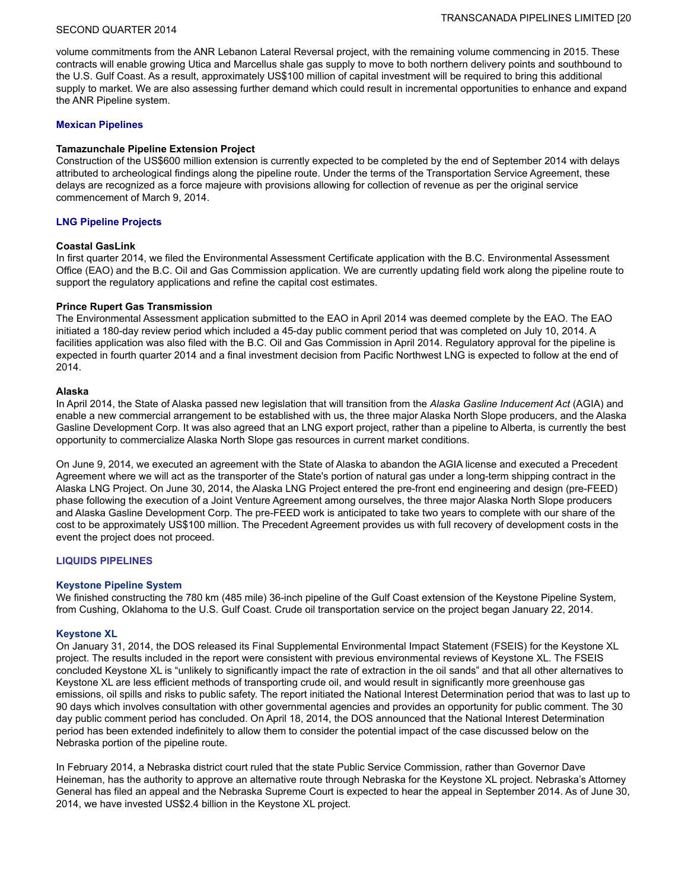volume commitments from the ANR Lebanon Lateral Reversal project, with the remaining volume commencing in 2015. These contracts will enable growing Utica and Marcellus shale gas supply to move to both northern delivery points and southbound to the U.S. Gulf Coast. As a result, approximately US\$100 million of capital investment will be required to bring this additional supply to market. We are also assessing further demand which could result in incremental opportunities to enhance and expand the ANR Pipeline system.

## **Mexican Pipelines**

#### **Tamazunchale Pipeline Extension Project**

Construction of the US\$600 million extension is currently expected to be completed by the end of September 2014 with delays attributed to archeological findings along the pipeline route. Under the terms of the Transportation Service Agreement, these delays are recognized as a force majeure with provisions allowing for collection of revenue as per the original service commencement of March 9, 2014.

#### **LNG Pipeline Projects**

#### **Coastal GasLink**

In first quarter 2014, we filed the Environmental Assessment Certificate application with the B.C. Environmental Assessment Office (EAO) and the B.C. Oil and Gas Commission application. We are currently updating field work along the pipeline route to support the regulatory applications and refine the capital cost estimates.

#### **Prince Rupert Gas Transmission**

The Environmental Assessment application submitted to the EAO in April 2014 was deemed complete by the EAO. The EAO initiated a 180-day review period which included a 45-day public comment period that was completed on July 10, 2014. A facilities application was also filed with the B.C. Oil and Gas Commission in April 2014. Regulatory approval for the pipeline is expected in fourth quarter 2014 and a final investment decision from Pacific Northwest LNG is expected to follow at the end of 2014.

#### **Alaska**

In April 2014, the State of Alaska passed new legislation that will transition from the *Alaska Gasline Inducement Act* (AGIA) and enable a new commercial arrangement to be established with us, the three major Alaska North Slope producers, and the Alaska Gasline Development Corp. It was also agreed that an LNG export project, rather than a pipeline to Alberta, is currently the best opportunity to commercialize Alaska North Slope gas resources in current market conditions.

On June 9, 2014, we executed an agreement with the State of Alaska to abandon the AGIA license and executed a Precedent Agreement where we will act as the transporter of the State's portion of natural gas under a long-term shipping contract in the Alaska LNG Project. On June 30, 2014, the Alaska LNG Project entered the pre-front end engineering and design (pre-FEED) phase following the execution of a Joint Venture Agreement among ourselves, the three major Alaska North Slope producers and Alaska Gasline Development Corp. The pre-FEED work is anticipated to take two years to complete with our share of the cost to be approximately US\$100 million. The Precedent Agreement provides us with full recovery of development costs in the event the project does not proceed.

## **LIQUIDS PIPELINES**

## **Keystone Pipeline System**

We finished constructing the 780 km (485 mile) 36-inch pipeline of the Gulf Coast extension of the Keystone Pipeline System, from Cushing, Oklahoma to the U.S. Gulf Coast. Crude oil transportation service on the project began January 22, 2014.

#### **Keystone XL**

On January 31, 2014, the DOS released its Final Supplemental Environmental Impact Statement (FSEIS) for the Keystone XL project. The results included in the report were consistent with previous environmental reviews of Keystone XL. The FSEIS concluded Keystone XL is "unlikely to significantly impact the rate of extraction in the oil sands" and that all other alternatives to Keystone XL are less efficient methods of transporting crude oil, and would result in significantly more greenhouse gas emissions, oil spills and risks to public safety. The report initiated the National Interest Determination period that was to last up to 90 days which involves consultation with other governmental agencies and provides an opportunity for public comment. The 30 day public comment period has concluded. On April 18, 2014, the DOS announced that the National Interest Determination period has been extended indefinitely to allow them to consider the potential impact of the case discussed below on the Nebraska portion of the pipeline route.

In February 2014, a Nebraska district court ruled that the state Public Service Commission, rather than Governor Dave Heineman, has the authority to approve an alternative route through Nebraska for the Keystone XL project. Nebraska's Attorney General has filed an appeal and the Nebraska Supreme Court is expected to hear the appeal in September 2014. As of June 30, 2014, we have invested US\$2.4 billion in the Keystone XL project.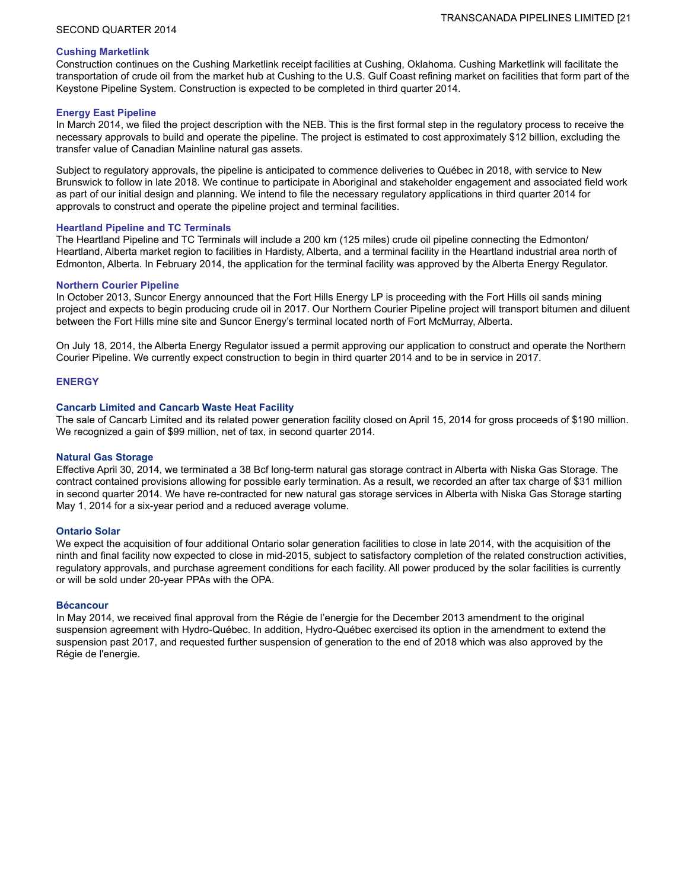#### **Cushing Marketlink**

Construction continues on the Cushing Marketlink receipt facilities at Cushing, Oklahoma. Cushing Marketlink will facilitate the transportation of crude oil from the market hub at Cushing to the U.S. Gulf Coast refining market on facilities that form part of the Keystone Pipeline System. Construction is expected to be completed in third quarter 2014.

#### **Energy East Pipeline**

In March 2014, we filed the project description with the NEB. This is the first formal step in the regulatory process to receive the necessary approvals to build and operate the pipeline. The project is estimated to cost approximately \$12 billion, excluding the transfer value of Canadian Mainline natural gas assets.

Subject to regulatory approvals, the pipeline is anticipated to commence deliveries to Québec in 2018, with service to New Brunswick to follow in late 2018. We continue to participate in Aboriginal and stakeholder engagement and associated field work as part of our initial design and planning. We intend to file the necessary regulatory applications in third quarter 2014 for approvals to construct and operate the pipeline project and terminal facilities.

#### **Heartland Pipeline and TC Terminals**

The Heartland Pipeline and TC Terminals will include a 200 km (125 miles) crude oil pipeline connecting the Edmonton/ Heartland, Alberta market region to facilities in Hardisty, Alberta, and a terminal facility in the Heartland industrial area north of Edmonton, Alberta. In February 2014, the application for the terminal facility was approved by the Alberta Energy Regulator.

#### **Northern Courier Pipeline**

In October 2013, Suncor Energy announced that the Fort Hills Energy LP is proceeding with the Fort Hills oil sands mining project and expects to begin producing crude oil in 2017. Our Northern Courier Pipeline project will transport bitumen and diluent between the Fort Hills mine site and Suncor Energy's terminal located north of Fort McMurray, Alberta.

On July 18, 2014, the Alberta Energy Regulator issued a permit approving our application to construct and operate the Northern Courier Pipeline. We currently expect construction to begin in third quarter 2014 and to be in service in 2017.

#### **ENERGY**

#### **Cancarb Limited and Cancarb Waste Heat Facility**

The sale of Cancarb Limited and its related power generation facility closed on April 15, 2014 for gross proceeds of \$190 million. We recognized a gain of \$99 million, net of tax, in second quarter 2014.

#### **Natural Gas Storage**

Effective April 30, 2014, we terminated a 38 Bcf long-term natural gas storage contract in Alberta with Niska Gas Storage. The contract contained provisions allowing for possible early termination. As a result, we recorded an after tax charge of \$31 million in second quarter 2014. We have re-contracted for new natural gas storage services in Alberta with Niska Gas Storage starting May 1, 2014 for a six-year period and a reduced average volume.

#### **Ontario Solar**

We expect the acquisition of four additional Ontario solar generation facilities to close in late 2014, with the acquisition of the ninth and final facility now expected to close in mid-2015, subject to satisfactory completion of the related construction activities, regulatory approvals, and purchase agreement conditions for each facility. All power produced by the solar facilities is currently or will be sold under 20-year PPAs with the OPA.

#### **Bécancour**

In May 2014, we received final approval from the Régie de l'energie for the December 2013 amendment to the original suspension agreement with Hydro-Québec. In addition, Hydro-Québec exercised its option in the amendment to extend the suspension past 2017, and requested further suspension of generation to the end of 2018 which was also approved by the Régie de l'energie.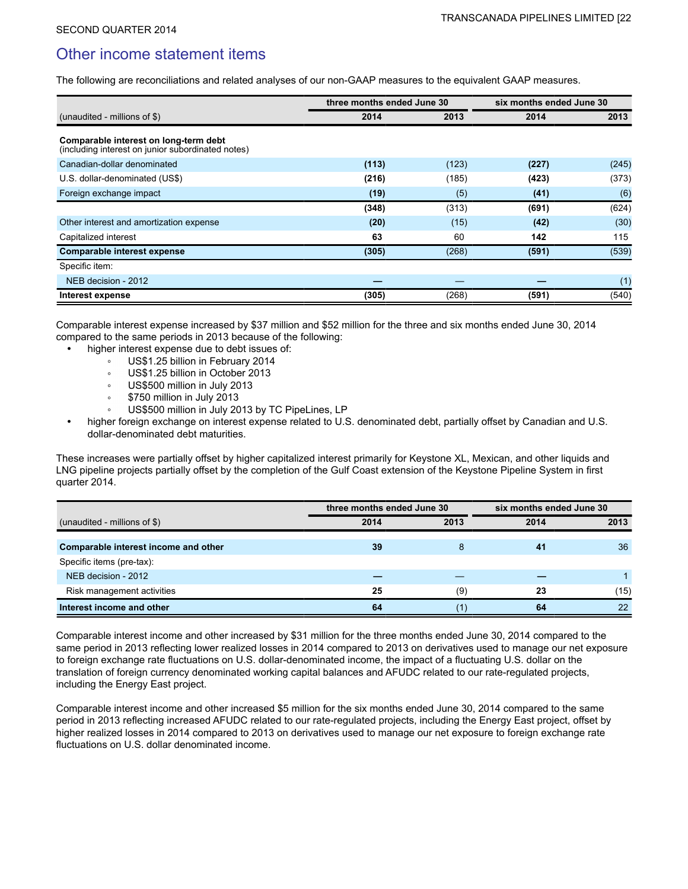# Other income statement items

The following are reconciliations and related analyses of our non-GAAP measures to the equivalent GAAP measures.

|                                                                                            | three months ended June 30 |       | six months ended June 30 |       |
|--------------------------------------------------------------------------------------------|----------------------------|-------|--------------------------|-------|
| (unaudited - millions of \$)                                                               | 2014                       | 2013  | 2014                     | 2013  |
| Comparable interest on long-term debt<br>(including interest on junior subordinated notes) |                            |       |                          |       |
| Canadian-dollar denominated                                                                | (113)                      | (123) | (227)                    | (245) |
| U.S. dollar-denominated (US\$)                                                             | (216)                      | (185) | (423)                    | (373) |
| Foreign exchange impact                                                                    | (19)                       | (5)   | (41)                     | (6)   |
|                                                                                            | (348)                      | (313) | (691)                    | (624) |
| Other interest and amortization expense                                                    | (20)                       | (15)  | (42)                     | (30)  |
| Capitalized interest                                                                       | 63                         | 60    | 142                      | 115   |
| <b>Comparable interest expense</b>                                                         | (305)                      | (268) | (591)                    | (539) |
| Specific item:                                                                             |                            |       |                          |       |
| NEB decision - 2012                                                                        |                            |       |                          | (1)   |
| Interest expense                                                                           | (305)                      | (268) | (591)                    | (540) |

Comparable interest expense increased by \$37 million and \$52 million for the three and six months ended June 30, 2014 compared to the same periods in 2013 because of the following:

- higher interest expense due to debt issues of:
	- US\$1.25 billion in February 2014  $\circ$ 
		- US\$1.25 billion in October 2013  $\circ$
		- US\$500 million in July 2013
		- \$750 million in July 2013
		- US\$500 million in July 2013 by TC PipeLines, LP
- higher foreign exchange on interest expense related to U.S. denominated debt, partially offset by Canadian and U.S. dollar-denominated debt maturities.

These increases were partially offset by higher capitalized interest primarily for Keystone XL, Mexican, and other liquids and LNG pipeline projects partially offset by the completion of the Gulf Coast extension of the Keystone Pipeline System in first quarter 2014.

|                                      | three months ended June 30 |      | six months ended June 30 |      |
|--------------------------------------|----------------------------|------|--------------------------|------|
| (unaudited - millions of \$)         | 2014                       | 2013 | 2014                     | 2013 |
| Comparable interest income and other | 39                         | 8    | 41                       | 36   |
| Specific items (pre-tax):            |                            |      |                          |      |
| NEB decision - 2012                  |                            |      |                          |      |
| Risk management activities           | 25                         | (9)  | 23                       | (15) |
| Interest income and other            | 64                         | (1   | 64                       | 22   |

Comparable interest income and other increased by \$31 million for the three months ended June 30, 2014 compared to the same period in 2013 reflecting lower realized losses in 2014 compared to 2013 on derivatives used to manage our net exposure to foreign exchange rate fluctuations on U.S. dollar-denominated income, the impact of a fluctuating U.S. dollar on the translation of foreign currency denominated working capital balances and AFUDC related to our rate-regulated projects, including the Energy East project.

Comparable interest income and other increased \$5 million for the six months ended June 30, 2014 compared to the same period in 2013 reflecting increased AFUDC related to our rate-regulated projects, including the Energy East project, offset by higher realized losses in 2014 compared to 2013 on derivatives used to manage our net exposure to foreign exchange rate fluctuations on U.S. dollar denominated income.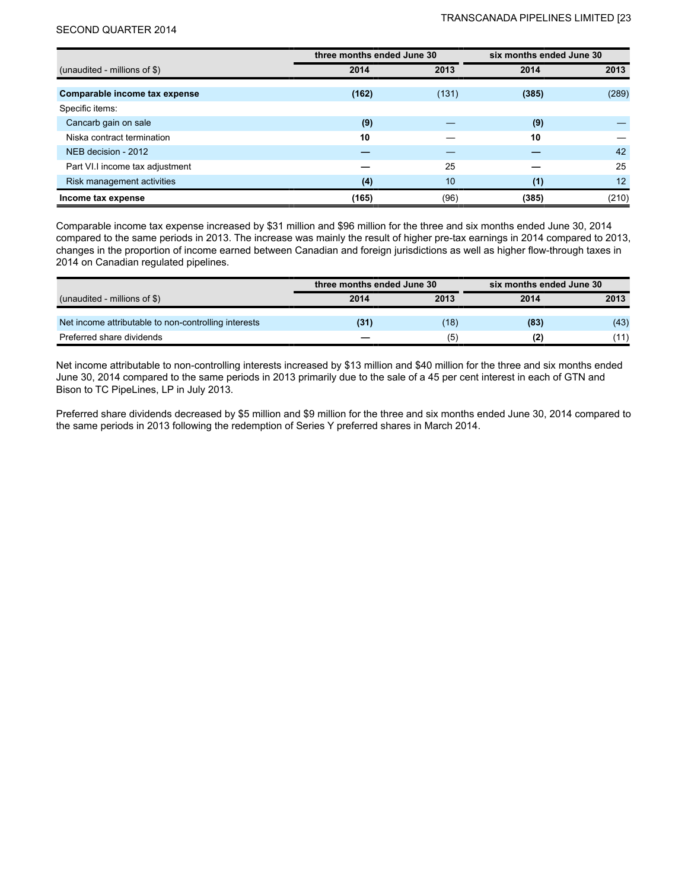|                                 | three months ended June 30 |       | six months ended June 30 |       |
|---------------------------------|----------------------------|-------|--------------------------|-------|
| (unaudited - millions of $$$ )  | 2014                       | 2013  | 2014                     | 2013  |
| Comparable income tax expense   | (162)                      | (131) | (385)                    | (289) |
| Specific items:                 |                            |       |                          |       |
| Cancarb gain on sale            | (9)                        |       | (9)                      |       |
| Niska contract termination      | 10                         |       | 10                       |       |
| NEB decision - 2012             |                            |       |                          | 42    |
| Part VI.I income tax adjustment |                            | 25    |                          | 25    |
| Risk management activities      | (4)                        | 10    | (1)                      | 12    |
| Income tax expense              | (165)                      | (96)  | (385)                    | (210) |

Comparable income tax expense increased by \$31 million and \$96 million for the three and six months ended June 30, 2014 compared to the same periods in 2013. The increase was mainly the result of higher pre-tax earnings in 2014 compared to 2013, changes in the proportion of income earned between Canadian and foreign jurisdictions as well as higher flow-through taxes in 2014 on Canadian regulated pipelines.

|                                                      | three months ended June 30 |      | six months ended June 30 |      |
|------------------------------------------------------|----------------------------|------|--------------------------|------|
| (unaudited - millions of \$)                         | 2014                       | 2013 | 2014                     | 2013 |
| Net income attributable to non-controlling interests | (31)                       | (18) | (83)                     | (43) |
| Preferred share dividends                            |                            | (5)  |                          | (11) |

Net income attributable to non-controlling interests increased by \$13 million and \$40 million for the three and six months ended June 30, 2014 compared to the same periods in 2013 primarily due to the sale of a 45 per cent interest in each of GTN and Bison to TC PipeLines, LP in July 2013.

Preferred share dividends decreased by \$5 million and \$9 million for the three and six months ended June 30, 2014 compared to the same periods in 2013 following the redemption of Series Y preferred shares in March 2014.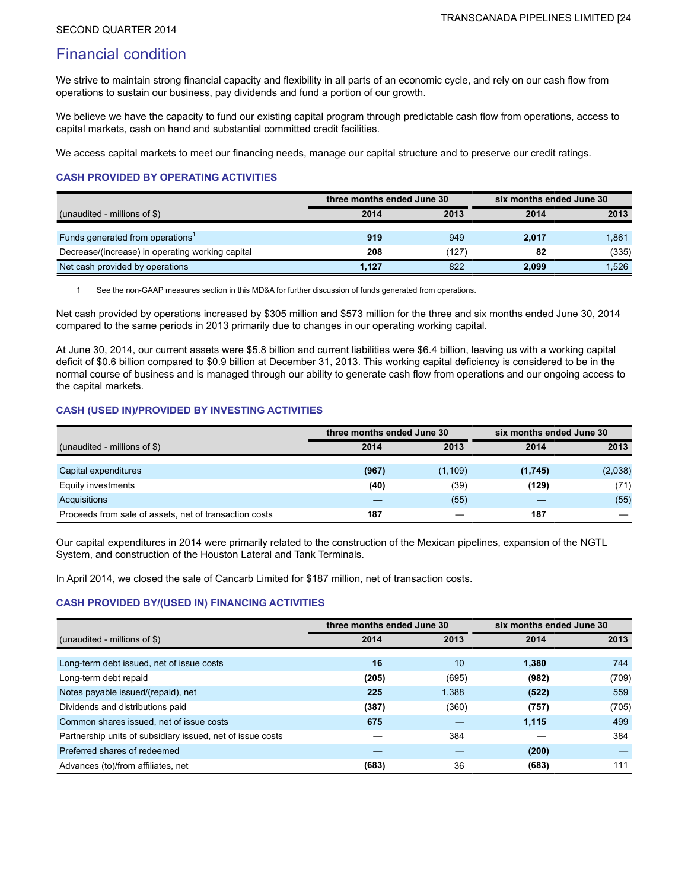# Financial condition

We strive to maintain strong financial capacity and flexibility in all parts of an economic cycle, and rely on our cash flow from operations to sustain our business, pay dividends and fund a portion of our growth.

We believe we have the capacity to fund our existing capital program through predictable cash flow from operations, access to capital markets, cash on hand and substantial committed credit facilities.

We access capital markets to meet our financing needs, manage our capital structure and to preserve our credit ratings.

## **CASH PROVIDED BY OPERATING ACTIVITIES**

|                                                  | three months ended June 30 |       | six months ended June 30 |       |
|--------------------------------------------------|----------------------------|-------|--------------------------|-------|
| (unaudited - millions of \$)                     | 2014                       | 2013  | 2014                     | 2013  |
|                                                  |                            |       |                          |       |
| Funds generated from operations <sup>1</sup>     | 919                        | 949   | 2.017                    | 1.861 |
| Decrease/(increase) in operating working capital | 208                        | (127) | 82                       | (335) |
| Net cash provided by operations                  | 1.127                      | 822   | 2.099                    | 1.526 |

1 See the non-GAAP measures section in this MD&A for further discussion of funds generated from operations.

Net cash provided by operations increased by \$305 million and \$573 million for the three and six months ended June 30, 2014 compared to the same periods in 2013 primarily due to changes in our operating working capital.

At June 30, 2014, our current assets were \$5.8 billion and current liabilities were \$6.4 billion, leaving us with a working capital deficit of \$0.6 billion compared to \$0.9 billion at December 31, 2013. This working capital deficiency is considered to be in the normal course of business and is managed through our ability to generate cash flow from operations and our ongoing access to the capital markets.

## **CASH (USED IN)/PROVIDED BY INVESTING ACTIVITIES**

|                                                        | three months ended June 30 |          | six months ended June 30 |         |
|--------------------------------------------------------|----------------------------|----------|--------------------------|---------|
| (unaudited - millions of \$)                           | 2014                       | 2013     | 2014                     | 2013    |
|                                                        |                            |          |                          |         |
| Capital expenditures                                   | (967)                      | (1, 109) | (1,745)                  | (2,038) |
| Equity investments                                     | (40)                       | (39)     | (129)                    | (71)    |
| Acquisitions                                           |                            | (55)     |                          | (55)    |
| Proceeds from sale of assets, net of transaction costs | 187                        |          | 187                      |         |

Our capital expenditures in 2014 were primarily related to the construction of the Mexican pipelines, expansion of the NGTL System, and construction of the Houston Lateral and Tank Terminals.

In April 2014, we closed the sale of Cancarb Limited for \$187 million, net of transaction costs.

## **CASH PROVIDED BY/(USED IN) FINANCING ACTIVITIES**

|                                                            | three months ended June 30 |       | six months ended June 30 |       |
|------------------------------------------------------------|----------------------------|-------|--------------------------|-------|
| (unaudited - millions of $\$\$ )                           | 2014                       | 2013  | 2014                     | 2013  |
|                                                            |                            |       |                          |       |
| Long-term debt issued, net of issue costs                  | 16                         | 10    | 1.380                    | 744   |
| Long-term debt repaid                                      | (205)                      | (695) | (982)                    | (709) |
| Notes payable issued/(repaid), net                         | 225                        | 1.388 | (522)                    | 559   |
| Dividends and distributions paid                           | (387)                      | (360) | (757)                    | (705) |
| Common shares issued, net of issue costs                   | 675                        |       | 1.115                    | 499   |
| Partnership units of subsidiary issued, net of issue costs |                            | 384   |                          | 384   |
| Preferred shares of redeemed                               |                            |       | (200)                    |       |
| Advances (to)/from affiliates, net                         | (683)                      | 36    | (683)                    | 111   |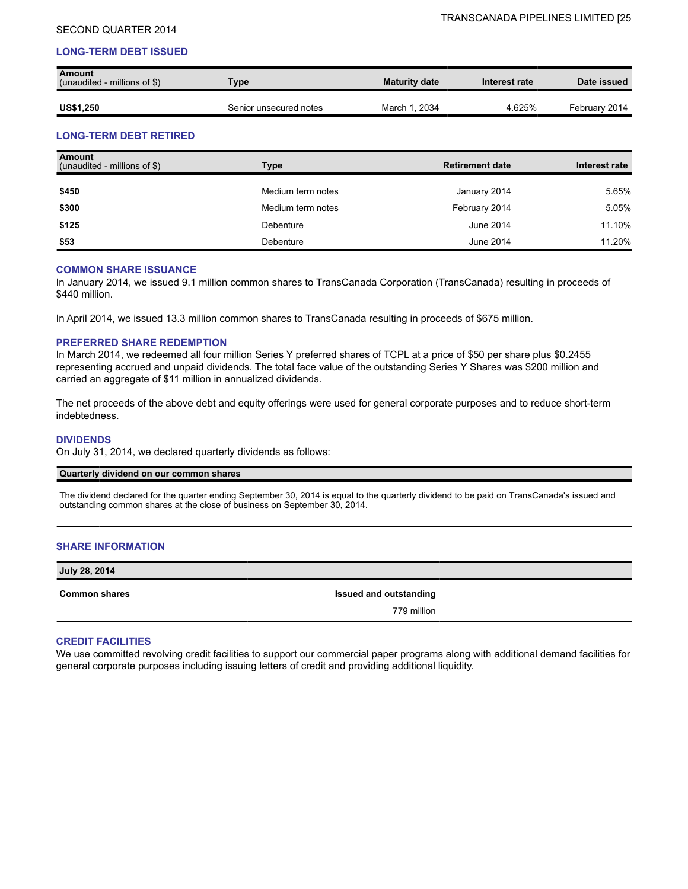#### **LONG-TERM DEBT ISSUED**

| Amount<br>(unaudited - millions of \$) | Type                   | <b>Maturity date</b> | Interest rate | Date issued   |
|----------------------------------------|------------------------|----------------------|---------------|---------------|
| <b>US\$1,250</b>                       | Senior unsecured notes | March 1, 2034        | 4.625%        | February 2014 |

### **LONG-TERM DEBT RETIRED**

| <b>Amount</b><br>(unaudited - millions of $$$ ) | Type              | <b>Retirement date</b> | Interest rate |
|-------------------------------------------------|-------------------|------------------------|---------------|
| \$450                                           | Medium term notes | January 2014           | 5.65%         |
| \$300                                           | Medium term notes | February 2014          | 5.05%         |
| \$125                                           | Debenture         | June 2014              | 11.10%        |
| \$53                                            | Debenture         | June 2014              | 11.20%        |

#### **COMMON SHARE ISSUANCE**

In January 2014, we issued 9.1 million common shares to TransCanada Corporation (TransCanada) resulting in proceeds of \$440 million.

In April 2014, we issued 13.3 million common shares to TransCanada resulting in proceeds of \$675 million.

## **PREFERRED SHARE REDEMPTION**

In March 2014, we redeemed all four million Series Y preferred shares of TCPL at a price of \$50 per share plus \$0.2455 representing accrued and unpaid dividends. The total face value of the outstanding Series Y Shares was \$200 million and carried an aggregate of \$11 million in annualized dividends.

The net proceeds of the above debt and equity offerings were used for general corporate purposes and to reduce short-term indebtedness.

#### **DIVIDENDS**

On July 31, 2014, we declared quarterly dividends as follows:

#### **Quarterly dividend on our common shares**

The dividend declared for the quarter ending September 30, 2014 is equal to the quarterly dividend to be paid on TransCanada's issued and outstanding common shares at the close of business on September 30, 2014.

## **SHARE INFORMATION**

| July 28, 2014        |                        |  |
|----------------------|------------------------|--|
| <b>Common shares</b> | Issued and outstanding |  |
|                      | 779 million            |  |

## **CREDIT FACILITIES**

We use committed revolving credit facilities to support our commercial paper programs along with additional demand facilities for general corporate purposes including issuing letters of credit and providing additional liquidity.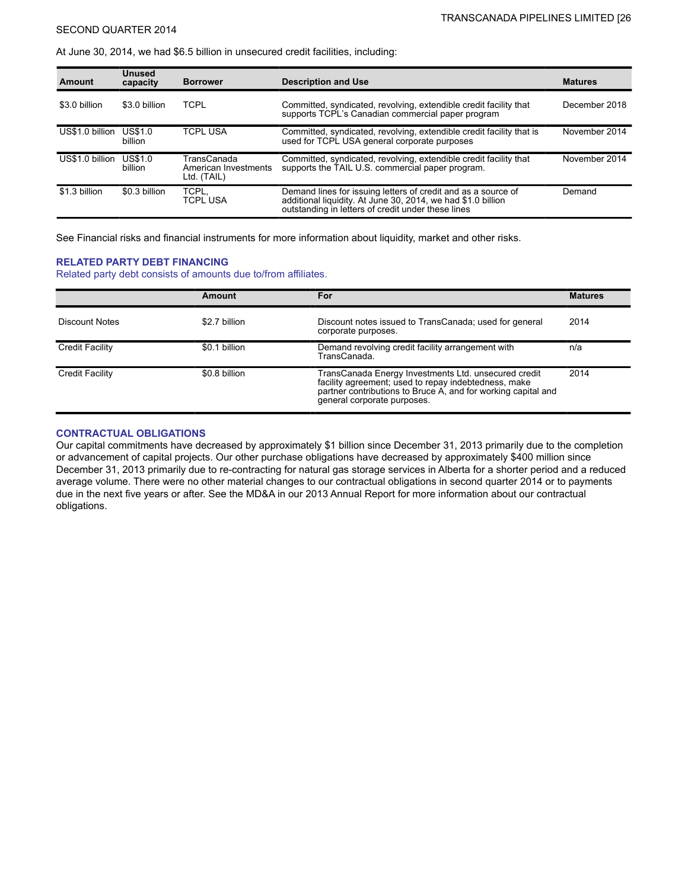At June 30, 2014, we had \$6.5 billion in unsecured credit facilities, including:

| Amount          | Unused<br>capacity        | <b>Borrower</b>                                    | <b>Description and Use</b>                                                                                                                                                          | <b>Matures</b> |
|-----------------|---------------------------|----------------------------------------------------|-------------------------------------------------------------------------------------------------------------------------------------------------------------------------------------|----------------|
| \$3.0 billion   | \$3.0 billion             | <b>TCPL</b>                                        | Committed, syndicated, revolving, extendible credit facility that<br>supports TCPL's Canadian commercial paper program                                                              | December 2018  |
| US\$1.0 billion | <b>US\$1.0</b><br>billion | <b>TCPL USA</b>                                    | Committed, syndicated, revolving, extendible credit facility that is<br>used for TCPL USA general corporate purposes                                                                | November 2014  |
| US\$1.0 billion | <b>US\$1.0</b><br>billion | TransCanada<br>American Investments<br>Ltd. (TAIL) | Committed, syndicated, revolving, extendible credit facility that<br>supports the TAIL U.S. commercial paper program.                                                               | November 2014  |
| \$1.3 billion   | \$0.3 billion             | TCPL.<br><b>TCPL USA</b>                           | Demand lines for issuing letters of credit and as a source of<br>additional liquidity. At June 30, 2014, we had \$1.0 billion<br>outstanding in letters of credit under these lines | Demand         |

See Financial risks and financial instruments for more information about liquidity, market and other risks.

## **RELATED PARTY DEBT FINANCING**

Related party debt consists of amounts due to/from affiliates.

|                 | Amount        | For                                                                                                                                                                                                          | <b>Matures</b> |
|-----------------|---------------|--------------------------------------------------------------------------------------------------------------------------------------------------------------------------------------------------------------|----------------|
| Discount Notes  | \$2.7 billion | Discount notes issued to TransCanada; used for general<br>corporate purposes.                                                                                                                                | 2014           |
| Credit Facility | \$0.1 billion | Demand revolving credit facility arrangement with<br>TransCanada.                                                                                                                                            | n/a            |
| Credit Facility | \$0.8 billion | TransCanada Energy Investments Ltd. unsecured credit<br>facility agreement; used to repay indebtedness, make<br>partner contributions to Bruce A, and for working capital and<br>general corporate purposes. | 2014           |

## **CONTRACTUAL OBLIGATIONS**

Our capital commitments have decreased by approximately \$1 billion since December 31, 2013 primarily due to the completion or advancement of capital projects. Our other purchase obligations have decreased by approximately \$400 million since December 31, 2013 primarily due to re-contracting for natural gas storage services in Alberta for a shorter period and a reduced average volume. There were no other material changes to our contractual obligations in second quarter 2014 or to payments due in the next five years or after. See the MD&A in our 2013 Annual Report for more information about our contractual obligations.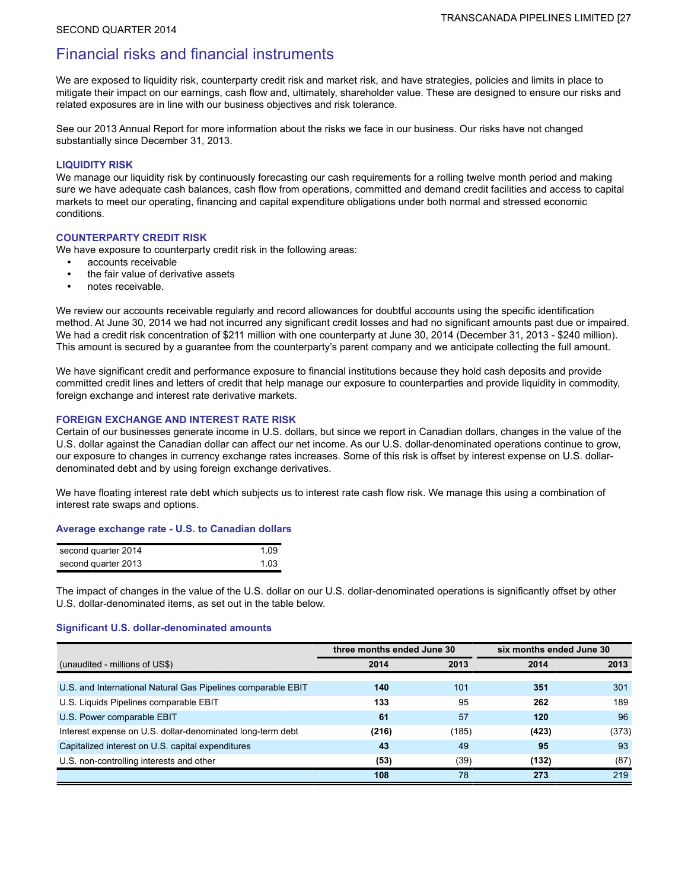# Financial risks and financial instruments

We are exposed to liquidity risk, counterparty credit risk and market risk, and have strategies, policies and limits in place to mitigate their impact on our earnings, cash flow and, ultimately, shareholder value. These are designed to ensure our risks and related exposures are in line with our business objectives and risk tolerance.

See our 2013 Annual Report for more information about the risks we face in our business. Our risks have not changed substantially since December 31, 2013.

## **LIQUIDITY RISK**

We manage our liquidity risk by continuously forecasting our cash requirements for a rolling twelve month period and making sure we have adequate cash balances, cash flow from operations, committed and demand credit facilities and access to capital markets to meet our operating, financing and capital expenditure obligations under both normal and stressed economic conditions.

## **COUNTERPARTY CREDIT RISK**

We have exposure to counterparty credit risk in the following areas:

- accounts receivable
- the fair value of derivative assets
- notes receivable.

We review our accounts receivable regularly and record allowances for doubtful accounts using the specific identification method. At June 30, 2014 we had not incurred any significant credit losses and had no significant amounts past due or impaired. We had a credit risk concentration of \$211 million with one counterparty at June 30, 2014 (December 31, 2013 - \$240 million). This amount is secured by a guarantee from the counterparty's parent company and we anticipate collecting the full amount.

We have significant credit and performance exposure to financial institutions because they hold cash deposits and provide committed credit lines and letters of credit that help manage our exposure to counterparties and provide liquidity in commodity, foreign exchange and interest rate derivative markets.

## **FOREIGN EXCHANGE AND INTEREST RATE RISK**

Certain of our businesses generate income in U.S. dollars, but since we report in Canadian dollars, changes in the value of the U.S. dollar against the Canadian dollar can affect our net income. As our U.S. dollar-denominated operations continue to grow, our exposure to changes in currency exchange rates increases. Some of this risk is offset by interest expense on U.S. dollardenominated debt and by using foreign exchange derivatives.

We have floating interest rate debt which subjects us to interest rate cash flow risk. We manage this using a combination of interest rate swaps and options.

## **Average exchange rate - U.S. to Canadian dollars**

| second quarter 2014 | 1.09 |
|---------------------|------|
| second quarter 2013 | 1.03 |

The impact of changes in the value of the U.S. dollar on our U.S. dollar-denominated operations is significantly offset by other U.S. dollar-denominated items, as set out in the table below.

## **Significant U.S. dollar-denominated amounts**

|                                                              | three months ended June 30 |       | six months ended June 30 |       |
|--------------------------------------------------------------|----------------------------|-------|--------------------------|-------|
| (unaudited - millions of US\$)                               | 2014                       | 2013  | 2014                     | 2013  |
|                                                              |                            |       |                          |       |
| U.S. and International Natural Gas Pipelines comparable EBIT | 140                        | 101   | 351                      | 301   |
| U.S. Liquids Pipelines comparable EBIT                       | 133                        | 95    | 262                      | 189   |
| U.S. Power comparable EBIT                                   | 61                         | 57    | 120                      | 96    |
| Interest expense on U.S. dollar-denominated long-term debt   | (216)                      | (185) | (423)                    | (373) |
| Capitalized interest on U.S. capital expenditures            | 43                         | 49    | 95                       | 93    |
| U.S. non-controlling interests and other                     | (53)                       | (39)  | (132)                    | (87)  |
|                                                              | 108                        | 78    | 273                      | 219   |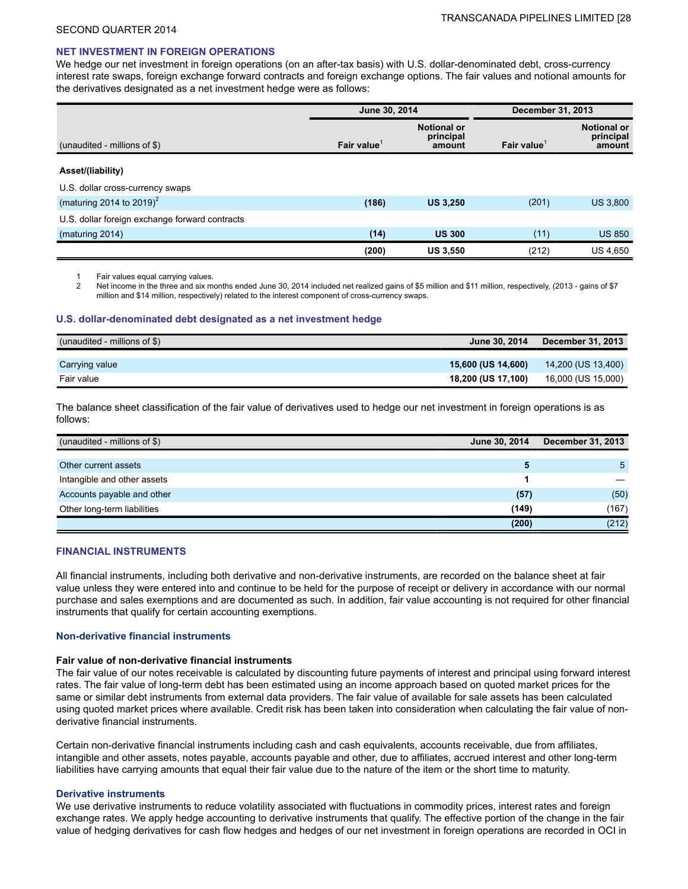#### **NET INVESTMENT IN FOREIGN OPERATIONS**

We hedge our net investment in foreign operations (on an after-tax basis) with U.S. dollar-denominated debt, cross-currency interest rate swaps, foreign exchange forward contracts and foreign exchange options. The fair values and notional amounts for the derivatives designated as a net investment hedge were as follows:

|                                                | June 30, 2014  |                                           | December 31, 2013 |                                           |
|------------------------------------------------|----------------|-------------------------------------------|-------------------|-------------------------------------------|
| (unaudited - millions of $$$ )                 | Fair value $1$ | <b>Notional or</b><br>principal<br>amount | Fair value        | <b>Notional or</b><br>principal<br>amount |
| Asset/(liability)                              |                |                                           |                   |                                           |
| U.S. dollar cross-currency swaps               |                |                                           |                   |                                           |
| (maturing 2014 to 2019) <sup>2</sup>           | (186)          | <b>US 3,250</b>                           | (201)             | <b>US 3,800</b>                           |
| U.S. dollar foreign exchange forward contracts |                |                                           |                   |                                           |
| (maturing 2014)                                | (14)           | <b>US 300</b>                             | (11)              | <b>US 850</b>                             |
|                                                | (200)          | <b>US 3,550</b>                           | (212)             | <b>US 4,650</b>                           |

Fair values equal carrying values.

2 Net income in the three and six months ended June 30, 2014 included net realized gains of \$5 million and \$11 million, respectively, (2013 - gains of \$7 million and \$14 million, respectively) related to the interest component of cross-currency swaps.

#### **U.S. dollar-denominated debt designated as a net investment hedge**

| (unaudited - millions of \$) | June 30, 2014             | <b>December 31, 2013</b> |
|------------------------------|---------------------------|--------------------------|
| Carrying value               | <b>15,600 (US 14,600)</b> | 14,200 (US 13,400)       |
| Fair value                   | 18,200 (US 17,100)        | 16,000 (US 15,000)       |

The balance sheet classification of the fair value of derivatives used to hedge our net investment in foreign operations is as follows:

| (unaudited - millions of $\$\$ ) | June 30, 2014 | December 31, 2013 |
|----------------------------------|---------------|-------------------|
|                                  |               |                   |
| Other current assets             |               | 5.                |
| Intangible and other assets      |               |                   |
| Accounts payable and other       | (57)          | (50)              |
| Other long-term liabilities      | (149)         | (167)             |
|                                  | (200)         | (212)             |

#### **FINANCIAL INSTRUMENTS**

All financial instruments, including both derivative and non-derivative instruments, are recorded on the balance sheet at fair value unless they were entered into and continue to be held for the purpose of receipt or delivery in accordance with our normal purchase and sales exemptions and are documented as such. In addition, fair value accounting is not required for other financial instruments that qualify for certain accounting exemptions.

#### **Non-derivative financial instruments**

#### **Fair value of non-derivative financial instruments**

The fair value of our notes receivable is calculated by discounting future payments of interest and principal using forward interest rates. The fair value of long-term debt has been estimated using an income approach based on quoted market prices for the same or similar debt instruments from external data providers. The fair value of available for sale assets has been calculated using quoted market prices where available. Credit risk has been taken into consideration when calculating the fair value of nonderivative financial instruments.

Certain non-derivative financial instruments including cash and cash equivalents, accounts receivable, due from affiliates, intangible and other assets, notes payable, accounts payable and other, due to affiliates, accrued interest and other long-term liabilities have carrying amounts that equal their fair value due to the nature of the item or the short time to maturity.

#### **Derivative instruments**

We use derivative instruments to reduce volatility associated with fluctuations in commodity prices, interest rates and foreign exchange rates. We apply hedge accounting to derivative instruments that qualify. The effective portion of the change in the fair value of hedging derivatives for cash flow hedges and hedges of our net investment in foreign operations are recorded in OCI in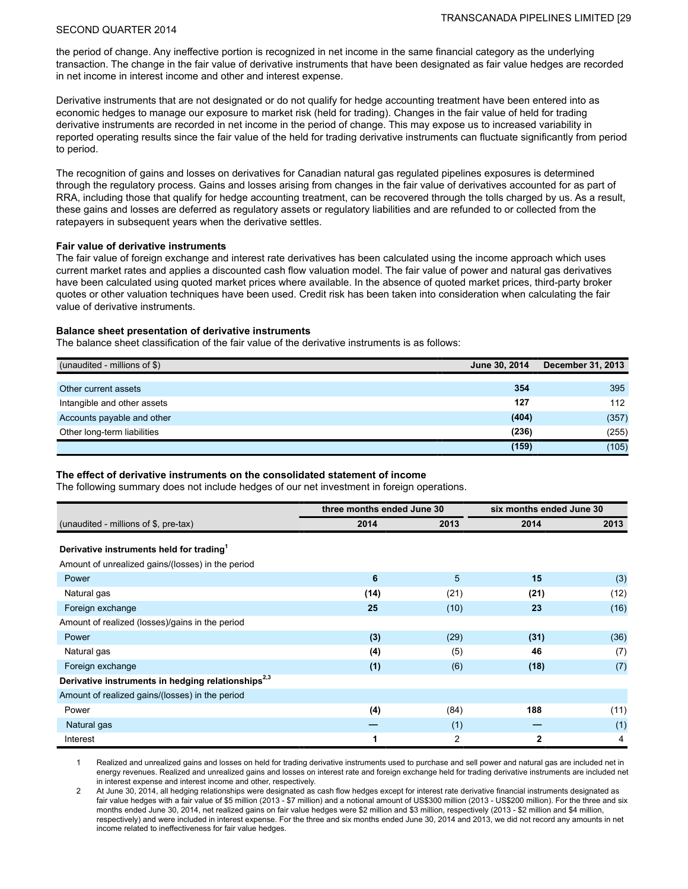the period of change. Any ineffective portion is recognized in net income in the same financial category as the underlying transaction. The change in the fair value of derivative instruments that have been designated as fair value hedges are recorded in net income in interest income and other and interest expense.

Derivative instruments that are not designated or do not qualify for hedge accounting treatment have been entered into as economic hedges to manage our exposure to market risk (held for trading). Changes in the fair value of held for trading derivative instruments are recorded in net income in the period of change. This may expose us to increased variability in reported operating results since the fair value of the held for trading derivative instruments can fluctuate significantly from period to period.

The recognition of gains and losses on derivatives for Canadian natural gas regulated pipelines exposures is determined through the regulatory process. Gains and losses arising from changes in the fair value of derivatives accounted for as part of RRA, including those that qualify for hedge accounting treatment, can be recovered through the tolls charged by us. As a result, these gains and losses are deferred as regulatory assets or regulatory liabilities and are refunded to or collected from the ratepayers in subsequent years when the derivative settles.

#### **Fair value of derivative instruments**

The fair value of foreign exchange and interest rate derivatives has been calculated using the income approach which uses current market rates and applies a discounted cash flow valuation model. The fair value of power and natural gas derivatives have been calculated using quoted market prices where available. In the absence of quoted market prices, third-party broker quotes or other valuation techniques have been used. Credit risk has been taken into consideration when calculating the fair value of derivative instruments.

#### **Balance sheet presentation of derivative instruments**

The balance sheet classification of the fair value of the derivative instruments is as follows:

| (unaudited - millions of $$$ ) | June 30, 2014 | December 31, 2013 |
|--------------------------------|---------------|-------------------|
|                                |               |                   |
| Other current assets           | 354           | 395               |
| Intangible and other assets    | 127           | 112               |
| Accounts payable and other     | (404)         | (357)             |
| Other long-term liabilities    | (236)         | (255)             |
|                                | (159)         | (105)             |

#### **The effect of derivative instruments on the consolidated statement of income**

The following summary does not include hedges of our net investment in foreign operations.

|                                                                | three months ended June 30 |                | six months ended June 30 |      |  |
|----------------------------------------------------------------|----------------------------|----------------|--------------------------|------|--|
| (unaudited - millions of \$, pre-tax)                          | 2014                       | 2013           | 2014                     | 2013 |  |
| Derivative instruments held for trading <sup>1</sup>           |                            |                |                          |      |  |
| Amount of unrealized gains/(losses) in the period              |                            |                |                          |      |  |
| Power                                                          | 6                          | 5              | 15                       | (3)  |  |
| Natural gas                                                    | (14)                       | (21)           | (21)                     | (12) |  |
| Foreign exchange                                               | 25                         | (10)           | 23                       | (16) |  |
| Amount of realized (losses)/gains in the period                |                            |                |                          |      |  |
| Power                                                          | (3)                        | (29)           | (31)                     | (36) |  |
| Natural gas                                                    | (4)                        | (5)            | 46                       | (7)  |  |
| Foreign exchange                                               | (1)                        | (6)            | (18)                     | (7)  |  |
| Derivative instruments in hedging relationships <sup>2,3</sup> |                            |                |                          |      |  |
| Amount of realized gains/(losses) in the period                |                            |                |                          |      |  |
| Power                                                          | (4)                        | (84)           | 188                      | (11) |  |
| Natural gas                                                    |                            | (1)            |                          | (1)  |  |
| Interest                                                       | 1                          | $\overline{2}$ | 2                        | 4    |  |

1 Realized and unrealized gains and losses on held for trading derivative instruments used to purchase and sell power and natural gas are included net in energy revenues. Realized and unrealized gains and losses on interest rate and foreign exchange held for trading derivative instruments are included net in interest expense and interest income and other, respectively.

2 At June 30, 2014, all hedging relationships were designated as cash flow hedges except for interest rate derivative financial instruments designated as fair value hedges with a fair value of \$5 million (2013 - \$7 million) and a notional amount of US\$300 million (2013 - US\$200 million). For the three and six months ended June 30, 2014, net realized gains on fair value hedges were \$2 million and \$3 million, respectively (2013 - \$2 million and \$4 million, respectively) and were included in interest expense. For the three and six months ended June 30, 2014 and 2013, we did not record any amounts in net income related to ineffectiveness for fair value hedges.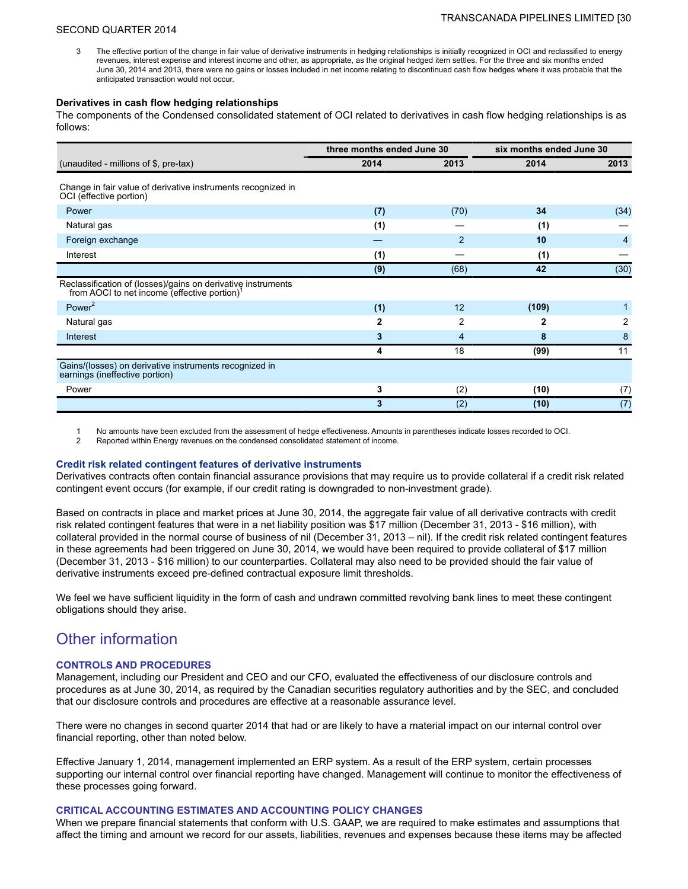3 The effective portion of the change in fair value of derivative instruments in hedging relationships is initially recognized in OCI and reclassified to energy revenues, interest expense and interest income and other, as appropriate, as the original hedged item settles. For the three and six months ended June 30, 2014 and 2013, there were no gains or losses included in net income relating to discontinued cash flow hedges where it was probable that the anticipated transaction would not occur.

## **Derivatives in cash flow hedging relationships**

The components of the Condensed consolidated statement of OCI related to derivatives in cash flow hedging relationships is as follows:

|                                                                                                                          | three months ended June 30 |                |       | six months ended June 30 |  |  |
|--------------------------------------------------------------------------------------------------------------------------|----------------------------|----------------|-------|--------------------------|--|--|
| (unaudited - millions of \$, pre-tax)                                                                                    | 2014                       | 2013           | 2014  | 2013                     |  |  |
| Change in fair value of derivative instruments recognized in<br>OCI (effective portion)                                  |                            |                |       |                          |  |  |
| Power                                                                                                                    | (7)                        | (70)           | 34    | (34)                     |  |  |
| Natural gas                                                                                                              | (1)                        |                | (1)   |                          |  |  |
| Foreign exchange                                                                                                         |                            | $\overline{2}$ | 10    | 4                        |  |  |
| Interest                                                                                                                 | (1)                        |                | (1)   |                          |  |  |
|                                                                                                                          | (9)                        | (68)           | 42    | (30)                     |  |  |
| Reclassification of (losses)/gains on derivative instruments<br>from AOCI to net income (effective portion) <sup>1</sup> |                            |                |       |                          |  |  |
| Power $^2$                                                                                                               | (1)                        | 12             | (109) |                          |  |  |
| Natural gas                                                                                                              | 2                          | 2              | 2     | 2                        |  |  |
| <b>Interest</b>                                                                                                          | 3                          | 4              | 8     | 8                        |  |  |
|                                                                                                                          | 4                          | 18             | (99)  | 11                       |  |  |
| Gains/(losses) on derivative instruments recognized in<br>earnings (ineffective portion)                                 |                            |                |       |                          |  |  |
| Power                                                                                                                    | 3                          | (2)            | (10)  | (7)                      |  |  |
|                                                                                                                          | 3                          | (2)            | (10)  | (7)                      |  |  |

1 No amounts have been excluded from the assessment of hedge effectiveness. Amounts in parentheses indicate losses recorded to OCI.

2 Reported within Energy revenues on the condensed consolidated statement of income.

#### **Credit risk related contingent features of derivative instruments**

Derivatives contracts often contain financial assurance provisions that may require us to provide collateral if a credit risk related contingent event occurs (for example, if our credit rating is downgraded to non-investment grade).

Based on contracts in place and market prices at June 30, 2014, the aggregate fair value of all derivative contracts with credit risk related contingent features that were in a net liability position was \$17 million (December 31, 2013 - \$16 million), with collateral provided in the normal course of business of nil (December 31, 2013 – nil). If the credit risk related contingent features in these agreements had been triggered on June 30, 2014, we would have been required to provide collateral of \$17 million (December 31, 2013 - \$16 million) to our counterparties. Collateral may also need to be provided should the fair value of derivative instruments exceed pre-defined contractual exposure limit thresholds.

We feel we have sufficient liquidity in the form of cash and undrawn committed revolving bank lines to meet these contingent obligations should they arise.

## Other information

## **CONTROLS AND PROCEDURES**

Management, including our President and CEO and our CFO, evaluated the effectiveness of our disclosure controls and procedures as at June 30, 2014, as required by the Canadian securities regulatory authorities and by the SEC, and concluded that our disclosure controls and procedures are effective at a reasonable assurance level.

There were no changes in second quarter 2014 that had or are likely to have a material impact on our internal control over financial reporting, other than noted below.

Effective January 1, 2014, management implemented an ERP system. As a result of the ERP system, certain processes supporting our internal control over financial reporting have changed. Management will continue to monitor the effectiveness of these processes going forward.

## **CRITICAL ACCOUNTING ESTIMATES AND ACCOUNTING POLICY CHANGES**

When we prepare financial statements that conform with U.S. GAAP, we are required to make estimates and assumptions that affect the timing and amount we record for our assets, liabilities, revenues and expenses because these items may be affected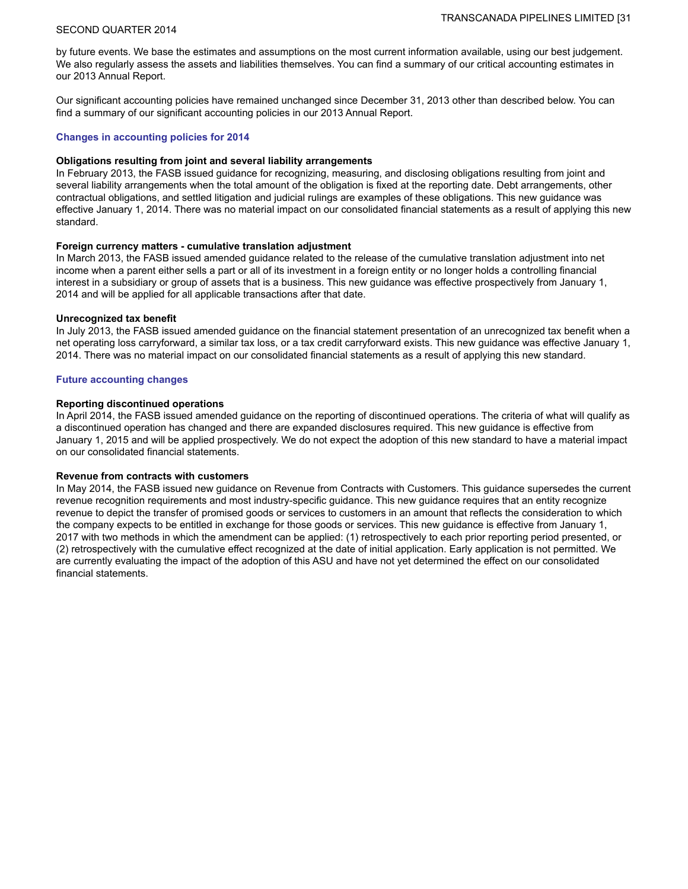by future events. We base the estimates and assumptions on the most current information available, using our best judgement. We also regularly assess the assets and liabilities themselves. You can find a summary of our critical accounting estimates in our 2013 Annual Report.

Our significant accounting policies have remained unchanged since December 31, 2013 other than described below. You can find a summary of our significant accounting policies in our 2013 Annual Report.

#### **Changes in accounting policies for 2014**

#### **Obligations resulting from joint and several liability arrangements**

In February 2013, the FASB issued guidance for recognizing, measuring, and disclosing obligations resulting from joint and several liability arrangements when the total amount of the obligation is fixed at the reporting date. Debt arrangements, other contractual obligations, and settled litigation and judicial rulings are examples of these obligations. This new guidance was effective January 1, 2014. There was no material impact on our consolidated financial statements as a result of applying this new standard.

#### **Foreign currency matters - cumulative translation adjustment**

In March 2013, the FASB issued amended guidance related to the release of the cumulative translation adjustment into net income when a parent either sells a part or all of its investment in a foreign entity or no longer holds a controlling financial interest in a subsidiary or group of assets that is a business. This new guidance was effective prospectively from January 1, 2014 and will be applied for all applicable transactions after that date.

#### **Unrecognized tax benefit**

In July 2013, the FASB issued amended guidance on the financial statement presentation of an unrecognized tax benefit when a net operating loss carryforward, a similar tax loss, or a tax credit carryforward exists. This new guidance was effective January 1, 2014. There was no material impact on our consolidated financial statements as a result of applying this new standard.

#### **Future accounting changes**

#### **Reporting discontinued operations**

In April 2014, the FASB issued amended guidance on the reporting of discontinued operations. The criteria of what will qualify as a discontinued operation has changed and there are expanded disclosures required. This new guidance is effective from January 1, 2015 and will be applied prospectively. We do not expect the adoption of this new standard to have a material impact on our consolidated financial statements.

#### **Revenue from contracts with customers**

In May 2014, the FASB issued new guidance on Revenue from Contracts with Customers. This guidance supersedes the current revenue recognition requirements and most industry-specific guidance. This new guidance requires that an entity recognize revenue to depict the transfer of promised goods or services to customers in an amount that reflects the consideration to which the company expects to be entitled in exchange for those goods or services. This new guidance is effective from January 1, 2017 with two methods in which the amendment can be applied: (1) retrospectively to each prior reporting period presented, or (2) retrospectively with the cumulative effect recognized at the date of initial application. Early application is not permitted. We are currently evaluating the impact of the adoption of this ASU and have not yet determined the effect on our consolidated financial statements.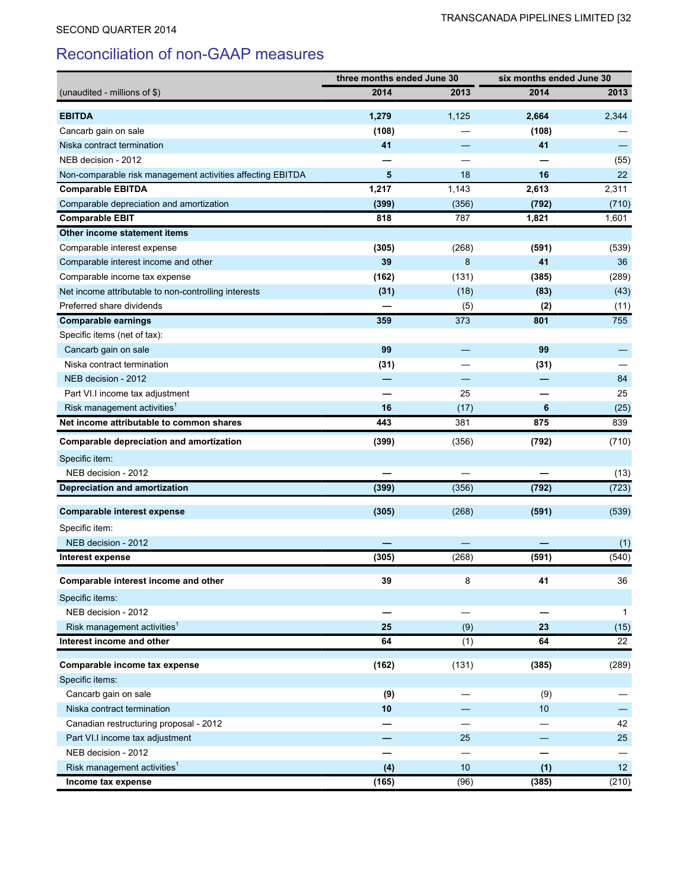# Reconciliation of non-GAAP measures

|                                                            | three months ended June 30 |       | six months ended June 30 |              |
|------------------------------------------------------------|----------------------------|-------|--------------------------|--------------|
| (unaudited - millions of \$)                               | 2014                       | 2013  | 2014                     | 2013         |
| <b>EBITDA</b>                                              | 1,279                      | 1,125 | 2,664                    | 2,344        |
| Cancarb gain on sale                                       | (108)                      |       | (108)                    |              |
| Niska contract termination                                 | 41                         |       | 41                       |              |
| NEB decision - 2012                                        |                            |       |                          | (55)         |
| Non-comparable risk management activities affecting EBITDA | 5                          | 18    | 16                       | 22           |
| <b>Comparable EBITDA</b>                                   | 1,217                      | 1,143 | 2,613                    | 2,311        |
| Comparable depreciation and amortization                   | (399)                      | (356) | (792)                    | (710)        |
| <b>Comparable EBIT</b>                                     | 818                        | 787   | 1,821                    | 1,601        |
| Other income statement items                               |                            |       |                          |              |
| Comparable interest expense                                | (305)                      | (268) | (591)                    | (539)        |
| Comparable interest income and other                       | 39                         | 8     | 41                       | 36           |
| Comparable income tax expense                              | (162)                      | (131) | (385)                    | (289)        |
| Net income attributable to non-controlling interests       | (31)                       | (18)  | (83)                     | (43)         |
| Preferred share dividends                                  |                            | (5)   | (2)                      | (11)         |
| <b>Comparable earnings</b>                                 | 359                        | 373   | 801                      | 755          |
| Specific items (net of tax):                               |                            |       |                          |              |
| Cancarb gain on sale                                       | 99                         |       | 99                       |              |
| Niska contract termination                                 | (31)                       |       | (31)                     |              |
| NEB decision - 2012                                        |                            |       |                          | 84           |
| Part VI.I income tax adjustment                            |                            | 25    |                          | 25           |
| Risk management activities <sup>1</sup>                    | 16                         | (17)  | 6                        | (25)         |
| Net income attributable to common shares                   | 443                        | 381   | 875                      | 839          |
| Comparable depreciation and amortization                   | (399)                      | (356) | (792)                    | (710)        |
| Specific item:                                             |                            |       |                          |              |
| NEB decision - 2012                                        |                            |       |                          | (13)         |
| <b>Depreciation and amortization</b>                       | (399)                      | (356) | (792)                    | (723)        |
| <b>Comparable interest expense</b>                         | (305)                      | (268) | (591)                    | (539)        |
| Specific item:                                             |                            |       |                          |              |
| NEB decision - 2012                                        |                            |       |                          | (1)          |
| Interest expense                                           | (305)                      | (268) | (591)                    | (540)        |
|                                                            |                            |       |                          |              |
| Comparable interest income and other                       | 39                         | 8     | 41                       | 36           |
| Specific items:                                            |                            |       |                          |              |
| NEB decision - 2012                                        |                            |       |                          | $\mathbf{1}$ |
| Risk management activities <sup>1</sup>                    | 25                         | (9)   | 23                       | (15)         |
| Interest income and other                                  | 64                         | (1)   | 64                       | 22           |
| Comparable income tax expense                              | (162)                      | (131) | (385)                    | (289)        |
| Specific items:                                            |                            |       |                          |              |
| Cancarb gain on sale                                       | (9)                        |       | (9)                      |              |
| Niska contract termination                                 | 10                         |       | $10$                     |              |
| Canadian restructuring proposal - 2012                     |                            |       |                          | 42           |
| Part VI.I income tax adjustment                            |                            | 25    | —                        | 25           |
| NEB decision - 2012                                        |                            |       |                          |              |
| Risk management activities <sup>1</sup>                    | (4)                        | 10    | (1)                      | 12           |
| Income tax expense                                         | (165)                      | (96)  | (385)                    | (210)        |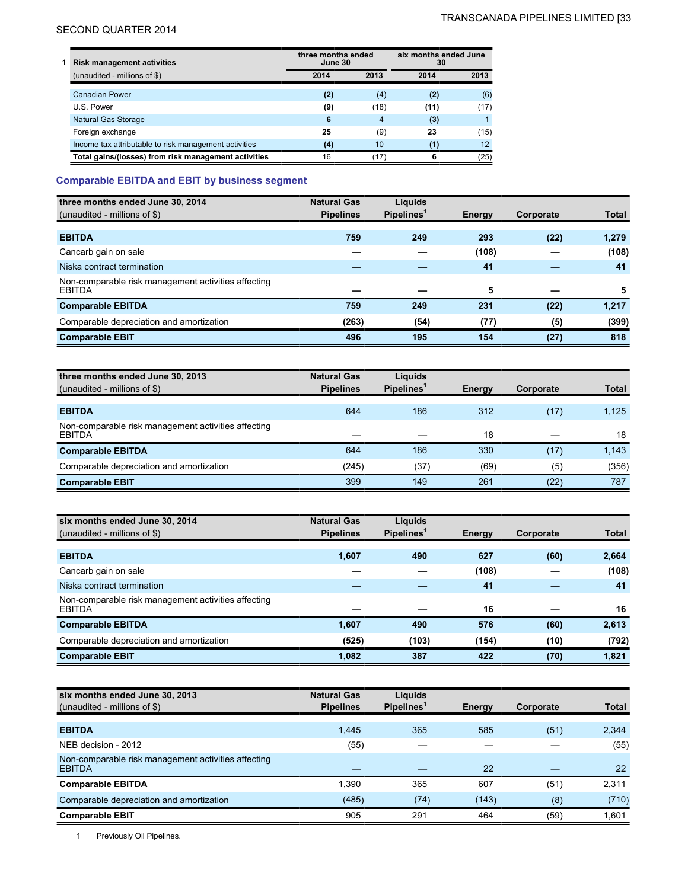| <b>Risk management activities</b>                     | three months ended<br>June 30 |                 | six months ended June<br>30 |      |
|-------------------------------------------------------|-------------------------------|-----------------|-----------------------------|------|
| (unaudited - millions of \$)                          | 2014                          | 2013            | 2014                        | 2013 |
| <b>Canadian Power</b>                                 | (2)                           | (4)             | (2)                         | (6)  |
| U.S. Power                                            | (9)                           | (18)            | (11)                        | (17) |
| <b>Natural Gas Storage</b>                            | 6                             | 4               | (3)                         |      |
| Foreign exchange                                      | 25                            | (9)             | 23                          | (15) |
| Income tax attributable to risk management activities | (4)                           | 10 <sup>°</sup> | (1)                         | 12   |
| Total gains/(losses) from risk management activities  | 16                            | (17)            |                             | (25) |

## **Comparable EBITDA and EBIT by business segment**

| three months ended June 30, 2014<br>(unaudited - millions of \$)     | <b>Natural Gas</b><br><b>Pipelines</b> | Liquids<br>Pipelines <sup>1</sup> | Energy | Corporate | <b>Total</b> |
|----------------------------------------------------------------------|----------------------------------------|-----------------------------------|--------|-----------|--------------|
|                                                                      |                                        |                                   |        |           |              |
| <b>EBITDA</b>                                                        | 759                                    | 249                               | 293    | (22)      | 1,279        |
| Cancarb gain on sale                                                 |                                        |                                   | (108)  |           | (108)        |
| Niska contract termination                                           |                                        |                                   | 41     |           | 41           |
| Non-comparable risk management activities affecting<br><b>EBITDA</b> |                                        |                                   | 5      |           | 5            |
| <b>Comparable EBITDA</b>                                             | 759                                    | 249                               | 231    | (22)      | 1,217        |
| Comparable depreciation and amortization                             | (263)                                  | (54)                              | (77)   | (5)       | (399)        |
| <b>Comparable EBIT</b>                                               | 496                                    | 195                               | 154    | (27)      | 818          |

| three months ended June 30, 2013<br>(unaudited - millions of \$)     | <b>Natural Gas</b><br><b>Pipelines</b> | Liguids<br>Pipelines <sup>1</sup> | Energy | Corporate | <b>Total</b> |
|----------------------------------------------------------------------|----------------------------------------|-----------------------------------|--------|-----------|--------------|
| <b>EBITDA</b>                                                        | 644                                    | 186                               | 312    | (17)      | 1.125        |
| Non-comparable risk management activities affecting<br><b>EBITDA</b> |                                        |                                   | 18     |           | 18           |
| <b>Comparable EBITDA</b>                                             | 644                                    | 186                               | 330    | (17)      | 1,143        |
| Comparable depreciation and amortization                             | (245)                                  | (37)                              | (69)   | (5)       | (356)        |
| <b>Comparable EBIT</b>                                               | 399                                    | 149                               | 261    | (22)      | 787          |

| six months ended June 30, 2014<br>(unaudited - millions of \$)       | <b>Natural Gas</b><br><b>Pipelines</b> | Liquids<br>Pipelines <sup>1</sup> | Energy | Corporate | <b>Total</b> |
|----------------------------------------------------------------------|----------------------------------------|-----------------------------------|--------|-----------|--------------|
| <b>EBITDA</b>                                                        | 1,607                                  | 490                               | 627    | (60)      | 2,664        |
| Cancarb gain on sale                                                 |                                        |                                   | (108)  |           | (108)        |
| Niska contract termination                                           |                                        |                                   | 41     |           | 41           |
| Non-comparable risk management activities affecting<br><b>EBITDA</b> |                                        |                                   | 16     |           | 16           |
| <b>Comparable EBITDA</b>                                             | 1,607                                  | 490                               | 576    | (60)      | 2,613        |
| Comparable depreciation and amortization                             | (525)                                  | (103)                             | (154)  | (10)      | (792)        |
| <b>Comparable EBIT</b>                                               | 1,082                                  | 387                               | 422    | (70)      | 1,821        |

| six months ended June 30, 2013<br>(unaudited - millions of \$)       | <b>Natural Gas</b><br><b>Pipelines</b> | Liquids<br>Pipelines <sup>1</sup> | Energy | Corporate | <b>Total</b> |
|----------------------------------------------------------------------|----------------------------------------|-----------------------------------|--------|-----------|--------------|
| <b>EBITDA</b>                                                        | 1,445                                  | 365                               | 585    | (51)      | 2,344        |
| NEB decision - 2012                                                  | (55)                                   |                                   |        |           | (55)         |
| Non-comparable risk management activities affecting<br><b>EBITDA</b> |                                        |                                   | 22     |           | 22           |
| <b>Comparable EBITDA</b>                                             | 1.390                                  | 365                               | 607    | (51)      | 2,311        |
| Comparable depreciation and amortization                             | (485)                                  | (74)                              | (143)  | (8)       | (710)        |
| <b>Comparable EBIT</b>                                               | 905                                    | 291                               | 464    | (59)      | .601         |

1 Previously Oil Pipelines.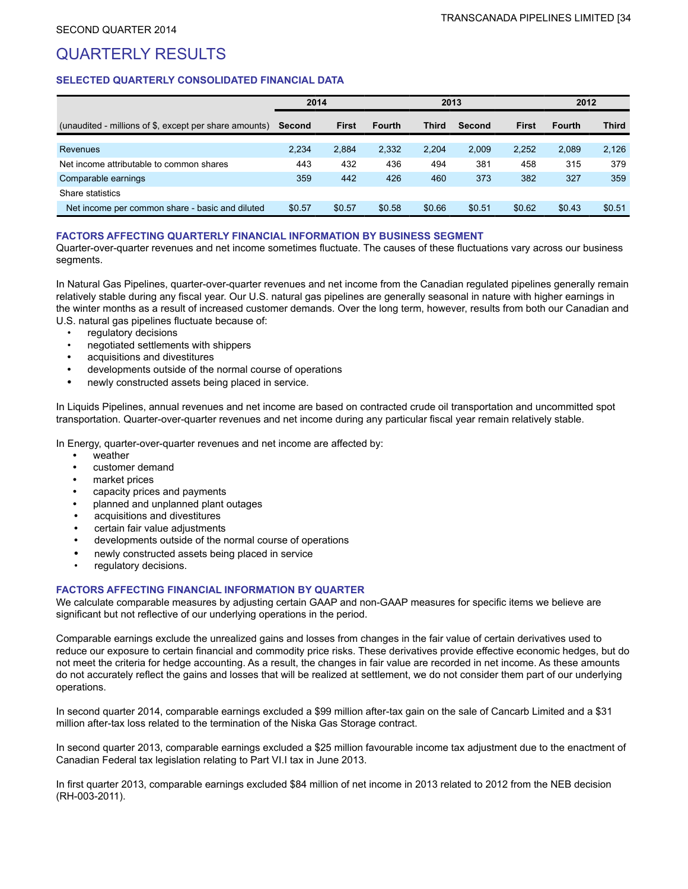# QUARTERLY RESULTS

## **SELECTED QUARTERLY CONSOLIDATED FINANCIAL DATA**

|                                                        | 2014   |              |               | 2013         |        |              | 2012          |              |
|--------------------------------------------------------|--------|--------------|---------------|--------------|--------|--------------|---------------|--------------|
| (unaudited - millions of \$, except per share amounts) | Second | <b>First</b> | <b>Fourth</b> | <b>Third</b> | Second | <b>First</b> | <b>Fourth</b> | <b>Third</b> |
|                                                        |        |              |               |              |        |              |               |              |
| <b>Revenues</b>                                        | 2.234  | 2.884        | 2.332         | 2.204        | 2.009  | 2.252        | 2.089         | 2,126        |
| Net income attributable to common shares               | 443    | 432          | 436           | 494          | 381    | 458          | 315           | 379          |
| Comparable earnings                                    | 359    | 442          | 426           | 460          | 373    | 382          | 327           | 359          |
| Share statistics                                       |        |              |               |              |        |              |               |              |
| Net income per common share - basic and diluted        | \$0.57 | \$0.57       | \$0.58        | \$0.66       | \$0.51 | \$0.62       | \$0.43        | \$0.51       |

## **FACTORS AFFECTING QUARTERLY FINANCIAL INFORMATION BY BUSINESS SEGMENT**

Quarter-over-quarter revenues and net income sometimes fluctuate. The causes of these fluctuations vary across our business segments.

In Natural Gas Pipelines, quarter-over-quarter revenues and net income from the Canadian regulated pipelines generally remain relatively stable during any fiscal year. Our U.S. natural gas pipelines are generally seasonal in nature with higher earnings in the winter months as a result of increased customer demands. Over the long term, however, results from both our Canadian and U.S. natural gas pipelines fluctuate because of:

- regulatory decisions
- negotiated settlements with shippers
- acquisitions and divestitures
- developments outside of the normal course of operations
- newly constructed assets being placed in service.

In Liquids Pipelines, annual revenues and net income are based on contracted crude oil transportation and uncommitted spot transportation. Quarter-over-quarter revenues and net income during any particular fiscal year remain relatively stable.

In Energy, quarter-over-quarter revenues and net income are affected by:

- weather
- customer demand
- market prices
- capacity prices and payments
- planned and unplanned plant outages
- acquisitions and divestitures
- certain fair value adjustments
- developments outside of the normal course of operations
- newly constructed assets being placed in service
- requlatory decisions.

## **FACTORS AFFECTING FINANCIAL INFORMATION BY QUARTER**

We calculate comparable measures by adjusting certain GAAP and non-GAAP measures for specific items we believe are significant but not reflective of our underlying operations in the period.

Comparable earnings exclude the unrealized gains and losses from changes in the fair value of certain derivatives used to reduce our exposure to certain financial and commodity price risks. These derivatives provide effective economic hedges, but do not meet the criteria for hedge accounting. As a result, the changes in fair value are recorded in net income. As these amounts do not accurately reflect the gains and losses that will be realized at settlement, we do not consider them part of our underlying operations.

In second quarter 2014, comparable earnings excluded a \$99 million after-tax gain on the sale of Cancarb Limited and a \$31 million after-tax loss related to the termination of the Niska Gas Storage contract.

In second quarter 2013, comparable earnings excluded a \$25 million favourable income tax adjustment due to the enactment of Canadian Federal tax legislation relating to Part VI.I tax in June 2013.

In first quarter 2013, comparable earnings excluded \$84 million of net income in 2013 related to 2012 from the NEB decision (RH-003-2011).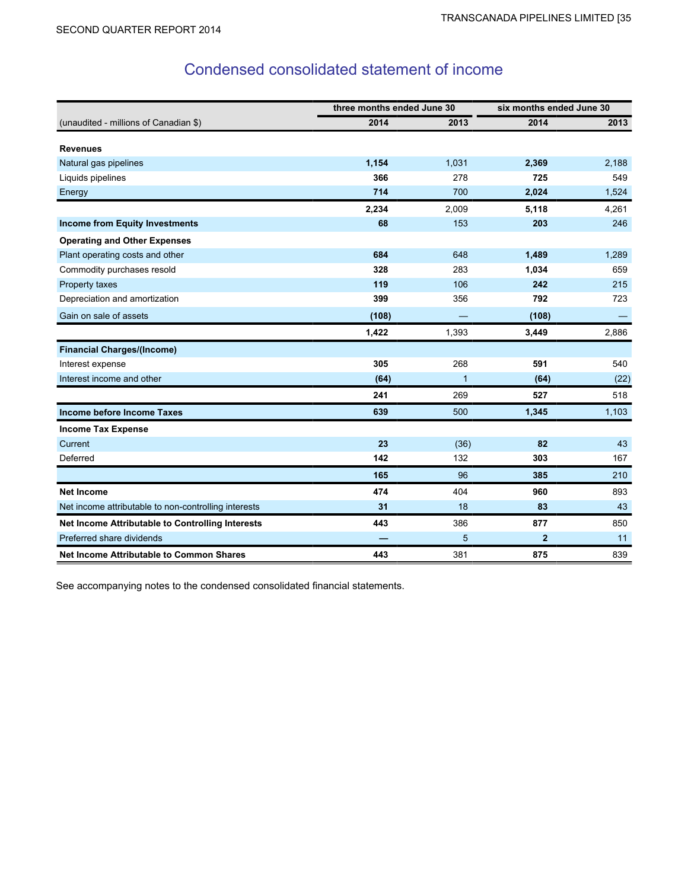# Condensed consolidated statement of income

|                                                      | three months ended June 30 |              | six months ended June 30 |       |  |
|------------------------------------------------------|----------------------------|--------------|--------------------------|-------|--|
| (unaudited - millions of Canadian \$)                | 2014                       | 2013         | 2014                     | 2013  |  |
| <b>Revenues</b>                                      |                            |              |                          |       |  |
| Natural gas pipelines                                | 1,154                      | 1,031        | 2,369                    | 2,188 |  |
| Liquids pipelines                                    | 366                        | 278          | 725                      | 549   |  |
| Energy                                               | 714                        | 700          | 2,024                    | 1,524 |  |
|                                                      | 2,234                      | 2,009        | 5,118                    | 4,261 |  |
| <b>Income from Equity Investments</b>                | 68                         | 153          | 203                      | 246   |  |
| <b>Operating and Other Expenses</b>                  |                            |              |                          |       |  |
| Plant operating costs and other                      | 684                        | 648          | 1,489                    | 1,289 |  |
| Commodity purchases resold                           | 328                        | 283          | 1,034                    | 659   |  |
| Property taxes                                       | 119                        | 106          | 242                      | 215   |  |
| Depreciation and amortization                        | 399                        | 356          | 792                      | 723   |  |
| Gain on sale of assets                               | (108)                      |              | (108)                    |       |  |
|                                                      | 1,422                      | 1,393        | 3,449                    | 2,886 |  |
| <b>Financial Charges/(Income)</b>                    |                            |              |                          |       |  |
| Interest expense                                     | 305                        | 268          | 591                      | 540   |  |
| Interest income and other                            | (64)                       | $\mathbf{1}$ | (64)                     | (22)  |  |
|                                                      | 241                        | 269          | 527                      | 518   |  |
| Income before Income Taxes                           | 639                        | 500          | 1,345                    | 1,103 |  |
| <b>Income Tax Expense</b>                            |                            |              |                          |       |  |
| Current                                              | 23                         | (36)         | 82                       | 43    |  |
| Deferred                                             | 142                        | 132          | 303                      | 167   |  |
|                                                      | 165                        | 96           | 385                      | 210   |  |
| <b>Net Income</b>                                    | 474                        | 404          | 960                      | 893   |  |
| Net income attributable to non-controlling interests | 31                         | 18           | 83                       | 43    |  |
| Net Income Attributable to Controlling Interests     | 443                        | 386          | 877                      | 850   |  |
| Preferred share dividends                            |                            | 5            | $\overline{2}$           | 11    |  |
| <b>Net Income Attributable to Common Shares</b>      | 443                        | 381          | 875                      | 839   |  |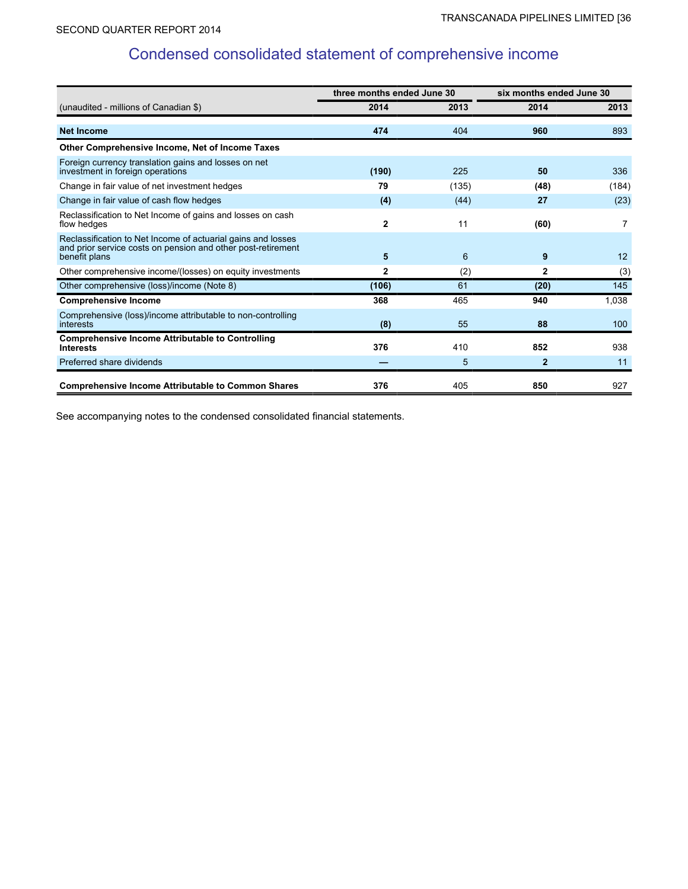# Condensed consolidated statement of comprehensive income

|                                                                                                                                               | three months ended June 30 |       | six months ended June 30 |       |  |  |
|-----------------------------------------------------------------------------------------------------------------------------------------------|----------------------------|-------|--------------------------|-------|--|--|
| (unaudited - millions of Canadian \$)                                                                                                         | 2014                       | 2013  | 2014                     | 2013  |  |  |
| <b>Net Income</b>                                                                                                                             | 474                        | 404   | 960                      | 893   |  |  |
| Other Comprehensive Income, Net of Income Taxes                                                                                               |                            |       |                          |       |  |  |
| Foreign currency translation gains and losses on net<br>investment in foreign operations                                                      | (190)                      | 225   | 50                       | 336   |  |  |
| Change in fair value of net investment hedges                                                                                                 | 79                         | (135) | (48)                     | (184) |  |  |
| Change in fair value of cash flow hedges                                                                                                      | (4)                        | (44)  | 27                       | (23)  |  |  |
| Reclassification to Net Income of gains and losses on cash<br>flow hedges                                                                     | $\overline{2}$             | 11    | (60)                     | 7     |  |  |
| Reclassification to Net Income of actuarial gains and losses<br>and prior service costs on pension and other post-retirement<br>benefit plans | 5                          | 6     | 9                        | 12    |  |  |
| Other comprehensive income/(losses) on equity investments                                                                                     | $\mathbf{2}$               | (2)   | 2                        | (3)   |  |  |
| Other comprehensive (loss)/income (Note 8)                                                                                                    | (106)                      | 61    | (20)                     | 145   |  |  |
| <b>Comprehensive Income</b>                                                                                                                   | 368                        | 465   | 940                      | 1,038 |  |  |
| Comprehensive (loss)/income attributable to non-controlling<br>interests                                                                      | (8)                        | 55    | 88                       | 100   |  |  |
| <b>Comprehensive Income Attributable to Controlling</b><br><b>Interests</b>                                                                   | 376                        | 410   | 852                      | 938   |  |  |
| Preferred share dividends                                                                                                                     |                            | 5     | $\mathbf{2}$             | 11    |  |  |
| <b>Comprehensive Income Attributable to Common Shares</b>                                                                                     | 376                        | 405   | 850                      | 927   |  |  |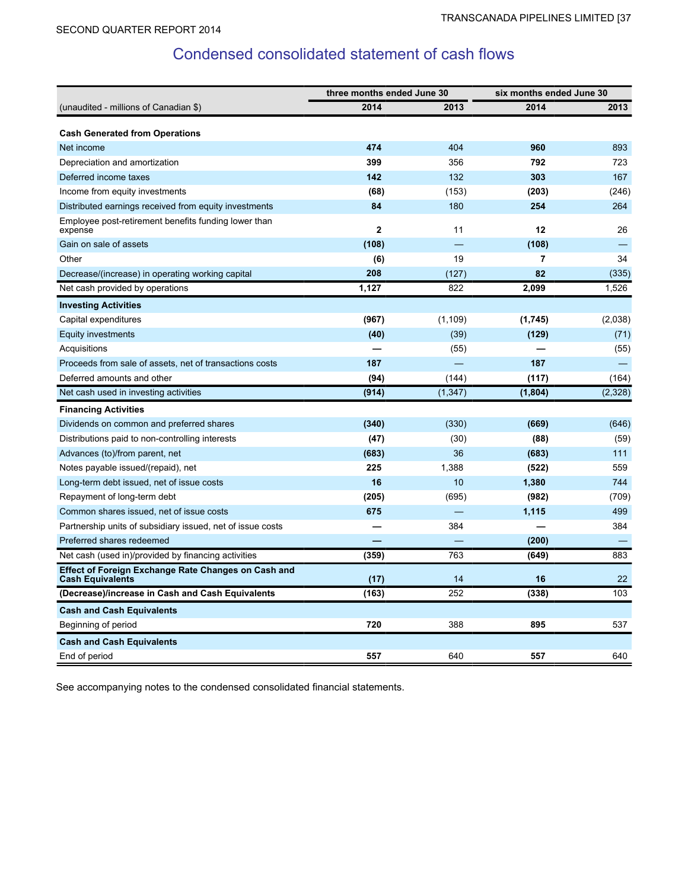# Condensed consolidated statement of cash flows

|                                                                                       | three months ended June 30 |          | six months ended June 30 |          |  |
|---------------------------------------------------------------------------------------|----------------------------|----------|--------------------------|----------|--|
| (unaudited - millions of Canadian \$)                                                 | 2014                       | 2013     | 2014                     | 2013     |  |
| <b>Cash Generated from Operations</b>                                                 |                            |          |                          |          |  |
| Net income                                                                            | 474                        | 404      | 960                      | 893      |  |
| Depreciation and amortization                                                         | 399                        | 356      | 792                      | 723      |  |
| Deferred income taxes                                                                 | 142                        | 132      | 303                      | 167      |  |
| Income from equity investments                                                        | (68)                       | (153)    | (203)                    | (246)    |  |
| Distributed earnings received from equity investments                                 | 84                         | 180      | 254                      | 264      |  |
| Employee post-retirement benefits funding lower than<br>expense                       | $\overline{2}$             | 11       | 12                       | 26       |  |
| Gain on sale of assets                                                                | (108)                      |          | (108)                    |          |  |
| Other                                                                                 | (6)                        | 19       | 7                        | 34       |  |
| Decrease/(increase) in operating working capital                                      | 208                        | (127)    | 82                       | (335)    |  |
| Net cash provided by operations                                                       | 1,127                      | 822      | 2,099                    | 1,526    |  |
| <b>Investing Activities</b>                                                           |                            |          |                          |          |  |
| Capital expenditures                                                                  | (967)                      | (1, 109) | (1,745)                  | (2,038)  |  |
| Equity investments                                                                    | (40)                       | (39)     | (129)                    | (71)     |  |
| Acquisitions                                                                          |                            | (55)     |                          | (55)     |  |
| Proceeds from sale of assets, net of transactions costs                               | 187                        |          | 187                      |          |  |
| Deferred amounts and other                                                            | (94)                       | (144)    | (117)                    | (164)    |  |
| Net cash used in investing activities                                                 | (914)                      | (1, 347) | (1, 804)                 | (2, 328) |  |
| <b>Financing Activities</b>                                                           |                            |          |                          |          |  |
| Dividends on common and preferred shares                                              | (340)                      | (330)    | (669)                    | (646)    |  |
| Distributions paid to non-controlling interests                                       | (47)                       | (30)     | (88)                     | (59)     |  |
| Advances (to)/from parent, net                                                        | (683)                      | 36       | (683)                    | 111      |  |
| Notes payable issued/(repaid), net                                                    | 225                        | 1,388    | (522)                    | 559      |  |
| Long-term debt issued, net of issue costs                                             | 16                         | 10       | 1,380                    | 744      |  |
| Repayment of long-term debt                                                           | (205)                      | (695)    | (982)                    | (709)    |  |
| Common shares issued, net of issue costs                                              | 675                        |          | 1,115                    | 499      |  |
| Partnership units of subsidiary issued, net of issue costs                            |                            | 384      |                          | 384      |  |
| Preferred shares redeemed                                                             |                            |          | (200)                    |          |  |
| Net cash (used in)/provided by financing activities                                   | (359)                      | 763      | (649)                    | 883      |  |
| <b>Effect of Foreign Exchange Rate Changes on Cash and</b><br><b>Cash Equivalents</b> | (17)                       | 14       | 16                       | 22       |  |
| (Decrease)/increase in Cash and Cash Equivalents                                      | (163)                      | 252      | (338)                    | 103      |  |
| <b>Cash and Cash Equivalents</b>                                                      |                            |          |                          |          |  |
| Beginning of period                                                                   | 720                        | 388      | 895                      | 537      |  |
| <b>Cash and Cash Equivalents</b>                                                      |                            |          |                          |          |  |
| End of period                                                                         | 557                        | 640      | 557                      | 640      |  |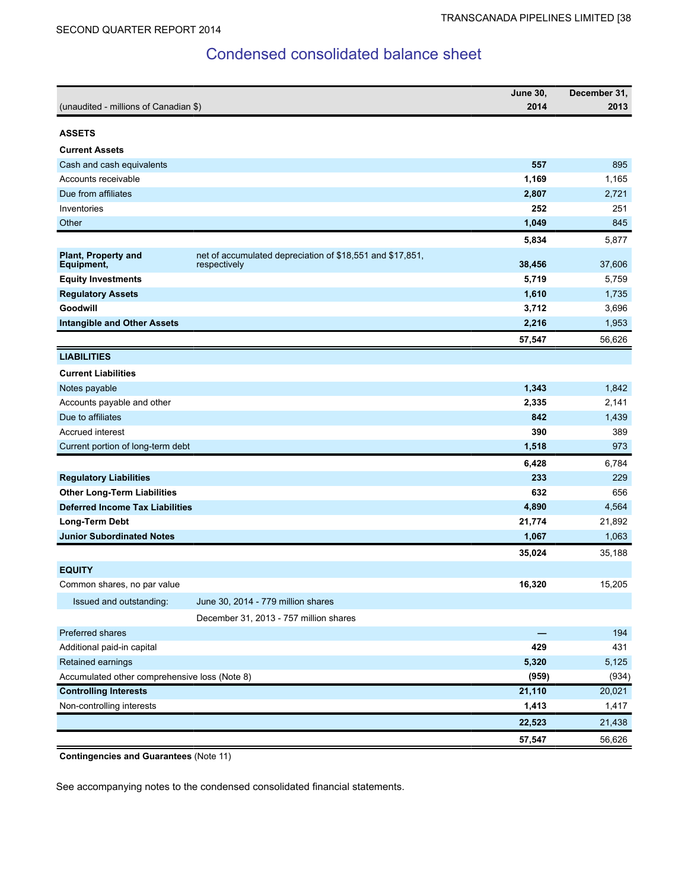# Condensed consolidated balance sheet

|                                                    |                                                                           | <b>June 30,</b> | December 31, |
|----------------------------------------------------|---------------------------------------------------------------------------|-----------------|--------------|
| (unaudited - millions of Canadian \$)              |                                                                           | 2014            | 2013         |
| <b>ASSETS</b>                                      |                                                                           |                 |              |
|                                                    |                                                                           |                 |              |
| <b>Current Assets</b><br>Cash and cash equivalents |                                                                           | 557             | 895          |
| Accounts receivable                                |                                                                           | 1,169           | 1,165        |
| Due from affiliates                                |                                                                           | 2,807           | 2,721        |
| Inventories                                        |                                                                           | 252             | 251          |
| Other                                              |                                                                           | 1,049           | 845          |
|                                                    |                                                                           | 5,834           | 5,877        |
| <b>Plant, Property and</b><br>Equipment,           | net of accumulated depreciation of \$18,551 and \$17,851,<br>respectively | 38,456          | 37,606       |
| <b>Equity Investments</b>                          |                                                                           | 5,719           | 5,759        |
| <b>Regulatory Assets</b>                           |                                                                           | 1,610           | 1,735        |
| Goodwill                                           |                                                                           | 3,712           | 3,696        |
| <b>Intangible and Other Assets</b>                 |                                                                           | 2,216           | 1,953        |
|                                                    |                                                                           | 57,547          | 56,626       |
| <b>LIABILITIES</b>                                 |                                                                           |                 |              |
| <b>Current Liabilities</b>                         |                                                                           |                 |              |
| Notes payable                                      |                                                                           | 1,343           | 1,842        |
| Accounts payable and other                         |                                                                           | 2,335           | 2,141        |
| Due to affiliates                                  |                                                                           | 842             | 1,439        |
| Accrued interest                                   |                                                                           | 390             | 389          |
| Current portion of long-term debt                  |                                                                           | 1,518           | 973          |
|                                                    |                                                                           | 6,428           | 6,784        |
| <b>Regulatory Liabilities</b>                      |                                                                           | 233             | 229          |
| <b>Other Long-Term Liabilities</b>                 |                                                                           | 632             | 656          |
| <b>Deferred Income Tax Liabilities</b>             |                                                                           | 4,890           | 4,564        |
| Long-Term Debt                                     |                                                                           | 21,774          | 21,892       |
| <b>Junior Subordinated Notes</b>                   |                                                                           | 1,067           | 1,063        |
|                                                    |                                                                           | 35,024          | 35,188       |
| <b>EQUITY</b>                                      |                                                                           |                 |              |
| Common shares, no par value                        |                                                                           | 16,320          | 15,205       |
| Issued and outstanding:                            | June 30, 2014 - 779 million shares                                        |                 |              |
|                                                    | December 31, 2013 - 757 million shares                                    |                 |              |
| Preferred shares                                   |                                                                           |                 | 194          |
| Additional paid-in capital                         |                                                                           | 429             | 431          |
| Retained earnings                                  |                                                                           | 5,320           | 5,125        |
| Accumulated other comprehensive loss (Note 8)      |                                                                           | (959)           | (934)        |
| <b>Controlling Interests</b>                       |                                                                           | 21,110          | 20,021       |
| Non-controlling interests                          |                                                                           | 1,413           | 1,417        |
|                                                    |                                                                           | 22,523          | 21,438       |
|                                                    |                                                                           | 57,547          | 56,626       |
|                                                    |                                                                           |                 |              |

**Contingencies and Guarantees** (Note 11)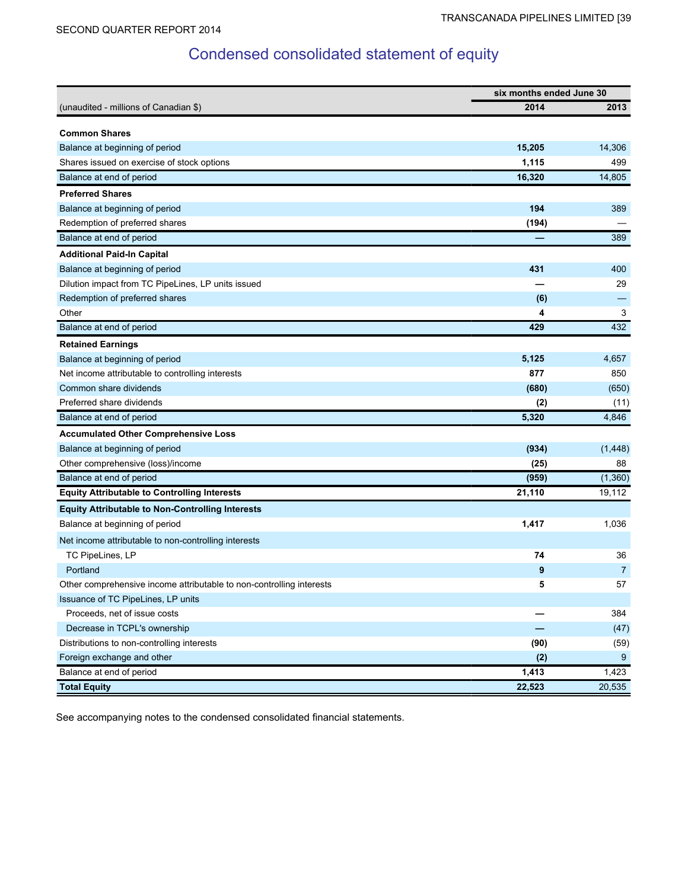# Condensed consolidated statement of equity

|                                                                      | six months ended June 30 |                |
|----------------------------------------------------------------------|--------------------------|----------------|
| (unaudited - millions of Canadian \$)                                | 2014                     | 2013           |
| <b>Common Shares</b>                                                 |                          |                |
| Balance at beginning of period                                       | 15,205                   | 14,306         |
| Shares issued on exercise of stock options                           | 1,115                    | 499            |
| Balance at end of period                                             | 16,320                   | 14,805         |
| <b>Preferred Shares</b>                                              |                          |                |
| Balance at beginning of period                                       | 194                      | 389            |
| Redemption of preferred shares                                       | (194)                    |                |
| Balance at end of period                                             |                          | 389            |
| <b>Additional Paid-In Capital</b>                                    |                          |                |
| Balance at beginning of period                                       | 431                      | 400            |
| Dilution impact from TC PipeLines, LP units issued                   |                          | 29             |
| Redemption of preferred shares                                       | (6)                      |                |
| Other                                                                | 4                        | 3              |
| Balance at end of period                                             | 429                      | 432            |
| <b>Retained Earnings</b>                                             |                          |                |
| Balance at beginning of period                                       | 5,125                    | 4,657          |
| Net income attributable to controlling interests                     | 877                      | 850            |
| Common share dividends                                               | (680)                    | (650)          |
| Preferred share dividends                                            | (2)                      | (11)           |
| Balance at end of period                                             | 5,320                    | 4,846          |
| <b>Accumulated Other Comprehensive Loss</b>                          |                          |                |
| Balance at beginning of period                                       | (934)                    | (1,448)        |
| Other comprehensive (loss)/income                                    | (25)                     | 88             |
| Balance at end of period                                             | (959)                    | (1,360)        |
| <b>Equity Attributable to Controlling Interests</b>                  | 21,110                   | 19,112         |
| <b>Equity Attributable to Non-Controlling Interests</b>              |                          |                |
| Balance at beginning of period                                       | 1,417                    | 1,036          |
| Net income attributable to non-controlling interests                 |                          |                |
| TC PipeLines, LP                                                     | 74                       | 36             |
| Portland                                                             | 9                        | $\overline{7}$ |
| Other comprehensive income attributable to non-controlling interests | 5                        | 57             |
| Issuance of TC PipeLines, LP units                                   |                          |                |
| Proceeds, net of issue costs                                         |                          | 384            |
| Decrease in TCPL's ownership                                         |                          | (47)           |
| Distributions to non-controlling interests                           | (90)                     | (59)           |
| Foreign exchange and other                                           | (2)                      | 9              |
| Balance at end of period                                             | 1,413                    | 1,423          |
| <b>Total Equity</b>                                                  | 22,523                   | 20,535         |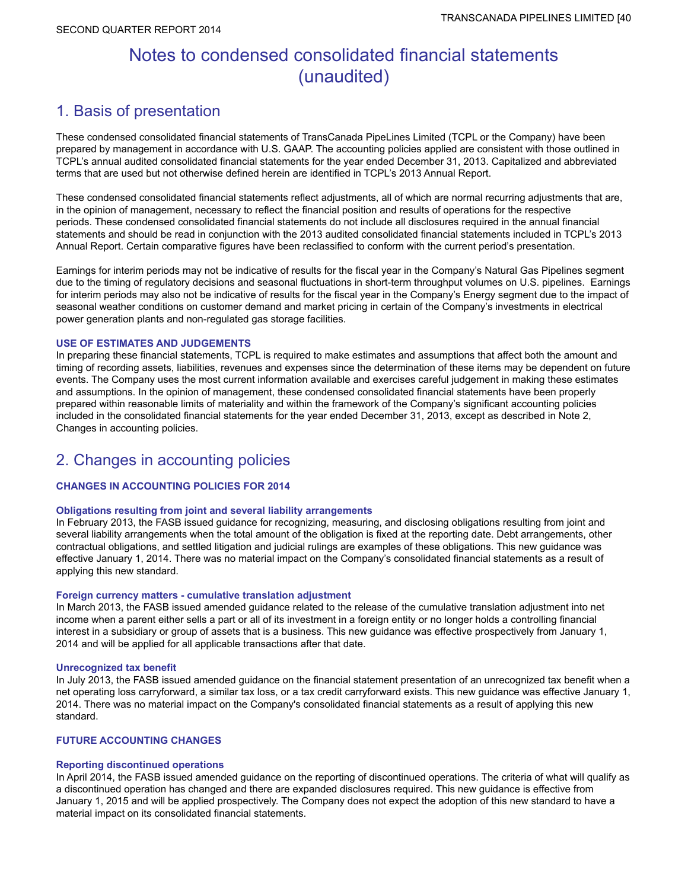# Notes to condensed consolidated financial statements (unaudited)

# 1. Basis of presentation

These condensed consolidated financial statements of TransCanada PipeLines Limited (TCPL or the Company) have been prepared by management in accordance with U.S. GAAP. The accounting policies applied are consistent with those outlined in TCPL's annual audited consolidated financial statements for the year ended December 31, 2013. Capitalized and abbreviated terms that are used but not otherwise defined herein are identified in TCPL's 2013 Annual Report.

These condensed consolidated financial statements reflect adjustments, all of which are normal recurring adjustments that are, in the opinion of management, necessary to reflect the financial position and results of operations for the respective periods. These condensed consolidated financial statements do not include all disclosures required in the annual financial statements and should be read in conjunction with the 2013 audited consolidated financial statements included in TCPL's 2013 Annual Report. Certain comparative figures have been reclassified to conform with the current period's presentation.

Earnings for interim periods may not be indicative of results for the fiscal year in the Company's Natural Gas Pipelines segment due to the timing of regulatory decisions and seasonal fluctuations in short-term throughput volumes on U.S. pipelines. Earnings for interim periods may also not be indicative of results for the fiscal year in the Company's Energy segment due to the impact of seasonal weather conditions on customer demand and market pricing in certain of the Company's investments in electrical power generation plants and non-regulated gas storage facilities.

## **USE OF ESTIMATES AND JUDGEMENTS**

In preparing these financial statements, TCPL is required to make estimates and assumptions that affect both the amount and timing of recording assets, liabilities, revenues and expenses since the determination of these items may be dependent on future events. The Company uses the most current information available and exercises careful judgement in making these estimates and assumptions. In the opinion of management, these condensed consolidated financial statements have been properly prepared within reasonable limits of materiality and within the framework of the Company's significant accounting policies included in the consolidated financial statements for the year ended December 31, 2013, except as described in Note 2, Changes in accounting policies.

## 2. Changes in accounting policies

## **CHANGES IN ACCOUNTING POLICIES FOR 2014**

## **Obligations resulting from joint and several liability arrangements**

In February 2013, the FASB issued guidance for recognizing, measuring, and disclosing obligations resulting from joint and several liability arrangements when the total amount of the obligation is fixed at the reporting date. Debt arrangements, other contractual obligations, and settled litigation and judicial rulings are examples of these obligations. This new guidance was effective January 1, 2014. There was no material impact on the Company's consolidated financial statements as a result of applying this new standard.

## **Foreign currency matters - cumulative translation adjustment**

In March 2013, the FASB issued amended guidance related to the release of the cumulative translation adjustment into net income when a parent either sells a part or all of its investment in a foreign entity or no longer holds a controlling financial interest in a subsidiary or group of assets that is a business. This new guidance was effective prospectively from January 1, 2014 and will be applied for all applicable transactions after that date.

## **Unrecognized tax benefit**

In July 2013, the FASB issued amended guidance on the financial statement presentation of an unrecognized tax benefit when a net operating loss carryforward, a similar tax loss, or a tax credit carryforward exists. This new guidance was effective January 1, 2014. There was no material impact on the Company's consolidated financial statements as a result of applying this new standard.

## **FUTURE ACCOUNTING CHANGES**

## **Reporting discontinued operations**

In April 2014, the FASB issued amended guidance on the reporting of discontinued operations. The criteria of what will qualify as a discontinued operation has changed and there are expanded disclosures required. This new guidance is effective from January 1, 2015 and will be applied prospectively. The Company does not expect the adoption of this new standard to have a material impact on its consolidated financial statements.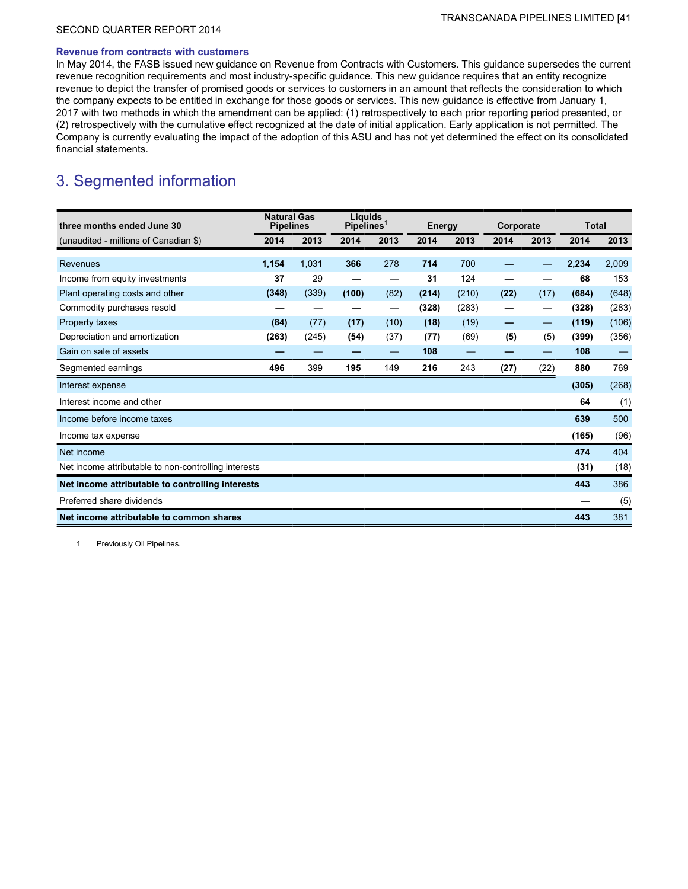#### SECOND QUARTER REPORT 2014

#### **Revenue from contracts with customers**

In May 2014, the FASB issued new guidance on Revenue from Contracts with Customers. This guidance supersedes the current revenue recognition requirements and most industry-specific guidance. This new guidance requires that an entity recognize revenue to depict the transfer of promised goods or services to customers in an amount that reflects the consideration to which the company expects to be entitled in exchange for those goods or services. This new guidance is effective from January 1, 2017 with two methods in which the amendment can be applied: (1) retrospectively to each prior reporting period presented, or (2) retrospectively with the cumulative effect recognized at the date of initial application. Early application is not permitted. The Company is currently evaluating the impact of the adoption of this ASU and has not yet determined the effect on its consolidated financial statements.

# 3. Segmented information

| three months ended June 30                           | <b>Natural Gas</b><br><b>Pipelines</b> |       | <b>Liquids</b><br>Pipelines <sup>1</sup> |                               | <b>Energy</b> |       | Corporate |      | <b>Total</b> |       |
|------------------------------------------------------|----------------------------------------|-------|------------------------------------------|-------------------------------|---------------|-------|-----------|------|--------------|-------|
| (unaudited - millions of Canadian \$)                | 2014                                   | 2013  | 2014                                     | 2013                          | 2014          | 2013  | 2014      | 2013 | 2014         | 2013  |
|                                                      |                                        |       |                                          |                               |               |       |           |      |              |       |
| Revenues                                             | 1,154                                  | 1,031 | 366                                      | 278                           | 714           | 700   |           |      | 2,234        | 2,009 |
| Income from equity investments                       | 37                                     | 29    |                                          |                               | 31            | 124   |           |      | 68           | 153   |
| Plant operating costs and other                      | (348)                                  | (339) | (100)                                    | (82)                          | (214)         | (210) | (22)      | (17) | (684)        | (648) |
| Commodity purchases resold                           |                                        |       |                                          | $\overbrace{\phantom{13333}}$ | (328)         | (283) |           |      | (328)        | (283) |
| Property taxes                                       | (84)                                   | (77)  | (17)                                     | (10)                          | (18)          | (19)  | -         | —    | (119)        | (106) |
| Depreciation and amortization                        | (263)                                  | (245) | (54)                                     | (37)                          | (77)          | (69)  | (5)       | (5)  | (399)        | (356) |
| Gain on sale of assets                               |                                        |       |                                          |                               | 108           |       |           |      | 108          |       |
| Segmented earnings                                   | 496                                    | 399   | 195                                      | 149                           | 216           | 243   | (27)      | (22) | 880          | 769   |
| Interest expense                                     |                                        |       |                                          |                               |               |       |           |      | (305)        | (268) |
| Interest income and other                            |                                        |       |                                          |                               |               |       |           |      | 64           | (1)   |
| Income before income taxes                           |                                        |       |                                          |                               |               |       |           |      | 639          | 500   |
| Income tax expense                                   |                                        |       |                                          |                               |               |       |           |      | (165)        | (96)  |
| Net income                                           |                                        |       |                                          |                               |               |       |           |      | 474          | 404   |
| Net income attributable to non-controlling interests |                                        |       |                                          |                               |               |       |           |      | (31)         | (18)  |
| Net income attributable to controlling interests     |                                        |       |                                          |                               |               |       |           |      | 443          | 386   |
| Preferred share dividends                            |                                        |       |                                          |                               |               |       |           |      |              | (5)   |
| Net income attributable to common shares             |                                        |       |                                          |                               |               |       |           |      | 443          | 381   |

1 Previously Oil Pipelines.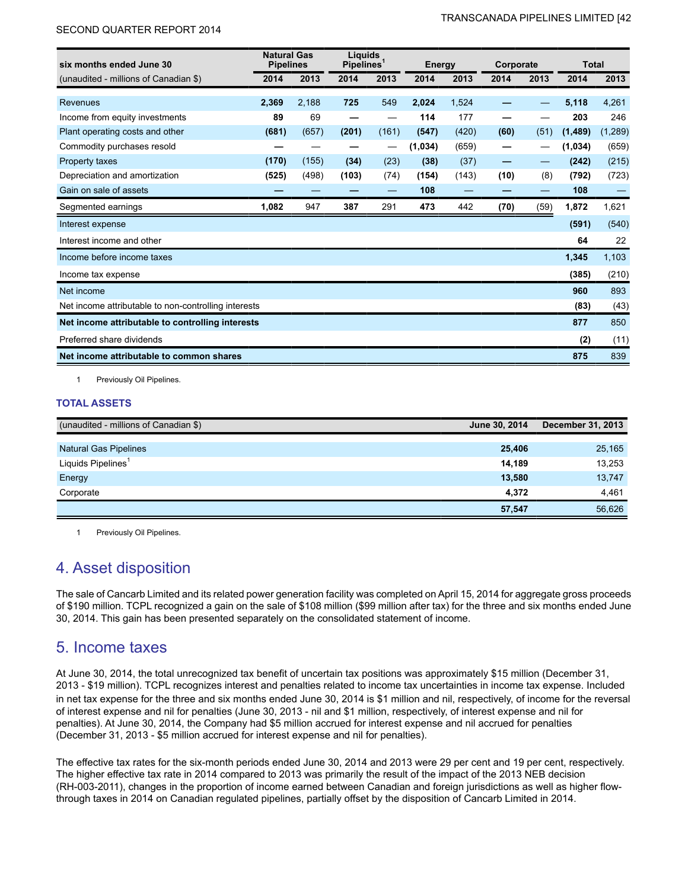## SECOND QUARTER REPORT 2014

| six months ended June 30                             | <b>Natural Gas</b><br><b>Pipelines</b> |       | Liquids<br>Pipelines <sup>1</sup> |       | Energy   |       | Corporate |      | <b>Total</b> |         |
|------------------------------------------------------|----------------------------------------|-------|-----------------------------------|-------|----------|-------|-----------|------|--------------|---------|
| (unaudited - millions of Canadian \$)                | 2014                                   | 2013  | 2014                              | 2013  | 2014     | 2013  | 2014      | 2013 | 2014         | 2013    |
| Revenues                                             | 2.369                                  | 2,188 | 725                               | 549   | 2,024    | 1,524 |           |      | 5,118        | 4,261   |
| Income from equity investments                       | 89                                     | 69    | –                                 |       | 114      | 177   |           |      | 203          | 246     |
| Plant operating costs and other                      | (681)                                  | (657) | (201)                             | (161) | (547)    | (420) | (60)      | (51) | (1,489)      | (1,289) |
| Commodity purchases resold                           |                                        |       |                                   |       | (1, 034) | (659) |           |      | (1, 034)     | (659)   |
| Property taxes                                       | (170)                                  | (155) | (34)                              | (23)  | (38)     | (37)  | -         |      | (242)        | (215)   |
| Depreciation and amortization                        | (525)                                  | (498) | (103)                             | (74)  | (154)    | (143) | (10)      | (8)  | (792)        | (723)   |
| Gain on sale of assets                               |                                        |       |                                   |       | 108      |       |           | —    | 108          |         |
| Segmented earnings                                   | 1,082                                  | 947   | 387                               | 291   | 473      | 442   | (70)      | (59) | 1,872        | 1,621   |
| Interest expense                                     |                                        |       |                                   |       |          |       |           |      | (591)        | (540)   |
| Interest income and other                            |                                        |       |                                   |       |          |       |           |      | 64           | 22      |
| Income before income taxes                           |                                        |       |                                   |       |          |       |           |      | 1,345        | 1,103   |
| Income tax expense                                   |                                        |       |                                   |       |          |       |           |      | (385)        | (210)   |
| Net income                                           |                                        |       |                                   |       |          |       |           |      | 960          | 893     |
| Net income attributable to non-controlling interests |                                        |       |                                   |       |          |       |           |      | (83)         | (43)    |
| Net income attributable to controlling interests     |                                        |       |                                   |       |          |       |           |      | 877          | 850     |
| Preferred share dividends                            |                                        |       |                                   |       |          |       |           |      | (2)          | (11)    |
| Net income attributable to common shares             |                                        |       |                                   |       |          |       |           |      | 875          | 839     |

1 Previously Oil Pipelines.

## **TOTAL ASSETS**

| (unaudited - millions of Canadian \$) | June 30, 2014 | <b>December 31, 2013</b> |
|---------------------------------------|---------------|--------------------------|
|                                       |               |                          |
| <b>Natural Gas Pipelines</b>          | 25,406        | 25,165                   |
| Liquids Pipelines <sup>1</sup>        | 14,189        | 13,253                   |
| Energy                                | 13,580        | 13,747                   |
| Corporate                             | 4,372         | 4,461                    |
|                                       | 57,547        | 56,626                   |

1 Previously Oil Pipelines.

## 4. Asset disposition

The sale of Cancarb Limited and its related power generation facility was completed on April 15, 2014 for aggregate gross proceeds of \$190 million. TCPL recognized a gain on the sale of \$108 million (\$99 million after tax) for the three and six months ended June 30, 2014. This gain has been presented separately on the consolidated statement of income.

## 5. Income taxes

At June 30, 2014, the total unrecognized tax benefit of uncertain tax positions was approximately \$15 million (December 31, 2013 - \$19 million). TCPL recognizes interest and penalties related to income tax uncertainties in income tax expense. Included in net tax expense for the three and six months ended June 30, 2014 is \$1 million and nil, respectively, of income for the reversal of interest expense and nil for penalties (June 30, 2013 - nil and \$1 million, respectively, of interest expense and nil for penalties). At June 30, 2014, the Company had \$5 million accrued for interest expense and nil accrued for penalties (December 31, 2013 - \$5 million accrued for interest expense and nil for penalties).

The effective tax rates for the six-month periods ended June 30, 2014 and 2013 were 29 per cent and 19 per cent, respectively. The higher effective tax rate in 2014 compared to 2013 was primarily the result of the impact of the 2013 NEB decision (RH-003-2011), changes in the proportion of income earned between Canadian and foreign jurisdictions as well as higher flowthrough taxes in 2014 on Canadian regulated pipelines, partially offset by the disposition of Cancarb Limited in 2014.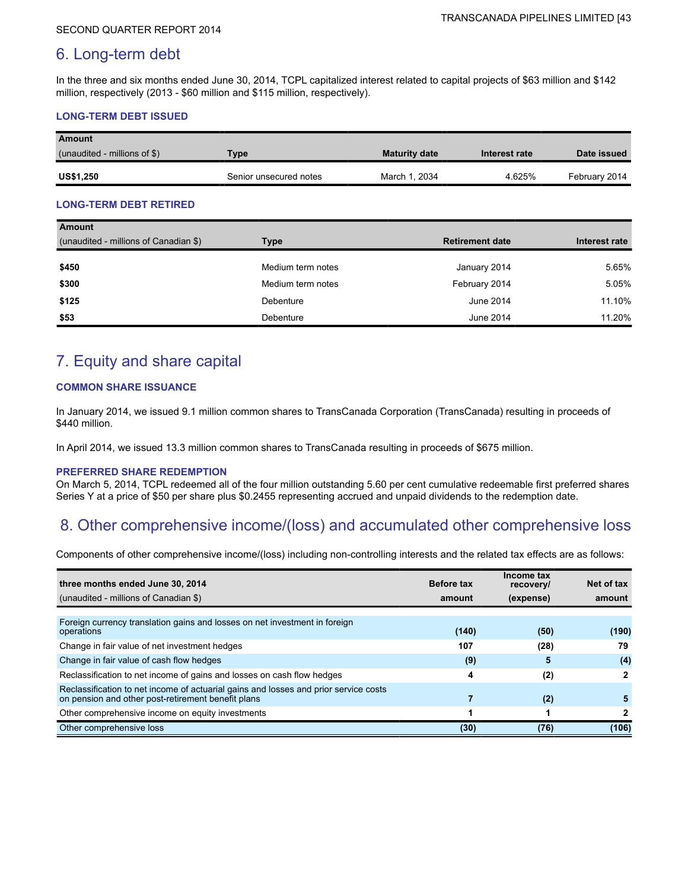## 6. Long-term debt

In the three and six months ended June 30, 2014, TCPL capitalized interest related to capital projects of \$63 million and \$142 million, respectively (2013 - \$60 million and \$115 million, respectively).

## **LONG-TERM DEBT ISSUED**

| Amount                           |                        |                      |               |               |
|----------------------------------|------------------------|----------------------|---------------|---------------|
| (unaudited - millions of $\$\$ ) | Type                   | <b>Maturity date</b> | Interest rate | Date issued   |
| <b>US\$1,250</b>                 | Senior unsecured notes | March 1, 2034        | 4.625%        | February 2014 |

## **LONG-TERM DEBT RETIRED**

| <b>Amount</b>                         |                   |                        |               |
|---------------------------------------|-------------------|------------------------|---------------|
| (unaudited - millions of Canadian \$) | Type              | <b>Retirement date</b> | Interest rate |
|                                       |                   |                        |               |
| \$450                                 | Medium term notes | January 2014           | 5.65%         |
| \$300                                 | Medium term notes | February 2014          | 5.05%         |
| \$125                                 | Debenture         | June 2014              | 11.10%        |
| \$53                                  | Debenture         | June 2014              | 11.20%        |

## 7. Equity and share capital

## **COMMON SHARE ISSUANCE**

In January 2014, we issued 9.1 million common shares to TransCanada Corporation (TransCanada) resulting in proceeds of \$440 million.

In April 2014, we issued 13.3 million common shares to TransCanada resulting in proceeds of \$675 million.

## **PREFERRED SHARE REDEMPTION**

On March 5, 2014, TCPL redeemed all of the four million outstanding 5.60 per cent cumulative redeemable first preferred shares Series Y at a price of \$50 per share plus \$0.2455 representing accrued and unpaid dividends to the redemption date.

## 8. Other comprehensive income/(loss) and accumulated other comprehensive loss

Components of other comprehensive income/(loss) including non-controlling interests and the related tax effects are as follows:

| three months ended June 30, 2014                                                                                                        | <b>Before tax</b> | Income tax<br>recovery/ | Net of tax |
|-----------------------------------------------------------------------------------------------------------------------------------------|-------------------|-------------------------|------------|
| (unaudited - millions of Canadian \$)                                                                                                   | amount            | (expense)               | amount     |
| Foreign currency translation gains and losses on net investment in foreign<br>operations                                                | (140)             | (50)                    | (190)      |
| Change in fair value of net investment hedges                                                                                           | 107               | (28)                    | 79         |
| Change in fair value of cash flow hedges                                                                                                | (9)               | 5                       | (4)        |
| Reclassification to net income of gains and losses on cash flow hedges                                                                  | 4                 | (2)                     | 2          |
| Reclassification to net income of actuarial gains and losses and prior service costs on pension and other post-retirement benefit plans |                   | (2)                     | 5          |
| Other comprehensive income on equity investments                                                                                        |                   |                         |            |
| Other comprehensive loss                                                                                                                | (30)              | (76)                    | (106)      |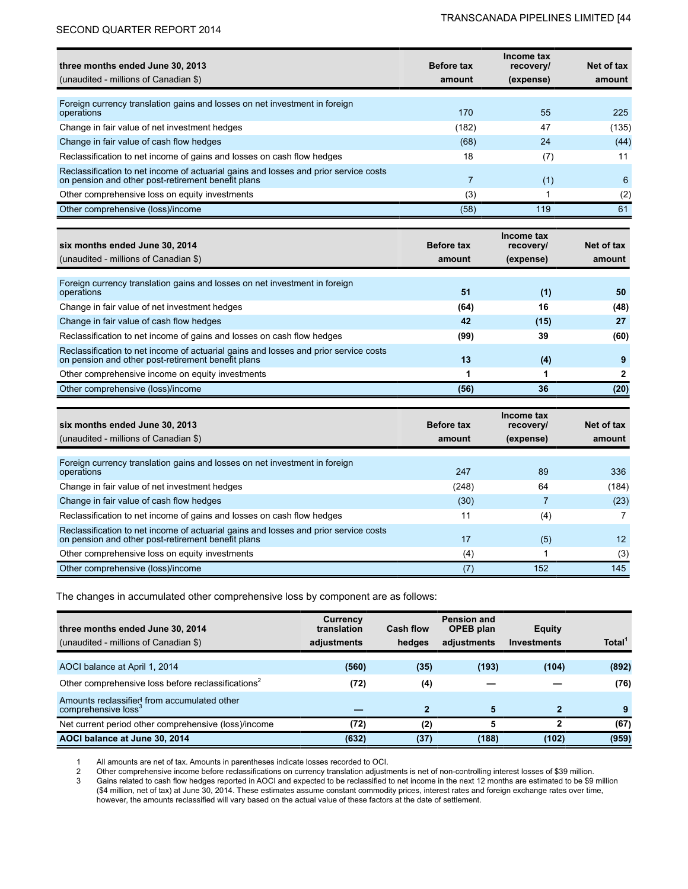#### SECOND QUARTER REPORT 2014

| three months ended June 30, 2013                                                                                                           | <b>Before tax</b> | Income tax<br>recovery/ | Net of tax     |
|--------------------------------------------------------------------------------------------------------------------------------------------|-------------------|-------------------------|----------------|
| (unaudited - millions of Canadian \$)                                                                                                      | amount            | (expense)               | amount         |
|                                                                                                                                            |                   |                         |                |
| Foreign currency translation gains and losses on net investment in foreign<br>operations                                                   | 170               | 55                      | 225            |
| Change in fair value of net investment hedges                                                                                              | (182)             | 47                      | (135)          |
| Change in fair value of cash flow hedges                                                                                                   | (68)              | 24                      | (44)           |
| Reclassification to net income of gains and losses on cash flow hedges                                                                     | 18                | (7)                     | 11             |
| Reclassification to net income of actuarial gains and losses and prior service costs<br>on pension and other post-retirement benefit plans | $\overline{7}$    | (1)                     | 6              |
| Other comprehensive loss on equity investments                                                                                             | (3)               | 1                       | (2)            |
| Other comprehensive (loss)/income                                                                                                          | (58)              | 119                     | 61             |
|                                                                                                                                            |                   |                         |                |
| six months ended June 30, 2014                                                                                                             | <b>Before tax</b> | Income tax<br>recovery/ | Net of tax     |
| (unaudited - millions of Canadian \$)                                                                                                      | amount            | (expense)               | amount         |
| Foreign currency translation gains and losses on net investment in foreign                                                                 |                   |                         |                |
| operations                                                                                                                                 | 51                | (1)                     | 50             |
| Change in fair value of net investment hedges                                                                                              | (64)              | 16                      | (48)           |
| Change in fair value of cash flow hedges                                                                                                   | 42                | (15)                    | 27             |
| Reclassification to net income of gains and losses on cash flow hedges                                                                     | (99)              | 39                      | (60)           |
| Reclassification to net income of actuarial gains and losses and prior service costs<br>on pension and other post-retirement benefit plans | 13                | (4)                     | 9              |
| Other comprehensive income on equity investments                                                                                           | 1                 | 1                       | $\overline{2}$ |
| Other comprehensive (loss)/income                                                                                                          | (56)              | 36                      | (20)           |
|                                                                                                                                            |                   |                         |                |
| six months ended June 30, 2013                                                                                                             | <b>Before tax</b> | Income tax<br>recovery/ | Net of tax     |
| (unaudited - millions of Canadian \$)                                                                                                      | amount            | (expense)               | amount         |
| Foreign currency translation gains and losses on net investment in foreign<br>operations                                                   | 247               | 89                      | 336            |
| Change in fair value of net investment hedges                                                                                              | (248)             | 64                      | (184)          |
| Change in fair value of cash flow hedges                                                                                                   | (30)              | $\overline{7}$          | (23)           |
| Reclassification to net income of gains and losses on cash flow hedges                                                                     | 11                | (4)                     | 7              |
| Reclassification to net income of actuarial gains and losses and prior service costs<br>on pension and other post-retirement benefit plans | 17                | (5)                     | 12             |
| Other comprehensive loss on equity investments                                                                                             | (4)               | 1                       | (3)            |
| Other comprehensive (loss)/income                                                                                                          | (7)               | 152                     | 145            |

The changes in accumulated other comprehensive loss by component are as follows:

| three months ended June 30, 2014<br>(unaudited - millions of Canadian \$)      | Currency<br>translation<br>adjustments | <b>Cash flow</b><br>hedges | Pension and<br>OPEB plan<br>adjustments | <b>Equity</b><br><b>Investments</b> | Total <sup>1</sup> |
|--------------------------------------------------------------------------------|----------------------------------------|----------------------------|-----------------------------------------|-------------------------------------|--------------------|
| AOCI balance at April 1, 2014                                                  | (560)                                  | (35)                       | (193)                                   | (104)                               | (892)              |
| Other comprehensive loss before reclassifications <sup>2</sup>                 | (72)                                   | (4)                        |                                         |                                     | (76)               |
| Amounts reclassified from accumulated other<br>comprehensive loss <sup>3</sup> |                                        |                            | 5                                       |                                     |                    |
| Net current period other comprehensive (loss)/income                           | (72)                                   | (2)                        | 5                                       |                                     | (67)               |
| AOCI balance at June 30, 2014                                                  | (632)                                  | (37)                       | (188)                                   | (102)                               | (959)              |

1 All amounts are net of tax. Amounts in parentheses indicate losses recorded to OCI.

2 Other comprehensive income before reclassifications on currency translation adjustments is net of non-controlling interest losses of \$39 million. 3 Gains related to cash flow hedges reported in AOCI and expected to be reclassified to net income in the next 12 months are estimated to be \$9 million (\$4 million, net of tax) at June 30, 2014. These estimates assume constant commodity prices, interest rates and foreign exchange rates over time, however, the amounts reclassified will vary based on the actual value of these factors at the date of settlement.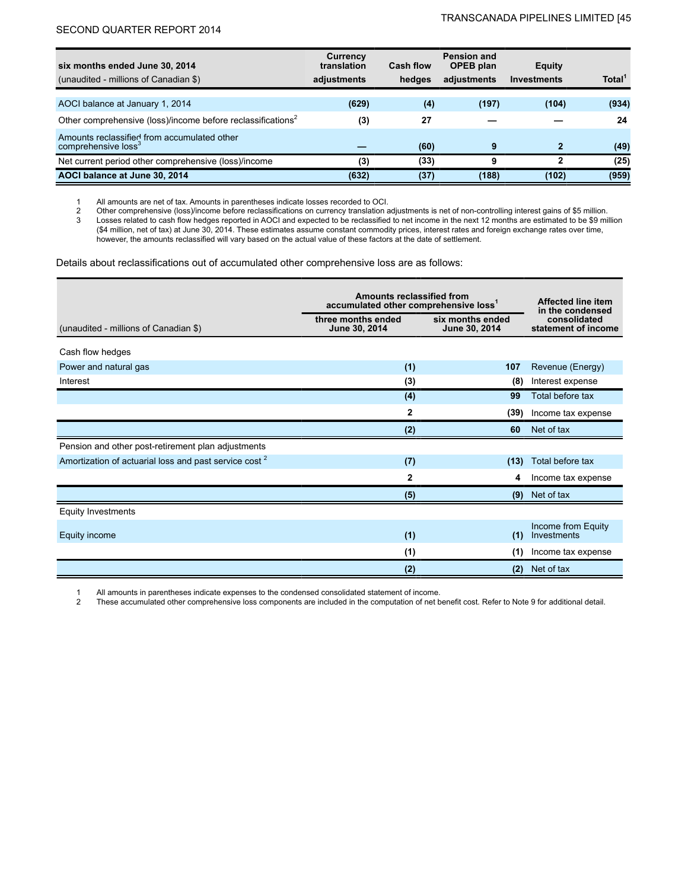## SECOND QUARTER REPORT 2014

| six months ended June 30, 2014                                                 | Currency<br>translation | <b>Cash flow</b> | Pension and<br>OPEB plan | <b>Equity</b>      |                    |
|--------------------------------------------------------------------------------|-------------------------|------------------|--------------------------|--------------------|--------------------|
| (unaudited - millions of Canadian \$)                                          | adiustments             | hedges           | adjustments              | <b>Investments</b> | Total <sup>1</sup> |
| AOCI balance at January 1, 2014                                                | (629)                   | (4)              | (197)                    | (104)              | (934)              |
| Other comprehensive (loss)/income before reclassifications <sup>2</sup>        | (3)                     | 27               |                          |                    | 24                 |
| Amounts reclassified from accumulated other<br>comprehensive loss <sup>3</sup> |                         | (60)             | 9                        |                    | (49)               |
| Net current period other comprehensive (loss)/income                           | (3)                     | (33)             | 9                        | າ                  | (25)               |
| AOCI balance at June 30, 2014                                                  | (632)                   | (37)             | (188)                    | (102)              | (959)              |

1 All amounts are net of tax. Amounts in parentheses indicate losses recorded to OCI.<br>2 Other comprehensive (loss)/income before reclassifications on currency translation a

2 Other comprehensive (loss)/income before reclassifications on currency translation adjustments is net of non-controlling interest gains of \$5 million. 3 Losses related to cash flow hedges reported in AOCI and expected to be reclassified to net income in the next 12 months are estimated to be \$9 million (\$4 million, net of tax) at June 30, 2014. These estimates assume constant commodity prices, interest rates and foreign exchange rates over time, however, the amounts reclassified will vary based on the actual value of these factors at the date of settlement.

Details about reclassifications out of accumulated other comprehensive loss are as follows:

|                                                                   | <b>Amounts reclassified from</b><br>accumulated other comprehensive loss <sup>1</sup> | <b>Affected line item</b><br>in the condensed |                                     |
|-------------------------------------------------------------------|---------------------------------------------------------------------------------------|-----------------------------------------------|-------------------------------------|
| (unaudited - millions of Canadian \$)                             | three months ended<br>June 30, 2014                                                   | six months ended<br>June 30, 2014             | consolidated<br>statement of income |
| Cash flow hedges                                                  |                                                                                       |                                               |                                     |
| Power and natural gas                                             | (1)                                                                                   | 107                                           | Revenue (Energy)                    |
| Interest                                                          | (3)                                                                                   | (8)                                           | Interest expense                    |
|                                                                   | (4)                                                                                   | 99                                            | Total before tax                    |
|                                                                   | $\mathbf{2}$                                                                          | (39)                                          | Income tax expense                  |
|                                                                   | (2)                                                                                   | 60                                            | Net of tax                          |
| Pension and other post-retirement plan adjustments                |                                                                                       |                                               |                                     |
| Amortization of actuarial loss and past service cost <sup>2</sup> | (7)                                                                                   | (13)                                          | Total before tax                    |
|                                                                   | $\overline{2}$                                                                        | 4                                             | Income tax expense                  |
|                                                                   | (5)                                                                                   | (9)                                           | Net of tax                          |
| <b>Equity Investments</b>                                         |                                                                                       |                                               |                                     |
| Equity income                                                     | (1)                                                                                   | (1)                                           | Income from Equity<br>Investments   |
|                                                                   | (1)                                                                                   | (1)                                           | Income tax expense                  |
|                                                                   | (2)                                                                                   | (2)                                           | Net of tax                          |

1 All amounts in parentheses indicate expenses to the condensed consolidated statement of income.<br>2 These accumulated other comprehensive loss components are included in the computation of net b

2 These accumulated other comprehensive loss components are included in the computation of net benefit cost. Refer to Note 9 for additional detail.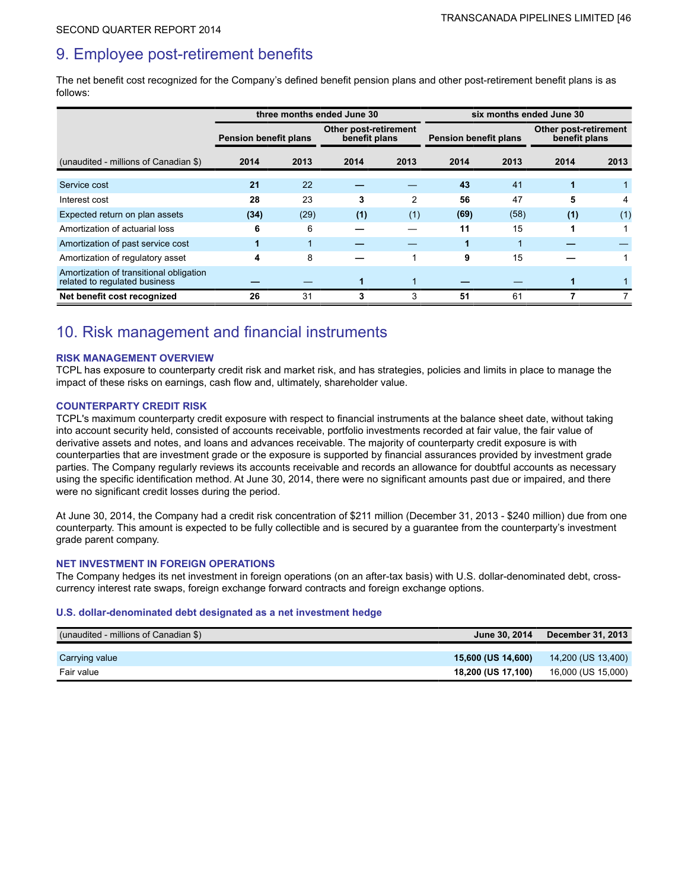# 9. Employee post-retirement benefits

The net benefit cost recognized for the Company's defined benefit pension plans and other post-retirement benefit plans is as follows:

|                                                                          | three months ended June 30   |      |                                        |      |                              | six months ended June 30 |                                        |      |
|--------------------------------------------------------------------------|------------------------------|------|----------------------------------------|------|------------------------------|--------------------------|----------------------------------------|------|
|                                                                          | <b>Pension benefit plans</b> |      | Other post-retirement<br>benefit plans |      | <b>Pension benefit plans</b> |                          | Other post-retirement<br>benefit plans |      |
| (unaudited - millions of Canadian \$)                                    | 2014                         | 2013 | 2014                                   | 2013 | 2014                         | 2013                     | 2014                                   | 2013 |
| Service cost                                                             | 21                           | 22   |                                        |      | 43                           | 41                       |                                        |      |
| Interest cost                                                            | 28                           | 23   | 3                                      | 2    | 56                           | 47                       | 5                                      | 4    |
| Expected return on plan assets                                           | (34)                         | (29) | (1)                                    | (1)  | (69)                         | (58)                     | (1)                                    | (1)  |
| Amortization of actuarial loss                                           | 6                            | 6    |                                        |      | 11                           | 15                       |                                        |      |
| Amortization of past service cost                                        |                              |      |                                        |      |                              |                          |                                        |      |
| Amortization of regulatory asset                                         | 4                            | 8    |                                        | 1    | 9                            | 15                       |                                        |      |
| Amortization of transitional obligation<br>related to regulated business |                              |      |                                        |      |                              |                          |                                        |      |
| Net benefit cost recognized                                              | 26                           | 31   | 3                                      | 3    | 51                           | 61                       |                                        |      |

# 10. Risk management and financial instruments

## **RISK MANAGEMENT OVERVIEW**

TCPL has exposure to counterparty credit risk and market risk, and has strategies, policies and limits in place to manage the impact of these risks on earnings, cash flow and, ultimately, shareholder value.

## **COUNTERPARTY CREDIT RISK**

TCPL's maximum counterparty credit exposure with respect to financial instruments at the balance sheet date, without taking into account security held, consisted of accounts receivable, portfolio investments recorded at fair value, the fair value of derivative assets and notes, and loans and advances receivable. The majority of counterparty credit exposure is with counterparties that are investment grade or the exposure is supported by financial assurances provided by investment grade parties. The Company regularly reviews its accounts receivable and records an allowance for doubtful accounts as necessary using the specific identification method. At June 30, 2014, there were no significant amounts past due or impaired, and there were no significant credit losses during the period.

At June 30, 2014, the Company had a credit risk concentration of \$211 million (December 31, 2013 - \$240 million) due from one counterparty. This amount is expected to be fully collectible and is secured by a guarantee from the counterparty's investment grade parent company.

## **NET INVESTMENT IN FOREIGN OPERATIONS**

The Company hedges its net investment in foreign operations (on an after-tax basis) with U.S. dollar-denominated debt, crosscurrency interest rate swaps, foreign exchange forward contracts and foreign exchange options.

## **U.S. dollar-denominated debt designated as a net investment hedge**

| (unaudited - millions of Canadian \$) | June 30, 2014      | December 31, 2013  |
|---------------------------------------|--------------------|--------------------|
|                                       |                    |                    |
| Carrying value                        | 15,600 (US 14,600) | 14,200 (US 13,400) |
| Fair value                            | 18,200 (US 17,100) | 16,000 (US 15,000) |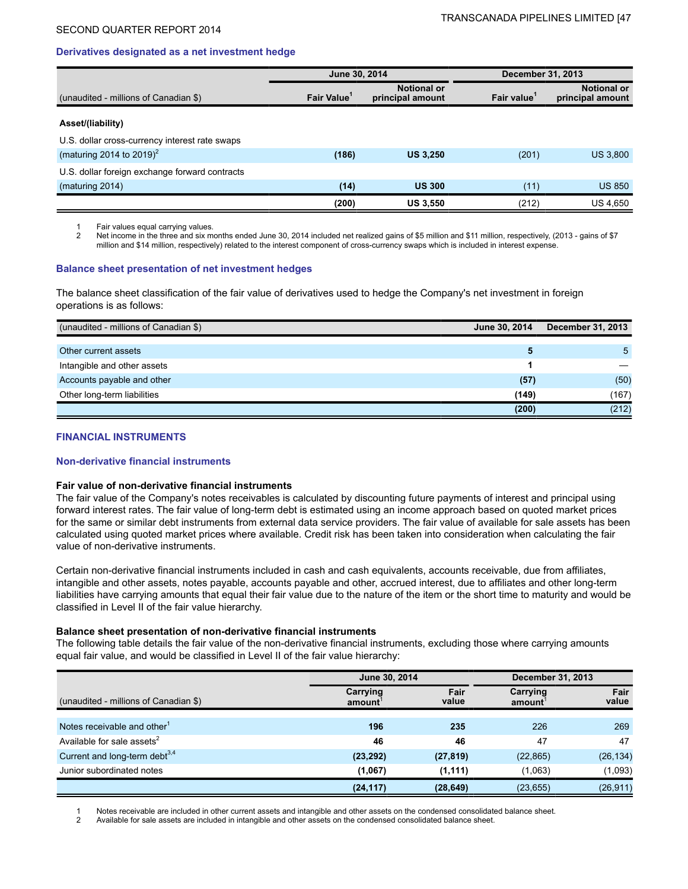## **Derivatives designated as a net investment hedge**

|                                                | June 30, 2014           |                                        | December 31, 2013       |                                        |
|------------------------------------------------|-------------------------|----------------------------------------|-------------------------|----------------------------------------|
| (unaudited - millions of Canadian \$)          | Fair Value <sup>1</sup> | <b>Notional or</b><br>principal amount | Fair value <sup>1</sup> | <b>Notional or</b><br>principal amount |
| Asset/(liability)                              |                         |                                        |                         |                                        |
| U.S. dollar cross-currency interest rate swaps |                         |                                        |                         |                                        |
| (maturing 2014 to 2019) <sup>2</sup>           | (186)                   | <b>US 3,250</b>                        | (201)                   | <b>US 3,800</b>                        |
| U.S. dollar foreign exchange forward contracts |                         |                                        |                         |                                        |
| (maturing 2014)                                | (14)                    | <b>US 300</b>                          | (11)                    | <b>US 850</b>                          |
|                                                | (200)                   | <b>US 3,550</b>                        | (212)                   | <b>US 4,650</b>                        |

1 Fair values equal carrying values.

2 Net income in the three and six months ended June 30, 2014 included net realized gains of \$5 million and \$11 million, respectively, (2013 - gains of \$7 million and \$14 million, respectively) related to the interest component of cross-currency swaps which is included in interest expense.

#### **Balance sheet presentation of net investment hedges**

The balance sheet classification of the fair value of derivatives used to hedge the Company's net investment in foreign operations is as follows:

| (unaudited - millions of Canadian \$) | June 30, 2014 | <b>December 31, 2013</b> |
|---------------------------------------|---------------|--------------------------|
|                                       |               |                          |
| Other current assets                  |               | 5.                       |
| Intangible and other assets           |               |                          |
| Accounts payable and other            | (57)          | (50)                     |
| Other long-term liabilities           | (149)         | (167)                    |
|                                       | (200)         | (212)                    |

## **FINANCIAL INSTRUMENTS**

#### **Non-derivative financial instruments**

#### **Fair value of non-derivative financial instruments**

The fair value of the Company's notes receivables is calculated by discounting future payments of interest and principal using forward interest rates. The fair value of long-term debt is estimated using an income approach based on quoted market prices for the same or similar debt instruments from external data service providers. The fair value of available for sale assets has been calculated using quoted market prices where available. Credit risk has been taken into consideration when calculating the fair value of non-derivative instruments.

Certain non-derivative financial instruments included in cash and cash equivalents, accounts receivable, due from affiliates, intangible and other assets, notes payable, accounts payable and other, accrued interest, due to affiliates and other long-term liabilities have carrying amounts that equal their fair value due to the nature of the item or the short time to maturity and would be classified in Level II of the fair value hierarchy.

#### **Balance sheet presentation of non-derivative financial instruments**

The following table details the fair value of the non-derivative financial instruments, excluding those where carrying amounts equal fair value, and would be classified in Level II of the fair value hierarchy:

|                                           | June 30, 2014      |               | <b>December 31, 2013</b> |               |  |
|-------------------------------------------|--------------------|---------------|--------------------------|---------------|--|
| (unaudited - millions of Canadian \$)     | Carrying<br>amount | Fair<br>value | Carrying<br>amount       | Fair<br>value |  |
|                                           |                    |               |                          |               |  |
| Notes receivable and other <sup>1</sup>   | 196                | 235           | 226                      | 269           |  |
| Available for sale assets <sup>2</sup>    | 46                 | 46            | 47                       | 47            |  |
| Current and long-term debt <sup>3,4</sup> | (23, 292)          | (27, 819)     | (22, 865)                | (26, 134)     |  |
| Junior subordinated notes                 | (1,067)            | (1, 111)      | (1,063)                  | (1,093)       |  |
|                                           | (24, 117)          | (28, 649)     | (23, 655)                | (26, 911)     |  |

1 Notes receivable are included in other current assets and intangible and other assets on the condensed consolidated balance sheet.

2 Available for sale assets are included in intangible and other assets on the condensed consolidated balance sheet.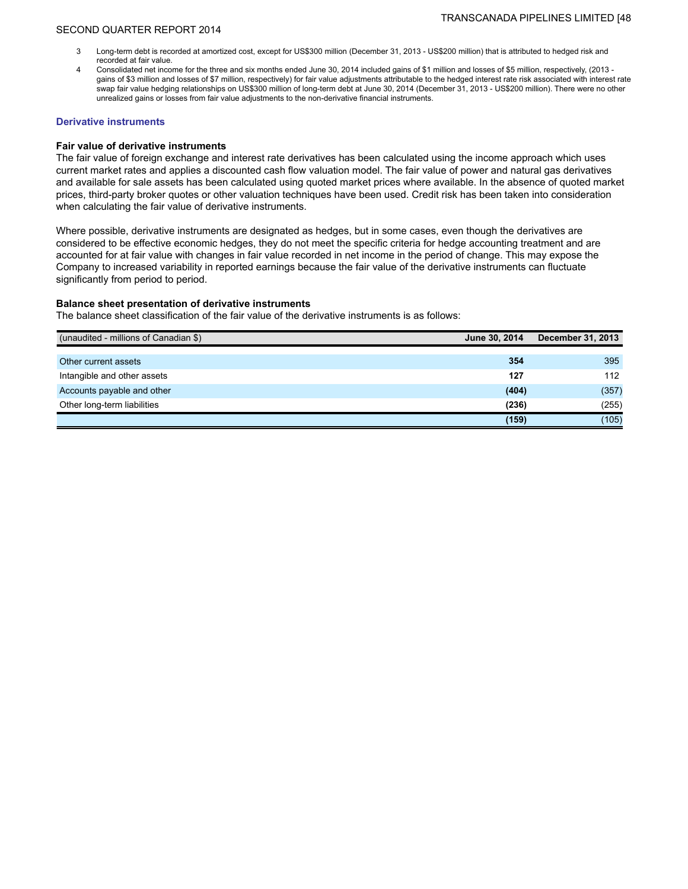#### SECOND QUARTER REPORT 2014

- 3 Long-term debt is recorded at amortized cost, except for US\$300 million (December 31, 2013 US\$200 million) that is attributed to hedged risk and recorded at fair value.
- 4 Consolidated net income for the three and six months ended June 30, 2014 included gains of \$1 million and losses of \$5 million, respectively, (2013 gains of \$3 million and losses of \$7 million, respectively) for fair value adjustments attributable to the hedged interest rate risk associated with interest rate swap fair value hedging relationships on US\$300 million of long-term debt at June 30, 2014 (December 31, 2013 - US\$200 million). There were no other unrealized gains or losses from fair value adjustments to the non-derivative financial instruments.

#### **Derivative instruments**

#### **Fair value of derivative instruments**

The fair value of foreign exchange and interest rate derivatives has been calculated using the income approach which uses current market rates and applies a discounted cash flow valuation model. The fair value of power and natural gas derivatives and available for sale assets has been calculated using quoted market prices where available. In the absence of quoted market prices, third-party broker quotes or other valuation techniques have been used. Credit risk has been taken into consideration when calculating the fair value of derivative instruments.

Where possible, derivative instruments are designated as hedges, but in some cases, even though the derivatives are considered to be effective economic hedges, they do not meet the specific criteria for hedge accounting treatment and are accounted for at fair value with changes in fair value recorded in net income in the period of change. This may expose the Company to increased variability in reported earnings because the fair value of the derivative instruments can fluctuate significantly from period to period.

#### **Balance sheet presentation of derivative instruments**

The balance sheet classification of the fair value of the derivative instruments is as follows:

| (unaudited - millions of Canadian \$) | June 30, 2014 | December 31, 2013 |
|---------------------------------------|---------------|-------------------|
|                                       |               |                   |
| Other current assets                  | 354           | 395               |
| Intangible and other assets           | 127           | 112               |
| Accounts payable and other            | (404)         | (357)             |
| Other long-term liabilities           | (236)         | (255)             |
|                                       | (159)         | (105)             |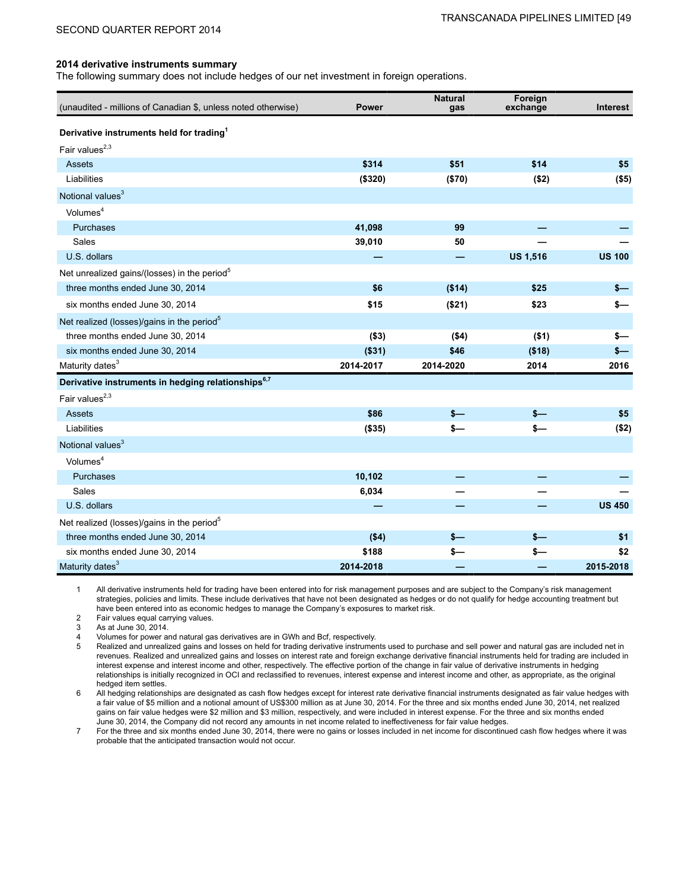#### **2014 derivative instruments summary**

The following summary does not include hedges of our net investment in foreign operations.

| (unaudited - millions of Canadian \$, unless noted otherwise) | <b>Power</b> | <b>Natural</b><br>gas | Foreign<br>exchange | <b>Interest</b> |
|---------------------------------------------------------------|--------------|-----------------------|---------------------|-----------------|
| Derivative instruments held for trading <sup>1</sup>          |              |                       |                     |                 |
| Fair values <sup>2,3</sup>                                    |              |                       |                     |                 |
| Assets                                                        | \$314        | \$51                  | \$14                | \$5             |
| Liabilities                                                   | (\$320)      | (\$70)                | (\$2)               | ( \$5)          |
| Notional values <sup>3</sup>                                  |              |                       |                     |                 |
| Volumes <sup>4</sup>                                          |              |                       |                     |                 |
| Purchases                                                     | 41,098       | 99                    |                     |                 |
| Sales                                                         | 39,010       | 50                    |                     |                 |
| U.S. dollars                                                  |              |                       | <b>US 1,516</b>     | <b>US 100</b>   |
| Net unrealized gains/(losses) in the period <sup>5</sup>      |              |                       |                     |                 |
| three months ended June 30, 2014                              | \$6          | (\$14)                | \$25                | $s-$            |
| six months ended June 30, 2014                                | \$15         | (\$21)                | \$23                | \$—             |
| Net realized (losses)/gains in the period <sup>5</sup>        |              |                       |                     |                 |
| three months ended June 30, 2014                              | ( \$3)       | (\$4)                 | ( \$1)              | s—              |
| six months ended June 30, 2014                                | (\$31)       | \$46                  | ( \$18)             | \$—             |
| Maturity dates <sup>3</sup>                                   | 2014-2017    | 2014-2020             | 2014                | 2016            |
| Derivative instruments in hedging relationships6,7            |              |                       |                     |                 |
| Fair values <sup>2,3</sup>                                    |              |                       |                     |                 |
| <b>Assets</b>                                                 | \$86         | $s-$                  | $s-$                | \$5             |
| Liabilities                                                   | (\$35)       | $s-$                  | \$—                 | (\$2)           |
| Notional values <sup>3</sup>                                  |              |                       |                     |                 |
| Volumes <sup>4</sup>                                          |              |                       |                     |                 |
| Purchases                                                     | 10,102       |                       |                     |                 |
| Sales                                                         | 6,034        |                       |                     |                 |
| U.S. dollars                                                  |              |                       |                     | <b>US 450</b>   |
| Net realized (losses)/gains in the period <sup>5</sup>        |              |                       |                     |                 |
| three months ended June 30, 2014                              | (\$4)        | \$—                   | \$—                 | \$1             |
| six months ended June 30, 2014                                | \$188        | \$—                   | \$—                 | \$2             |
| Maturity dates <sup>3</sup>                                   | 2014-2018    |                       |                     | 2015-2018       |

1 All derivative instruments held for trading have been entered into for risk management purposes and are subject to the Company's risk management strategies, policies and limits. These include derivatives that have not been designated as hedges or do not qualify for hedge accounting treatment but have been entered into as economic hedges to manage the Company's exposures to market risk.

2 Fair values equal carrying values.<br>3 As at June 30, 2014.

As at June 30, 2014.

4 Volumes for power and natural gas derivatives are in GWh and Bcf, respectively.<br>5 Realized and unrealized gains and losses on held for trading derivative instrumer

Realized and unrealized gains and losses on held for trading derivative instruments used to purchase and sell power and natural gas are included net in revenues. Realized and unrealized gains and losses on interest rate and foreign exchange derivative financial instruments held for trading are included in interest expense and interest income and other, respectively. The effective portion of the change in fair value of derivative instruments in hedging relationships is initially recognized in OCI and reclassified to revenues, interest expense and interest income and other, as appropriate, as the original hedged item settles.

6 All hedging relationships are designated as cash flow hedges except for interest rate derivative financial instruments designated as fair value hedges with a fair value of \$5 million and a notional amount of US\$300 million as at June 30, 2014. For the three and six months ended June 30, 2014, net realized gains on fair value hedges were \$2 million and \$3 million, respectively, and were included in interest expense. For the three and six months ended June 30, 2014, the Company did not record any amounts in net income related to ineffectiveness for fair value hedges.

7 For the three and six months ended June 30, 2014, there were no gains or losses included in net income for discontinued cash flow hedges where it was probable that the anticipated transaction would not occur.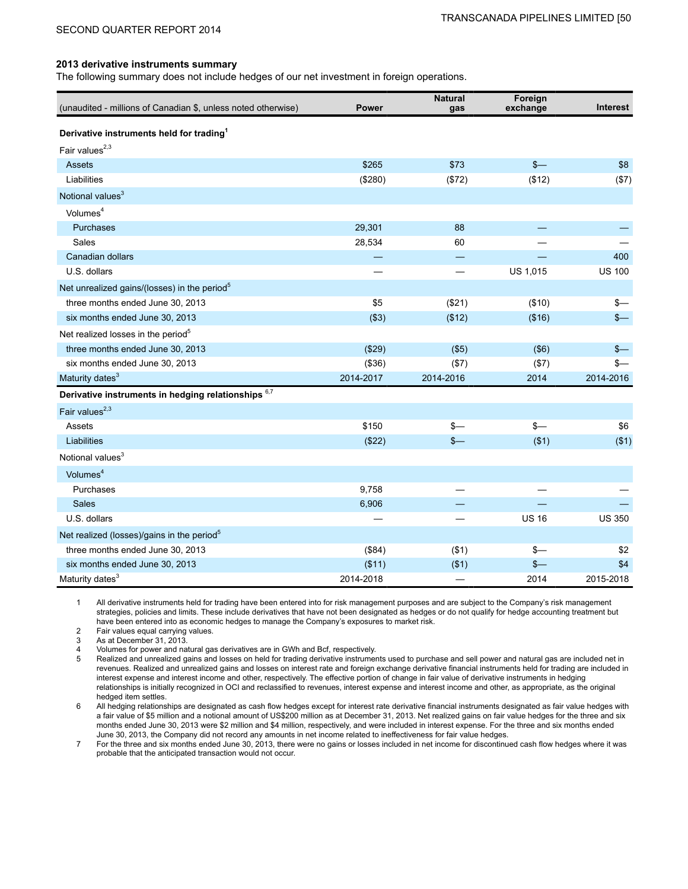#### **2013 derivative instruments summary**

The following summary does not include hedges of our net investment in foreign operations.

| (unaudited - millions of Canadian \$, unless noted otherwise) | Power     | <b>Natural</b><br>gas | Foreign<br>exchange | <b>Interest</b> |
|---------------------------------------------------------------|-----------|-----------------------|---------------------|-----------------|
| Derivative instruments held for trading <sup>1</sup>          |           |                       |                     |                 |
| Fair values <sup>2,3</sup>                                    |           |                       |                     |                 |
| Assets                                                        | \$265     | \$73                  | $s-$                | \$8             |
| Liabilities                                                   | (\$280)   | (\$72)                | (\$12)              | (\$7)           |
| Notional values <sup>3</sup>                                  |           |                       |                     |                 |
| Volumes <sup>4</sup>                                          |           |                       |                     |                 |
| Purchases                                                     | 29,301    | 88                    |                     |                 |
| Sales                                                         | 28,534    | 60                    |                     |                 |
| Canadian dollars                                              |           |                       |                     | 400             |
| U.S. dollars                                                  |           |                       | US 1,015            | <b>US 100</b>   |
| Net unrealized gains/(losses) in the period <sup>5</sup>      |           |                       |                     |                 |
| three months ended June 30, 2013                              | \$5       | (\$21)                | (\$10)              | \$—             |
| six months ended June 30, 2013                                | (\$3)     | (\$12)                | (\$16)              | $s-$            |
| Net realized losses in the period <sup>5</sup>                |           |                       |                     |                 |
| three months ended June 30, 2013                              | (\$29)    | (\$5)                 | $($ \$6)            | $s-$            |
| six months ended June 30, 2013                                | (\$36)    | (\$7)                 | (\$7)               | \$—             |
| Maturity dates <sup>3</sup>                                   | 2014-2017 | 2014-2016             | 2014                | 2014-2016       |
| Derivative instruments in hedging relationships 6,7           |           |                       |                     |                 |
| Fair values <sup>2,3</sup>                                    |           |                       |                     |                 |
| Assets                                                        | \$150     | $s-$                  | $s-$                | \$6             |
| Liabilities                                                   | (\$22)    | $s-$                  | (\$1)               | (\$1)           |
| Notional values <sup>3</sup>                                  |           |                       |                     |                 |
| Volumes <sup>4</sup>                                          |           |                       |                     |                 |
| Purchases                                                     | 9,758     |                       |                     |                 |
| <b>Sales</b>                                                  | 6,906     |                       |                     |                 |
| U.S. dollars                                                  |           |                       | <b>US 16</b>        | <b>US 350</b>   |
| Net realized (losses)/gains in the period <sup>5</sup>        |           |                       |                     |                 |
| three months ended June 30, 2013                              | (\$84)    | ( \$1)                | $s-$                | \$2             |
| six months ended June 30, 2013                                | (\$11)    | ( \$1)                | $s-$                | \$4             |
| Maturity dates <sup>3</sup>                                   | 2014-2018 |                       | 2014                | 2015-2018       |

1 All derivative instruments held for trading have been entered into for risk management purposes and are subject to the Company's risk management strategies, policies and limits. These include derivatives that have not been designated as hedges or do not qualify for hedge accounting treatment but have been entered into as economic hedges to manage the Company's exposures to market risk.

2 Fair values equal carrying values.<br>3 As at December 31 2013

As at December 31, 2013.

4 Volumes for power and natural gas derivatives are in GWh and Bcf, respectively.

5 Realized and unrealized gains and losses on held for trading derivative instruments used to purchase and sell power and natural gas are included net in revenues. Realized and unrealized gains and losses on interest rate and foreign exchange derivative financial instruments held for trading are included in interest expense and interest income and other, respectively. The effective portion of change in fair value of derivative instruments in hedging relationships is initially recognized in OCI and reclassified to revenues, interest expense and interest income and other, as appropriate, as the original hedged item settles.

6 All hedging relationships are designated as cash flow hedges except for interest rate derivative financial instruments designated as fair value hedges with a fair value of \$5 million and a notional amount of US\$200 million as at December 31, 2013. Net realized gains on fair value hedges for the three and six months ended June 30, 2013 were \$2 million and \$4 million, respectively, and were included in interest expense. For the three and six months ended June 30, 2013, the Company did not record any amounts in net income related to ineffectiveness for fair value hedges.

7 For the three and six months ended June 30, 2013, there were no gains or losses included in net income for discontinued cash flow hedges where it was probable that the anticipated transaction would not occur.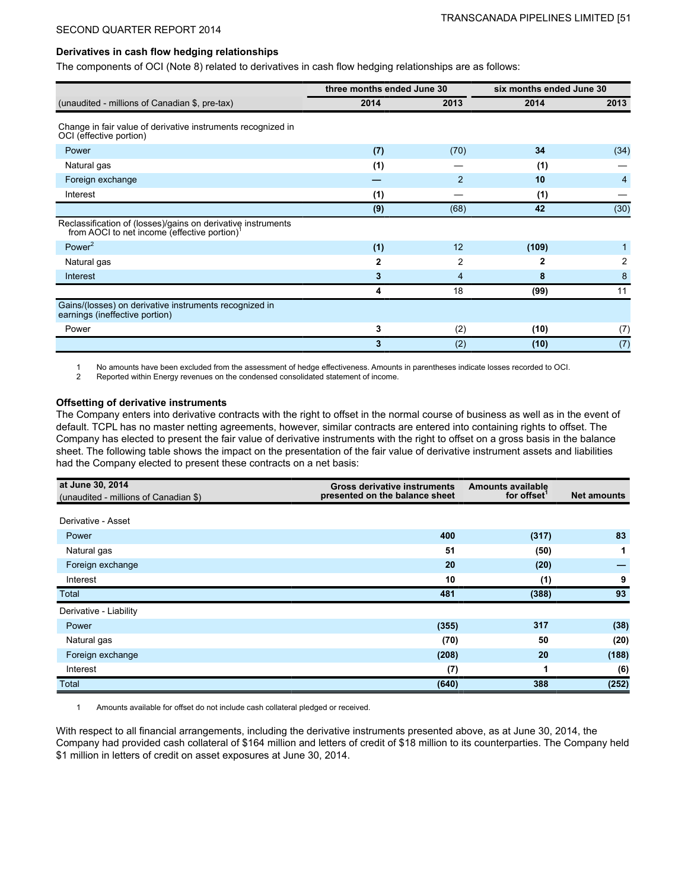## **Derivatives in cash flow hedging relationships**

The components of OCI (Note 8) related to derivatives in cash flow hedging relationships are as follows:

|                                                                                                                          |      | three months ended June 30<br>six months ended June 30 |       |      |
|--------------------------------------------------------------------------------------------------------------------------|------|--------------------------------------------------------|-------|------|
| (unaudited - millions of Canadian \$, pre-tax)                                                                           | 2014 | 2013                                                   | 2014  | 2013 |
| Change in fair value of derivative instruments recognized in<br>OCI (effective portion)                                  |      |                                                        |       |      |
| Power                                                                                                                    | (7)  | (70)                                                   | 34    | (34) |
| Natural gas                                                                                                              | (1)  |                                                        | (1)   |      |
| Foreign exchange                                                                                                         |      | $\overline{2}$                                         | 10    | 4    |
| Interest                                                                                                                 | (1)  |                                                        | (1)   |      |
|                                                                                                                          | (9)  | (68)                                                   | 42    | (30) |
| Reclassification of (losses)/gains on derivative instruments<br>from AOCI to net income (effective portion) <sup>1</sup> |      |                                                        |       |      |
| Power $2$                                                                                                                | (1)  | 12                                                     | (109) |      |
| Natural gas                                                                                                              | 2    | $\overline{2}$                                         | 2     | 2    |
| Interest                                                                                                                 | 3    | $\overline{4}$                                         | 8     | 8    |
|                                                                                                                          | 4    | 18                                                     | (99)  | 11   |
| Gains/(losses) on derivative instruments recognized in<br>earnings (ineffective portion)                                 |      |                                                        |       |      |
| Power                                                                                                                    | 3    | (2)                                                    | (10)  | (7)  |
|                                                                                                                          | 3    | (2)                                                    | (10)  | (7)  |

1 No amounts have been excluded from the assessment of hedge effectiveness. Amounts in parentheses indicate losses recorded to OCI.<br>2 Reported within Energy revenues on the condensed consolidated statement of income.

Reported within Energy revenues on the condensed consolidated statement of income.

#### **Offsetting of derivative instruments**

The Company enters into derivative contracts with the right to offset in the normal course of business as well as in the event of default. TCPL has no master netting agreements, however, similar contracts are entered into containing rights to offset. The Company has elected to present the fair value of derivative instruments with the right to offset on a gross basis in the balance sheet. The following table shows the impact on the presentation of the fair value of derivative instrument assets and liabilities had the Company elected to present these contracts on a net basis:

| at June 30, 2014<br>(unaudited - millions of Canadian \$) | <b>Gross derivative instruments</b><br>presented on the balance sheet | <b>Amounts available</b><br>for offset | <b>Net amounts</b> |
|-----------------------------------------------------------|-----------------------------------------------------------------------|----------------------------------------|--------------------|
| Derivative - Asset                                        |                                                                       |                                        |                    |
| Power                                                     | 400                                                                   | (317)                                  | 83                 |
| Natural gas                                               | 51                                                                    | (50)                                   | 1                  |
| Foreign exchange                                          | 20                                                                    | (20)                                   |                    |
| Interest                                                  | 10                                                                    | (1)                                    | 9                  |
| Total                                                     | 481                                                                   | (388)                                  | 93                 |
| Derivative - Liability                                    |                                                                       |                                        |                    |
| Power                                                     | (355)                                                                 | 317                                    | (38)               |
| Natural gas                                               | (70)                                                                  | 50                                     | (20)               |
| Foreign exchange                                          | (208)                                                                 | 20                                     | (188)              |
| Interest                                                  | (7)                                                                   |                                        | (6)                |
| Total                                                     | (640)                                                                 | 388                                    | (252)              |

1 Amounts available for offset do not include cash collateral pledged or received.

With respect to all financial arrangements, including the derivative instruments presented above, as at June 30, 2014, the Company had provided cash collateral of \$164 million and letters of credit of \$18 million to its counterparties. The Company held \$1 million in letters of credit on asset exposures at June 30, 2014.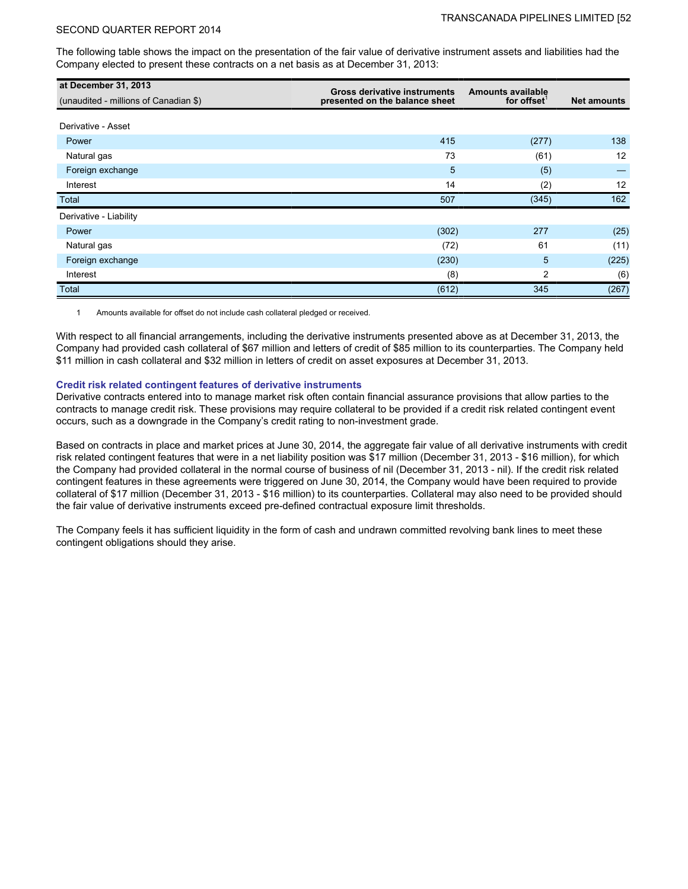#### SECOND QUARTER REPORT 2014

The following table shows the impact on the presentation of the fair value of derivative instrument assets and liabilities had the Company elected to present these contracts on a net basis as at December 31, 2013:

| at December 31, 2013                  | <b>Gross derivative instruments</b> | <b>Amounts available</b> |                    |  |
|---------------------------------------|-------------------------------------|--------------------------|--------------------|--|
| (unaudited - millions of Canadian \$) | presented on the balance sheet      | for offset               | <b>Net amounts</b> |  |
|                                       |                                     |                          |                    |  |
| Derivative - Asset                    |                                     |                          |                    |  |
| Power                                 | 415                                 | (277)                    | 138                |  |
| Natural gas                           | 73                                  | (61)                     | 12                 |  |
| Foreign exchange                      | 5                                   | (5)                      |                    |  |
| Interest                              | 14                                  | (2)                      | $12 \overline{ }$  |  |
| Total                                 | 507                                 | (345)                    | 162                |  |
| Derivative - Liability                |                                     |                          |                    |  |
| Power                                 | (302)                               | 277                      | (25)               |  |
| Natural gas                           | (72)                                | 61                       | (11)               |  |
| Foreign exchange                      | (230)                               | 5                        | (225)              |  |
| Interest                              | (8)                                 | $\overline{2}$           | (6)                |  |
| Total                                 | (612)                               | 345                      | (267)              |  |

1 Amounts available for offset do not include cash collateral pledged or received.

With respect to all financial arrangements, including the derivative instruments presented above as at December 31, 2013, the Company had provided cash collateral of \$67 million and letters of credit of \$85 million to its counterparties. The Company held \$11 million in cash collateral and \$32 million in letters of credit on asset exposures at December 31, 2013.

#### **Credit risk related contingent features of derivative instruments**

Derivative contracts entered into to manage market risk often contain financial assurance provisions that allow parties to the contracts to manage credit risk. These provisions may require collateral to be provided if a credit risk related contingent event occurs, such as a downgrade in the Company's credit rating to non-investment grade.

Based on contracts in place and market prices at June 30, 2014, the aggregate fair value of all derivative instruments with credit risk related contingent features that were in a net liability position was \$17 million (December 31, 2013 - \$16 million), for which the Company had provided collateral in the normal course of business of nil (December 31, 2013 - nil). If the credit risk related contingent features in these agreements were triggered on June 30, 2014, the Company would have been required to provide collateral of \$17 million (December 31, 2013 - \$16 million) to its counterparties. Collateral may also need to be provided should the fair value of derivative instruments exceed pre-defined contractual exposure limit thresholds.

The Company feels it has sufficient liquidity in the form of cash and undrawn committed revolving bank lines to meet these contingent obligations should they arise.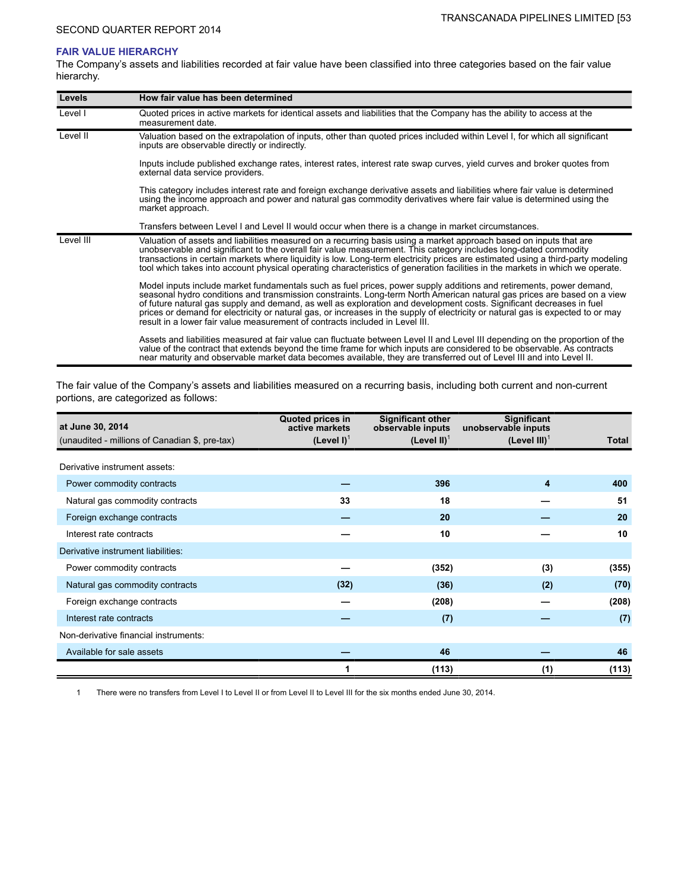#### **FAIR VALUE HIERARCHY**

The Company's assets and liabilities recorded at fair value have been classified into three categories based on the fair value hierarchy.

| <b>Levels</b> | How fair value has been determined                                                                                                                                                                                                                                                                                                                                                                                                                                                                                                                                                        |
|---------------|-------------------------------------------------------------------------------------------------------------------------------------------------------------------------------------------------------------------------------------------------------------------------------------------------------------------------------------------------------------------------------------------------------------------------------------------------------------------------------------------------------------------------------------------------------------------------------------------|
| Level I       | Quoted prices in active markets for identical assets and liabilities that the Company has the ability to access at the<br>measurement date.                                                                                                                                                                                                                                                                                                                                                                                                                                               |
| Level II      | Valuation based on the extrapolation of inputs, other than quoted prices included within Level I, for which all significant<br>inputs are observable directly or indirectly.                                                                                                                                                                                                                                                                                                                                                                                                              |
|               | Inputs include published exchange rates, interest rates, interest rate swap curves, yield curves and broker quotes from<br>external data service providers.                                                                                                                                                                                                                                                                                                                                                                                                                               |
|               | This category includes interest rate and foreign exchange derivative assets and liabilities where fair value is determined<br>using the income approach and power and natural gas commodity derivatives where fair value is determined using the<br>market approach.                                                                                                                                                                                                                                                                                                                      |
|               | Transfers between Level I and Level II would occur when there is a change in market circumstances.                                                                                                                                                                                                                                                                                                                                                                                                                                                                                        |
| Level III     | Valuation of assets and liabilities measured on a recurring basis using a market approach based on inputs that are<br>unobservable and significant to the overall fair value measurement. This category includes long-dated commodity<br>transactions in certain markets where liquidity is low. Long-term electricity prices are estimated using a third-party modeling<br>tool which takes into account physical operating characteristics of generation facilities in the markets in which we operate.                                                                                 |
|               | Model inputs include market fundamentals such as fuel prices, power supply additions and retirements, power demand,<br>seasonal hydro conditions and transmission constraints. Long-term North American natural gas prices are based on a view<br>of future natural gas supply and demand, as well as exploration and development costs. Significant decreases in fuel<br>prices or demand for electricity or natural gas, or increases in the supply of electricity or natural gas is expected to or may<br>result in a lower fair value measurement of contracts included in Level III. |
|               | Assets and liabilities measured at fair value can fluctuate between Level II and Level III depending on the proportion of the<br>value of the contract that extends beyond the time frame for which inputs are considered to be observable. As contracts<br>near maturity and observable market data becomes available, they are transferred out of Level III and into Level II.                                                                                                                                                                                                          |

The fair value of the Company's assets and liabilities measured on a recurring basis, including both current and non-current portions, are categorized as follows:

| at June 30, 2014                               | <b>Quoted prices in</b><br>active markets | <b>Significant other</b><br>observable inputs | <b>Significant</b><br>unobservable inputs |       |
|------------------------------------------------|-------------------------------------------|-----------------------------------------------|-------------------------------------------|-------|
| (unaudited - millions of Canadian \$, pre-tax) | (Level I) $1$                             | $(Level II)^T$                                | $(Level III)^T$                           | Total |
| Derivative instrument assets:                  |                                           |                                               |                                           |       |
| Power commodity contracts                      |                                           | 396                                           | 4                                         | 400   |
| Natural gas commodity contracts                | 33                                        | 18                                            |                                           | 51    |
| Foreign exchange contracts                     |                                           | 20                                            |                                           | 20    |
| Interest rate contracts                        |                                           | 10                                            |                                           | 10    |
| Derivative instrument liabilities:             |                                           |                                               |                                           |       |
| Power commodity contracts                      |                                           | (352)                                         | (3)                                       | (355) |
| Natural gas commodity contracts                | (32)                                      | (36)                                          | (2)                                       | (70)  |
| Foreign exchange contracts                     |                                           | (208)                                         |                                           | (208) |
| Interest rate contracts                        |                                           | (7)                                           |                                           | (7)   |
| Non-derivative financial instruments:          |                                           |                                               |                                           |       |
| Available for sale assets                      |                                           | 46                                            |                                           | 46    |
|                                                |                                           | (113)                                         | (1)                                       | (113) |

1 There were no transfers from Level I to Level II or from Level II to Level III for the six months ended June 30, 2014.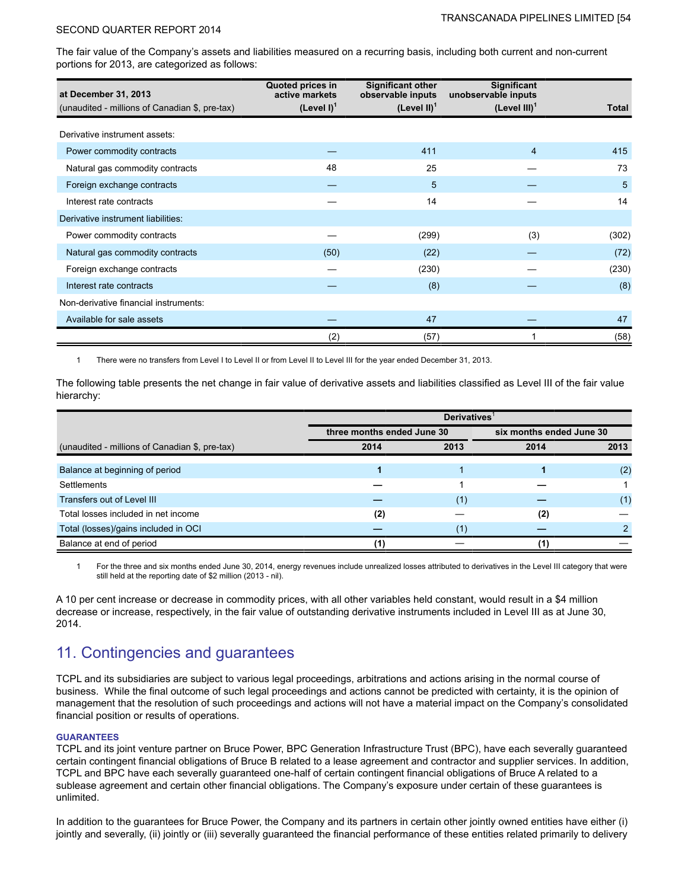### SECOND QUARTER REPORT 2014

The fair value of the Company's assets and liabilities measured on a recurring basis, including both current and non-current portions for 2013, are categorized as follows:

| at December 31, 2013                           | <b>Quoted prices in</b><br>active markets | <b>Significant other</b><br>observable inputs | <b>Significant</b><br>unobservable inputs |              |
|------------------------------------------------|-------------------------------------------|-----------------------------------------------|-------------------------------------------|--------------|
| (unaudited - millions of Canadian \$, pre-tax) | $(Level I)^T$                             | $(Level II)^T$                                | (Level $III$ ) <sup>1</sup>               | <b>Total</b> |
| Derivative instrument assets:                  |                                           |                                               |                                           |              |
| Power commodity contracts                      |                                           | 411                                           | 4                                         | 415          |
| Natural gas commodity contracts                | 48                                        | 25                                            |                                           | 73           |
| Foreign exchange contracts                     |                                           | $\overline{5}$                                |                                           | 5            |
| Interest rate contracts                        |                                           | 14                                            |                                           | 14           |
| Derivative instrument liabilities:             |                                           |                                               |                                           |              |
| Power commodity contracts                      |                                           | (299)                                         | (3)                                       | (302)        |
| Natural gas commodity contracts                | (50)                                      | (22)                                          |                                           | (72)         |
| Foreign exchange contracts                     |                                           | (230)                                         |                                           | (230)        |
| Interest rate contracts                        |                                           | (8)                                           |                                           | (8)          |
| Non-derivative financial instruments:          |                                           |                                               |                                           |              |
| Available for sale assets                      |                                           | 47                                            |                                           | 47           |
|                                                | (2)                                       | (57)                                          |                                           | (58)         |

1 There were no transfers from Level I to Level II or from Level II to Level III for the year ended December 31, 2013.

The following table presents the net change in fair value of derivative assets and liabilities classified as Level III of the fair value hierarchy:

|                                                | <b>Derivatives</b>         |      |                          |      |  |
|------------------------------------------------|----------------------------|------|--------------------------|------|--|
|                                                | three months ended June 30 |      | six months ended June 30 |      |  |
| (unaudited - millions of Canadian \$, pre-tax) | 2014                       | 2013 | 2014                     | 2013 |  |
|                                                |                            |      |                          |      |  |
| Balance at beginning of period                 |                            |      |                          | (2)  |  |
| Settlements                                    |                            |      |                          |      |  |
| Transfers out of Level III                     |                            | (1)  |                          | (1)  |  |
| Total losses included in net income            | (2)                        |      | (2)                      |      |  |
| Total (losses)/gains included in OCI           |                            | (1)  |                          | 2    |  |
| Balance at end of period                       | (1)                        |      |                          |      |  |

1 For the three and six months ended June 30, 2014, energy revenues include unrealized losses attributed to derivatives in the Level III category that were still held at the reporting date of \$2 million (2013 - nil).

A 10 per cent increase or decrease in commodity prices, with all other variables held constant, would result in a \$4 million decrease or increase, respectively, in the fair value of outstanding derivative instruments included in Level III as at June 30, 2014.

## 11. Contingencies and guarantees

TCPL and its subsidiaries are subject to various legal proceedings, arbitrations and actions arising in the normal course of business. While the final outcome of such legal proceedings and actions cannot be predicted with certainty, it is the opinion of management that the resolution of such proceedings and actions will not have a material impact on the Company's consolidated financial position or results of operations.

## **GUARANTEES**

TCPL and its joint venture partner on Bruce Power, BPC Generation Infrastructure Trust (BPC), have each severally guaranteed certain contingent financial obligations of Bruce B related to a lease agreement and contractor and supplier services. In addition, TCPL and BPC have each severally guaranteed one-half of certain contingent financial obligations of Bruce A related to a sublease agreement and certain other financial obligations. The Company's exposure under certain of these guarantees is unlimited.

In addition to the guarantees for Bruce Power, the Company and its partners in certain other jointly owned entities have either (i) jointly and severally, (ii) jointly or (iii) severally guaranteed the financial performance of these entities related primarily to delivery